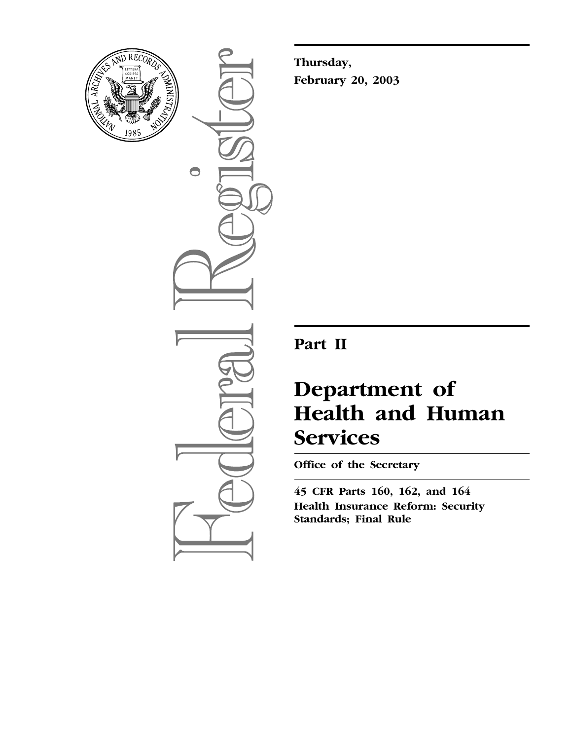

 $\bigcirc$ 

**Thursday, February 20, 2003**

## **Part II**

# **Department of Health and Human Services**

**Office of the Secretary** 

**45 CFR Parts 160, 162, and 164 Health Insurance Reform: Security Standards; Final Rule**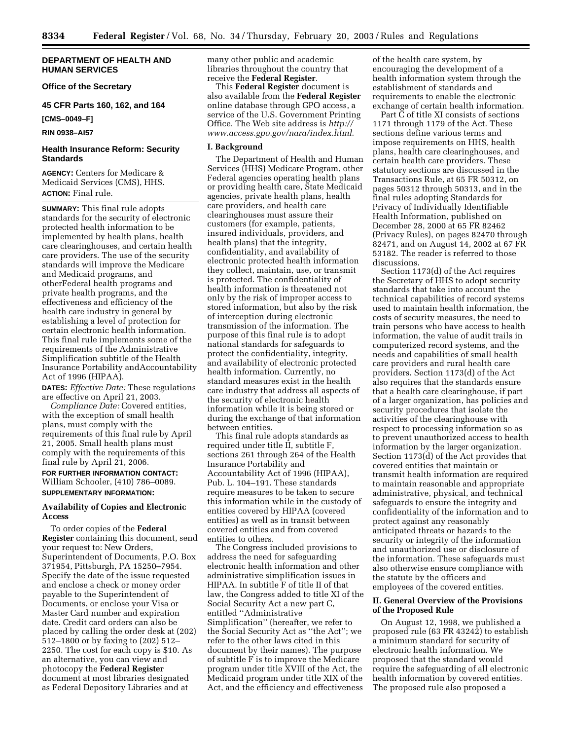## **DEPARTMENT OF HEALTH AND HUMAN SERVICES**

## **Office of the Secretary**

## **45 CFR Parts 160, 162, and 164**

**[CMS–0049–F]** 

## **RIN 0938–AI57**

## **Health Insurance Reform: Security Standards**

**AGENCY:** Centers for Medicare & Medicaid Services (CMS), HHS. **ACTION:** Final rule.

**SUMMARY:** This final rule adopts standards for the security of electronic protected health information to be implemented by health plans, health care clearinghouses, and certain health care providers. The use of the security standards will improve the Medicare and Medicaid programs, and otherFederal health programs and private health programs, and the effectiveness and efficiency of the health care industry in general by establishing a level of protection for certain electronic health information. This final rule implements some of the requirements of the Administrative Simplification subtitle of the Health Insurance Portability andAccountability Act of 1996 (HIPAA).

**DATES:** *Effective Date:* These regulations are effective on April 21, 2003.

*Compliance Date:* Covered entities, with the exception of small health plans, must comply with the requirements of this final rule by April 21, 2005. Small health plans must comply with the requirements of this final rule by April 21, 2006.

## **FOR FURTHER INFORMATION CONTACT:** William Schooler, (410) 786–0089. **SUPPLEMENTARY INFORMATION:**

## **Availability of Copies and Electronic Access**

To order copies of the **Federal Register** containing this document, send your request to: New Orders, Superintendent of Documents, P.O. Box 371954, Pittsburgh, PA 15250–7954. Specify the date of the issue requested and enclose a check or money order payable to the Superintendent of Documents, or enclose your Visa or Master Card number and expiration date. Credit card orders can also be placed by calling the order desk at (202) 512–1800 or by faxing to (202) 512– 2250. The cost for each copy is \$10. As an alternative, you can view and photocopy the **Federal Register** document at most libraries designated as Federal Depository Libraries and at

many other public and academic libraries throughout the country that receive the **Federal Register**.

This **Federal Register** document is also available from the **Federal Register** online database through GPO access, a service of the U.S. Government Printing Office. The Web site address is *http:// [www.access.gpo.gov/nara/index.html](http://www.access.gpo.gov/nara/index.html)*.

## **I. Background**

The Department of Health and Human Services (HHS) Medicare Program, other Federal agencies operating health plans or providing health care, State Medicaid agencies, private health plans, health care providers, and health care clearinghouses must assure their customers (for example, patients, insured individuals, providers, and health plans) that the integrity, confidentiality, and availability of electronic protected health information they collect, maintain, use, or transmit is protected. The confidentiality of health information is threatened not only by the risk of improper access to stored information, but also by the risk of interception during electronic transmission of the information. The purpose of this final rule is to adopt national standards for safeguards to protect the confidentiality, integrity, and availability of electronic protected health information. Currently, no standard measures exist in the health care industry that address all aspects of the security of electronic health information while it is being stored or during the exchange of that information between entities.

This final rule adopts standards as required under title II, subtitle F, sections 261 through 264 of the Health Insurance Portability and Accountability Act of 1996 (HIPAA), Pub. L. 104–191. These standards require measures to be taken to secure this information while in the custody of entities covered by HIPAA (covered entities) as well as in transit between covered entities and from covered entities to others.

The Congress included provisions to address the need for safeguarding electronic health information and other administrative simplification issues in HIPAA. In subtitle F of title II of that law, the Congress added to title XI of the Social Security Act a new part C, entitled ''Administrative Simplification'' (hereafter, we refer to the Social Security Act as ''the Act''; we refer to the other laws cited in this document by their names). The purpose of subtitle F is to improve the Medicare program under title XVIII of the Act, the Medicaid program under title XIX of the Act, and the efficiency and effectiveness

of the health care system, by encouraging the development of a health information system through the establishment of standards and requirements to enable the electronic exchange of certain health information.

Part C of title XI consists of sections 1171 through 1179 of the Act. These sections define various terms and impose requirements on HHS, health plans, health care clearinghouses, and certain health care providers. These statutory sections are discussed in the Transactions Rule, at 65 FR 50312, on pages 50312 through 50313, and in the final rules adopting Standards for Privacy of Individually Identifiable Health Information, published on December 28, 2000 at 65 FR 82462 (Privacy Rules), on pages 82470 through 82471, and on August 14, 2002 at 67 FR 53182. The reader is referred to those discussions.

Section 1173(d) of the Act requires the Secretary of HHS to adopt security standards that take into account the technical capabilities of record systems used to maintain health information, the costs of security measures, the need to train persons who have access to health information, the value of audit trails in computerized record systems, and the needs and capabilities of small health care providers and rural health care providers. Section 1173(d) of the Act also requires that the standards ensure that a health care clearinghouse, if part of a larger organization, has policies and security procedures that isolate the activities of the clearinghouse with respect to processing information so as to prevent unauthorized access to health information by the larger organization. Section 1173(d) of the Act provides that covered entities that maintain or transmit health information are required to maintain reasonable and appropriate administrative, physical, and technical safeguards to ensure the integrity and confidentiality of the information and to protect against any reasonably anticipated threats or hazards to the security or integrity of the information and unauthorized use or disclosure of the information. These safeguards must also otherwise ensure compliance with the statute by the officers and employees of the covered entities.

## **II. General Overview of the Provisions of the Proposed Rule**

On August 12, 1998, we published a proposed rule (63 FR 43242) to establish a minimum standard for security of electronic health information. We proposed that the standard would require the safeguarding of all electronic health information by covered entities. The proposed rule also proposed a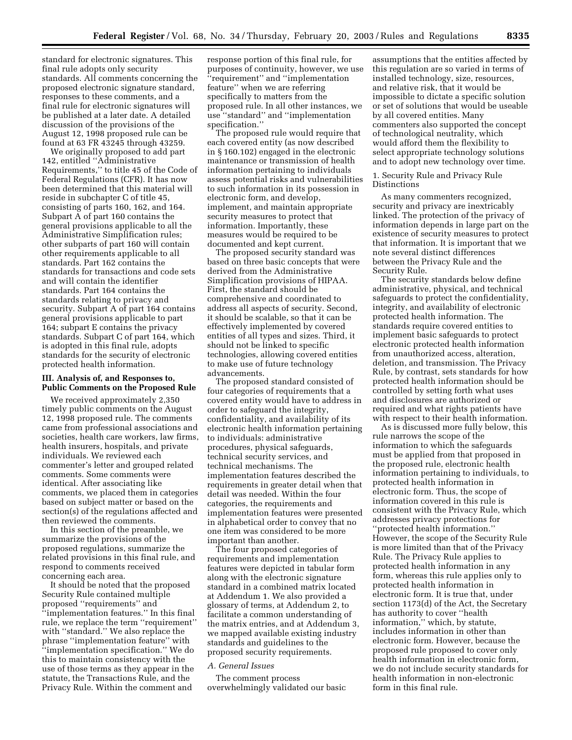standard for electronic signatures. This final rule adopts only security standards. All comments concerning the proposed electronic signature standard, responses to these comments, and a final rule for electronic signatures will be published at a later date. A detailed discussion of the provisions of the August 12, 1998 proposed rule can be found at 63 FR 43245 through 43259.

We originally proposed to add part 142, entitled ''Administrative Requirements,'' to title 45 of the Code of Federal Regulations (CFR). It has now been determined that this material will reside in subchapter C of title 45, consisting of parts 160, 162, and 164. Subpart A of part 160 contains the general provisions applicable to all the Administrative Simplification rules; other subparts of part 160 will contain other requirements applicable to all standards. Part 162 contains the standards for transactions and code sets and will contain the identifier standards. Part 164 contains the standards relating to privacy and security. Subpart A of part 164 contains general provisions applicable to part 164; subpart E contains the privacy standards. Subpart C of part 164, which is adopted in this final rule, adopts standards for the security of electronic protected health information.

## **III. Analysis of, and Responses to, Public Comments on the Proposed Rule**

We received approximately 2,350 timely public comments on the August 12, 1998 proposed rule. The comments came from professional associations and societies, health care workers, law firms, health insurers, hospitals, and private individuals. We reviewed each commenter's letter and grouped related comments. Some comments were identical. After associating like comments, we placed them in categories based on subject matter or based on the section(s) of the regulations affected and then reviewed the comments.

In this section of the preamble, we summarize the provisions of the proposed regulations, summarize the related provisions in this final rule, and respond to comments received concerning each area.

It should be noted that the proposed Security Rule contained multiple proposed ''requirements'' and ''implementation features.'' In this final rule, we replace the term ''requirement'' with ''standard.'' We also replace the phrase ''implementation feature'' with ''implementation specification.'' We do this to maintain consistency with the use of those terms as they appear in the statute, the Transactions Rule, and the Privacy Rule. Within the comment and

response portion of this final rule, for purposes of continuity, however, we use ''requirement'' and ''implementation feature'' when we are referring specifically to matters from the proposed rule. In all other instances, we use ''standard'' and ''implementation specification.''

The proposed rule would require that each covered entity (as now described in § 160.102) engaged in the electronic maintenance or transmission of health information pertaining to individuals assess potential risks and vulnerabilities to such information in its possession in electronic form, and develop, implement, and maintain appropriate security measures to protect that information. Importantly, these measures would be required to be documented and kept current.

The proposed security standard was based on three basic concepts that were derived from the Administrative Simplification provisions of HIPAA. First, the standard should be comprehensive and coordinated to address all aspects of security. Second, it should be scalable, so that it can be effectively implemented by covered entities of all types and sizes. Third, it should not be linked to specific technologies, allowing covered entities to make use of future technology advancements.

The proposed standard consisted of four categories of requirements that a covered entity would have to address in order to safeguard the integrity, confidentiality, and availability of its electronic health information pertaining to individuals: administrative procedures, physical safeguards, technical security services, and technical mechanisms. The implementation features described the requirements in greater detail when that detail was needed. Within the four categories, the requirements and implementation features were presented in alphabetical order to convey that no one item was considered to be more important than another.

The four proposed categories of requirements and implementation features were depicted in tabular form along with the electronic signature standard in a combined matrix located at Addendum 1. We also provided a glossary of terms, at Addendum 2, to facilitate a common understanding of the matrix entries, and at Addendum 3, we mapped available existing industry standards and guidelines to the proposed security requirements.

## *A. General Issues*

The comment process overwhelmingly validated our basic

assumptions that the entities affected by this regulation are so varied in terms of installed technology, size, resources, and relative risk, that it would be impossible to dictate a specific solution or set of solutions that would be useable by all covered entities. Many commenters also supported the concept of technological neutrality, which would afford them the flexibility to select appropriate technology solutions and to adopt new technology over time.

1. Security Rule and Privacy Rule Distinctions

As many commenters recognized, security and privacy are inextricably linked. The protection of the privacy of information depends in large part on the existence of security measures to protect that information. It is important that we note several distinct differences between the Privacy Rule and the Security Rule.

The security standards below define administrative, physical, and technical safeguards to protect the confidentiality, integrity, and availability of electronic protected health information. The standards require covered entities to implement basic safeguards to protect electronic protected health information from unauthorized access, alteration, deletion, and transmission. The Privacy Rule, by contrast, sets standards for how protected health information should be controlled by setting forth what uses and disclosures are authorized or required and what rights patients have with respect to their health information.

As is discussed more fully below, this rule narrows the scope of the information to which the safeguards must be applied from that proposed in the proposed rule, electronic health information pertaining to individuals, to protected health information in electronic form. Thus, the scope of information covered in this rule is consistent with the Privacy Rule, which addresses privacy protections for ''protected health information.'' However, the scope of the Security Rule is more limited than that of the Privacy Rule. The Privacy Rule applies to protected health information in any form, whereas this rule applies only to protected health information in electronic form. It is true that, under section 1173(d) of the Act, the Secretary has authority to cover ''health information,'' which, by statute, includes information in other than electronic form. However, because the proposed rule proposed to cover only health information in electronic form, we do not include security standards for health information in non-electronic form in this final rule.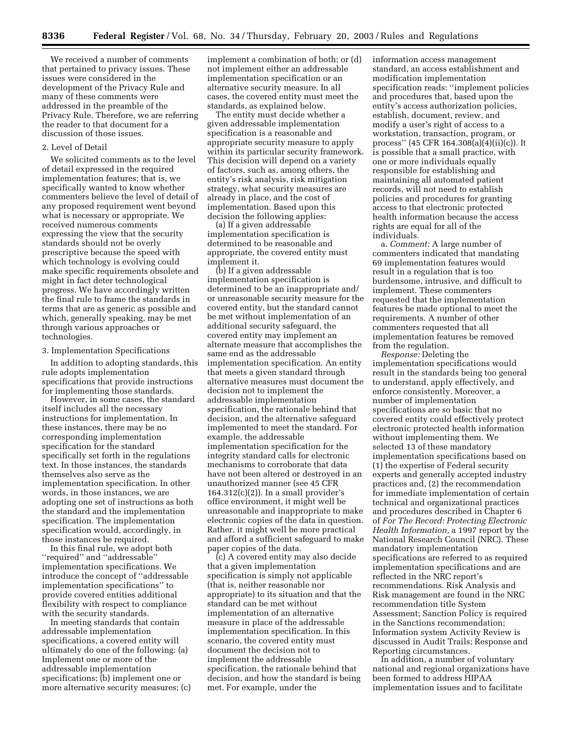We received a number of comments that pertained to privacy issues. These issues were considered in the development of the Privacy Rule and many of these comments were addressed in the preamble of the Privacy Rule. Therefore, we are referring the reader to that document for a discussion of those issues.

## 2. Level of Detail

We solicited comments as to the level of detail expressed in the required implementation features; that is, we specifically wanted to know whether commenters believe the level of detail of any proposed requirement went beyond what is necessary or appropriate. We received numerous comments expressing the view that the security standards should not be overly prescriptive because the speed with which technology is evolving could make specific requirements obsolete and might in fact deter technological progress. We have accordingly written the final rule to frame the standards in terms that are as generic as possible and which, generally speaking, may be met through various approaches or technologies.

#### 3. Implementation Specifications

In addition to adopting standards, this rule adopts implementation specifications that provide instructions for implementing those standards.

However, in some cases, the standard itself includes all the necessary instructions for implementation. In these instances, there may be no corresponding implementation specification for the standard specifically set forth in the regulations text. In those instances, the standards themselves also serve as the implementation specification. In other words, in those instances, we are adopting one set of instructions as both the standard and the implementation specification. The implementation specification would, accordingly, in those instances be required.

In this final rule, we adopt both ''required'' and ''addressable'' implementation specifications. We introduce the concept of ''addressable implementation specifications'' to provide covered entities additional flexibility with respect to compliance with the security standards.

In meeting standards that contain addressable implementation specifications, a covered entity will ultimately do one of the following: (a) Implement one or more of the addressable implementation specifications; (b) implement one or more alternative security measures; (c) implement a combination of both; or (d) not implement either an addressable implementation specification or an alternative security measure. In all cases, the covered entity must meet the standards, as explained below.

The entity must decide whether a given addressable implementation specification is a reasonable and appropriate security measure to apply within its particular security framework. This decision will depend on a variety of factors, such as, among others, the entity's risk analysis, risk mitigation strategy, what security measures are already in place, and the cost of implementation. Based upon this decision the following applies:

(a) If a given addressable implementation specification is determined to be reasonable and appropriate, the covered entity must implement it.

(b) If a given addressable implementation specification is determined to be an inappropriate and/ or unreasonable security measure for the covered entity, but the standard cannot be met without implementation of an additional security safeguard, the covered entity may implement an alternate measure that accomplishes the same end as the addressable implementation specification. An entity that meets a given standard through alternative measures must document the decision not to implement the addressable implementation specification, the rationale behind that decision, and the alternative safeguard implemented to meet the standard. For example, the addressable implementation specification for the integrity standard calls for electronic mechanisms to corroborate that data have not been altered or destroyed in an unauthorized manner (see 45 CFR  $164.312(c)(2)$ ). In a small provider's office environment, it might well be unreasonable and inappropriate to make electronic copies of the data in question. Rather, it might well be more practical and afford a sufficient safeguard to make paper copies of the data.

(c) A covered entity may also decide that a given implementation specification is simply not applicable (that is, neither reasonable nor appropriate) to its situation and that the standard can be met without implementation of an alternative measure in place of the addressable implementation specification. In this scenario, the covered entity must document the decision not to implement the addressable specification, the rationale behind that decision, and how the standard is being met. For example, under the

information access management standard, an access establishment and modification implementation specification reads: ''implement policies and procedures that, based upon the entity's access authorization policies, establish, document, review, and modify a user's right of access to a workstation, transaction, program, or process" (45 CFR 164.308(a)( $\bar{4}$ )(ii)(c)). It is possible that a small practice, with one or more individuals equally responsible for establishing and maintaining all automated patient records, will not need to establish policies and procedures for granting access to that electronic protected health information because the access rights are equal for all of the individuals.

a. *Comment:* A large number of commenters indicated that mandating 69 implementation features would result in a regulation that is too burdensome, intrusive, and difficult to implement. These commenters requested that the implementation features be made optional to meet the requirements. A number of other commenters requested that all implementation features be removed from the regulation.

*Response:* Deleting the implementation specifications would result in the standards being too general to understand, apply effectively, and enforce consistently. Moreover, a number of implementation specifications are so basic that no covered entity could effectively protect electronic protected health information without implementing them. We selected 13 of these mandatory implementation specifications based on (1) the expertise of Federal security experts and generally accepted industry practices and, (2) the recommendation for immediate implementation of certain technical and organizational practices and procedures described in Chapter 6 of *For The Record: Protecting Electronic Health Information,* a 1997 report by the National Research Council (NRC). These mandatory implementation specifications are referred to as required implementation specifications and are reflected in the NRC report's recommendations. Risk Analysis and Risk management are found in the NRC recommendation title System Assessment; Sanction Policy is required in the Sanctions recommendation; Information system Activity Review is discussed in Audit Trails; Response and Reporting circumstances.

In addition, a number of voluntary national and regional organizations have been formed to address HIPAA implementation issues and to facilitate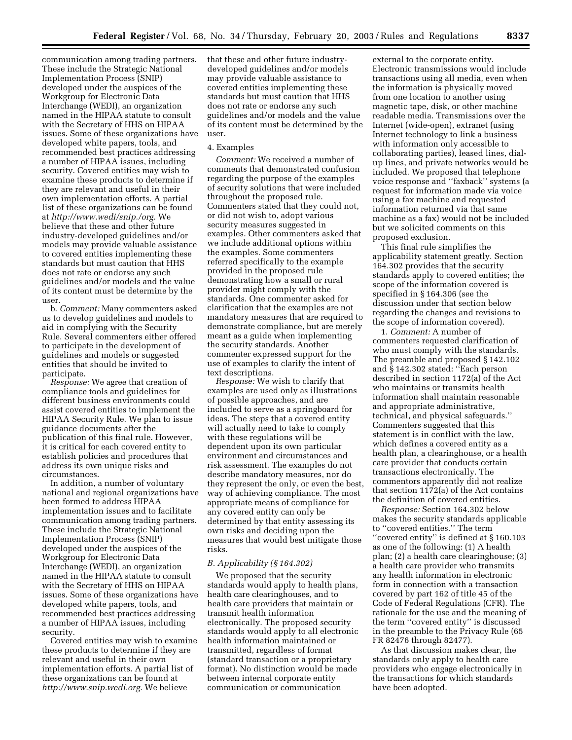communication among trading partners. These include the Strategic National Implementation Process (SNIP) developed under the auspices of the Workgroup for Electronic Data Interchange (WEDI), an organization named in the HIPAA statute to consult with the Secretary of HHS on HIPAA issues. Some of these organizations have developed white papers, tools, and recommended best practices addressing a number of HIPAA issues, including security. Covered entities may wish to examine these products to determine if they are relevant and useful in their own implementation efforts. A partial list of these organizations can be found at *[http://www.wedi/snip./org.](http://www.wedi/snip./org)* We believe that these and other future industry-developed guidelines and/or models may provide valuable assistance to covered entities implementing these standards but must caution that HHS does not rate or endorse any such guidelines and/or models and the value of its content must be determine by the user.

b. *Comment:* Many commenters asked us to develop guidelines and models to aid in complying with the Security Rule. Several commenters either offered to participate in the development of guidelines and models or suggested entities that should be invited to participate.

*Response:* We agree that creation of compliance tools and guidelines for different business environments could assist covered entities to implement the HIPAA Security Rule. We plan to issue guidance documents after the publication of this final rule. However, it is critical for each covered entity to establish policies and procedures that address its own unique risks and circumstances.

In addition, a number of voluntary national and regional organizations have been formed to address HIPAA implementation issues and to facilitate communication among trading partners. These include the Strategic National Implementation Process (SNIP) developed under the auspices of the Workgroup for Electronic Data Interchange (WEDI), an organization named in the HIPAA statute to consult with the Secretary of HHS on HIPAA issues. Some of these organizations have developed white papers, tools, and recommended best practices addressing a number of HIPAA issues, including security.

Covered entities may wish to examine these products to determine if they are relevant and useful in their own implementation efforts. A partial list of these organizations can be found at *[http://www.snip.wedi.org.](http://www.snip.wedi.org)* We believe

that these and other future industrydeveloped guidelines and/or models may provide valuable assistance to covered entities implementing these standards but must caution that HHS does not rate or endorse any such guidelines and/or models and the value of its content must be determined by the user.

## 4. Examples

*Comment:* We received a number of comments that demonstrated confusion regarding the purpose of the examples of security solutions that were included throughout the proposed rule. Commenters stated that they could not, or did not wish to, adopt various security measures suggested in examples. Other commenters asked that we include additional options within the examples. Some commenters referred specifically to the example provided in the proposed rule demonstrating how a small or rural provider might comply with the standards. One commenter asked for clarification that the examples are not mandatory measures that are required to demonstrate compliance, but are merely meant as a guide when implementing the security standards. Another commenter expressed support for the use of examples to clarify the intent of text descriptions.

*Response:* We wish to clarify that examples are used only as illustrations of possible approaches, and are included to serve as a springboard for ideas. The steps that a covered entity will actually need to take to comply with these regulations will be dependent upon its own particular environment and circumstances and risk assessment. The examples do not describe mandatory measures, nor do they represent the only, or even the best, way of achieving compliance. The most appropriate means of compliance for any covered entity can only be determined by that entity assessing its own risks and deciding upon the measures that would best mitigate those risks.

#### *B. Applicability (§ 164.302)*

We proposed that the security standards would apply to health plans, health care clearinghouses, and to health care providers that maintain or transmit health information electronically. The proposed security standards would apply to all electronic health information maintained or transmitted, regardless of format (standard transaction or a proprietary format). No distinction would be made between internal corporate entity communication or communication

external to the corporate entity. Electronic transmissions would include transactions using all media, even when the information is physically moved from one location to another using magnetic tape, disk, or other machine readable media. Transmissions over the Internet (wide-open), extranet (using Internet technology to link a business with information only accessible to collaborating parties), leased lines, dialup lines, and private networks would be included. We proposed that telephone voice response and ''faxback'' systems (a request for information made via voice using a fax machine and requested information returned via that same machine as a fax) would not be included but we solicited comments on this proposed exclusion.

This final rule simplifies the applicability statement greatly. Section 164.302 provides that the security standards apply to covered entities; the scope of the information covered is specified in § 164.306 (see the discussion under that section below regarding the changes and revisions to the scope of information covered).

1. *Comment:* A number of commenters requested clarification of who must comply with the standards. The preamble and proposed § 142.102 and § 142.302 stated: ''Each person described in section 1172(a) of the Act who maintains or transmits health information shall maintain reasonable and appropriate administrative, technical, and physical safeguards.'' Commenters suggested that this statement is in conflict with the law, which defines a covered entity as a health plan, a clearinghouse, or a health care provider that conducts certain transactions electronically. The commentors apparently did not realize that section 1172(a) of the Act contains the definition of covered entities.

*Response:* Section 164.302 below makes the security standards applicable to ''covered entities.'' The term ''covered entity'' is defined at § 160.103 as one of the following: (1) A health plan; (2) a health care clearinghouse; (3) a health care provider who transmits any health information in electronic form in connection with a transaction covered by part 162 of title 45 of the Code of Federal Regulations (CFR). The rationale for the use and the meaning of the term ''covered entity'' is discussed in the preamble to the Privacy Rule (65 FR 82476 through 82477).

As that discussion makes clear, the standards only apply to health care providers who engage electronically in the transactions for which standards have been adopted.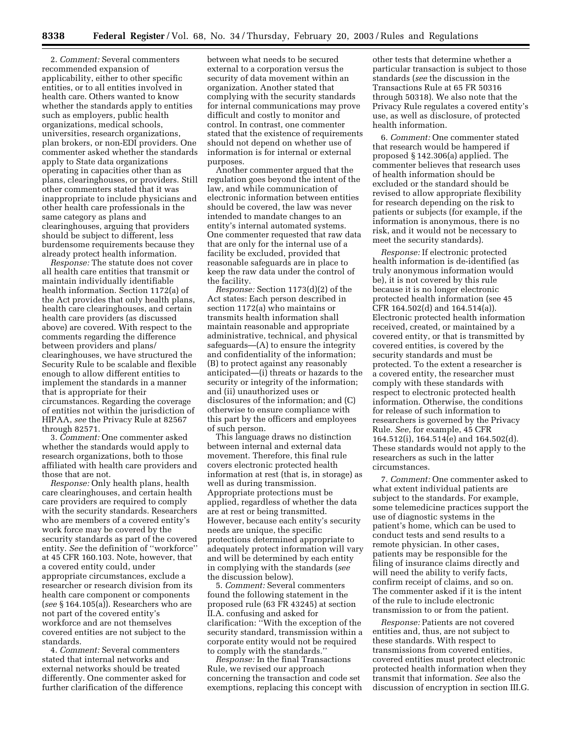2. *Comment:* Several commenters recommended expansion of applicability, either to other specific entities, or to all entities involved in health care. Others wanted to know whether the standards apply to entities such as employers, public health organizations, medical schools, universities, research organizations, plan brokers, or non-EDI providers. One commenter asked whether the standards apply to State data organizations operating in capacities other than as plans, clearinghouses, or providers. Still other commenters stated that it was inappropriate to include physicians and other health care professionals in the same category as plans and clearinghouses, arguing that providers should be subject to different, less burdensome requirements because they already protect health information.

*Response:* The statute does not cover all health care entities that transmit or maintain individually identifiable health information. Section 1172(a) of the Act provides that only health plans, health care clearinghouses, and certain health care providers (as discussed above) are covered. With respect to the comments regarding the difference between providers and plans/ clearinghouses, we have structured the Security Rule to be scalable and flexible enough to allow different entities to implement the standards in a manner that is appropriate for their circumstances. Regarding the coverage of entities not within the jurisdiction of HIPAA, *see* the Privacy Rule at 82567 through 82571.

3. *Comment:* One commenter asked whether the standards would apply to research organizations, both to those affiliated with health care providers and those that are not.

*Response:* Only health plans, health care clearinghouses, and certain health care providers are required to comply with the security standards. Researchers who are members of a covered entity's work force may be covered by the security standards as part of the covered entity. *See* the definition of ''workforce'' at 45 CFR 160.103. Note, however, that a covered entity could, under appropriate circumstances, exclude a researcher or research division from its health care component or components (*see* § 164.105(a)). Researchers who are not part of the covered entity's workforce and are not themselves covered entities are not subject to the standards.

4. *Comment:* Several commenters stated that internal networks and external networks should be treated differently. One commenter asked for further clarification of the difference

between what needs to be secured external to a corporation versus the security of data movement within an organization. Another stated that complying with the security standards for internal communications may prove difficult and costly to monitor and control. In contrast, one commenter stated that the existence of requirements should not depend on whether use of information is for internal or external purposes.

Another commenter argued that the regulation goes beyond the intent of the law, and while communication of electronic information between entities should be covered, the law was never intended to mandate changes to an entity's internal automated systems. One commenter requested that raw data that are only for the internal use of a facility be excluded, provided that reasonable safeguards are in place to keep the raw data under the control of the facility.

*Response:* Section 1173(d)(2) of the Act states: Each person described in section 1172(a) who maintains or transmits health information shall maintain reasonable and appropriate administrative, technical, and physical safeguards—(A) to ensure the integrity and confidentiality of the information; (B) to protect against any reasonably anticipated—(i) threats or hazards to the security or integrity of the information; and (ii) unauthorized uses or disclosures of the information; and (C) otherwise to ensure compliance with this part by the officers and employees of such person.

This language draws no distinction between internal and external data movement. Therefore, this final rule covers electronic protected health information at rest (that is, in storage) as well as during transmission. Appropriate protections must be applied, regardless of whether the data are at rest or being transmitted. However, because each entity's security needs are unique, the specific protections determined appropriate to adequately protect information will vary and will be determined by each entity in complying with the standards (*see* the discussion below).

5. *Comment:* Several commenters found the following statement in the proposed rule (63 FR 43245) at section II.A. confusing and asked for clarification: ''With the exception of the security standard, transmission within a corporate entity would not be required to comply with the standards.''

*Response:* In the final Transactions Rule, we revised our approach concerning the transaction and code set exemptions, replacing this concept with

other tests that determine whether a particular transaction is subject to those standards (*see* the discussion in the Transactions Rule at 65 FR 50316 through 50318). We also note that the Privacy Rule regulates a covered entity's use, as well as disclosure, of protected health information.

6. *Comment:* One commenter stated that research would be hampered if proposed § 142.306(a) applied. The commenter believes that research uses of health information should be excluded or the standard should be revised to allow appropriate flexibility for research depending on the risk to patients or subjects (for example, if the information is anonymous, there is no risk, and it would not be necessary to meet the security standards).

*Response:* If electronic protected health information is de-identified (as truly anonymous information would be), it is not covered by this rule because it is no longer electronic protected health information (see 45 CFR 164.502(d) and 164.514(a)). Electronic protected health information received, created, or maintained by a covered entity, or that is transmitted by covered entities, is covered by the security standards and must be protected. To the extent a researcher is a covered entity, the researcher must comply with these standards with respect to electronic protected health information. Otherwise, the conditions for release of such information to researchers is governed by the Privacy Rule. *See,* for example, 45 CFR 164.512(i), 164.514(e) and 164.502(d). These standards would not apply to the researchers as such in the latter circumstances.

7. *Comment:* One commenter asked to what extent individual patients are subject to the standards. For example, some telemedicine practices support the use of diagnostic systems in the patient's home, which can be used to conduct tests and send results to a remote physician. In other cases, patients may be responsible for the filing of insurance claims directly and will need the ability to verify facts, confirm receipt of claims, and so on. The commenter asked if it is the intent of the rule to include electronic transmission to or from the patient.

*Response:* Patients are not covered entities and, thus, are not subject to these standards. With respect to transmissions from covered entities, covered entities must protect electronic protected health information when they transmit that information. *See* also the discussion of encryption in section III.G.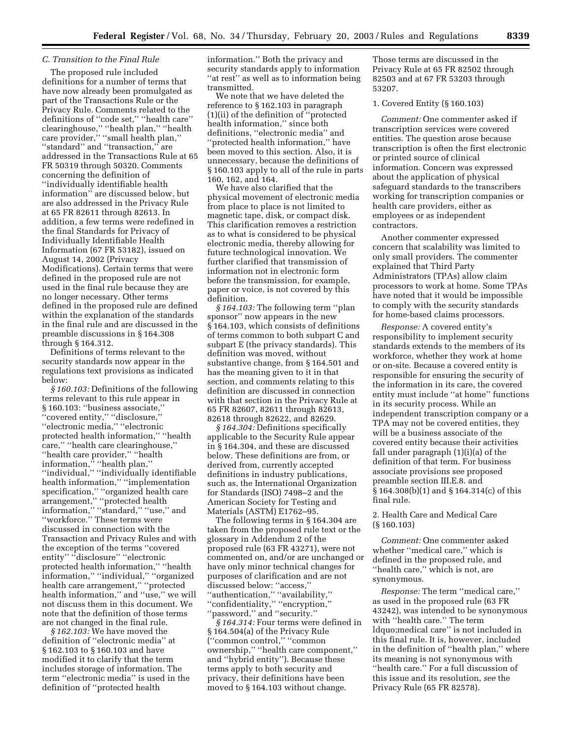## *C. Transition to the Final Rule*

The proposed rule included definitions for a number of terms that have now already been promulgated as part of the Transactions Rule or the Privacy Rule. Comments related to the definitions of ''code set,'' ''health care'' clearinghouse,'' ''health plan,'' ''health care provider,'' ''small health plan,'' "standard" and "transaction," are addressed in the Transactions Rule at 65 FR 50319 through 50320. Comments concerning the definition of ''individually identifiable health information'' are discussed below, but are also addressed in the Privacy Rule at 65 FR 82611 through 82613. In addition, a few terms were redefined in the final Standards for Privacy of Individually Identifiable Health Information (67 FR 53182), issued on August 14, 2002 (Privacy Modifications). Certain terms that were defined in the proposed rule are not used in the final rule because they are no longer necessary. Other terms defined in the proposed rule are defined within the explanation of the standards in the final rule and are discussed in the preamble discussions in § 164.308 through § 164.312.

Definitions of terms relevant to the security standards now appear in the regulations text provisions as indicated below:

*§ 160.103:* Definitions of the following terms relevant to this rule appear in § 160.103: ''business associate,'' "covered entity," "disclosure," ''electronic media,'' ''electronic protected health information,'' ''health care,'' ''health care clearinghouse,'' ''health care provider,'' ''health information,'' ''health plan,'' ''individual,'' ''individually identifiable health information,'' ''implementation specification,'' ''organized health care arrangement,'' ''protected health information,'' ''standard,'' ''use,'' and ''workforce.'' These terms were discussed in connection with the Transaction and Privacy Rules and with the exception of the terms ''covered entity'' ''disclosure'' ''electronic protected health information,'' ''health information,'' ''individual,'' ''organized health care arrangement,'' ''protected health information,'' and ''use,'' we will not discuss them in this document. We note that the definition of those terms are not changed in the final rule.

*§ 162.103:* We have moved the definition of ''electronic media'' at § 162.103 to § 160.103 and have modified it to clarify that the term includes storage of information. The term ''electronic media'' is used in the definition of ''protected health

information.'' Both the privacy and security standards apply to information ''at rest'' as well as to information being transmitted.

We note that we have deleted the reference to § 162.103 in paragraph (1)(ii) of the definition of ''protected health information,'' since both definitions, ''electronic media'' and ''protected health information,'' have been moved to this section. Also, it is unnecessary, because the definitions of § 160.103 apply to all of the rule in parts 160, 162, and 164.

We have also clarified that the physical movement of electronic media from place to place is not limited to magnetic tape, disk, or compact disk. This clarification removes a restriction as to what is considered to be physical electronic media, thereby allowing for future technological innovation. We further clarified that transmission of information not in electronic form before the transmission, for example, paper or voice, is not covered by this definition.

*§ 164.103:* The following term ''plan sponsor'' now appears in the new § 164.103, which consists of definitions of terms common to both subpart C and subpart E (the privacy standards). This definition was moved, without substantive change, from § 164.501 and has the meaning given to it in that section, and comments relating to this definition are discussed in connection with that section in the Privacy Rule at 65 FR 82607, 82611 through 82613, 82618 through 82622, and 82629.

*§ 164.304:* Definitions specifically applicable to the Security Rule appear in § 164.304, and these are discussed below. These definitions are from, or derived from, currently accepted definitions in industry publications, such as, the International Organization for Standards (ISO) 7498–2 and the American Society for Testing and Materials (ASTM) E1762–95.

The following terms in § 164.304 are taken from the proposed rule text or the glossary in Addendum 2 of the proposed rule (63 FR 43271), were not commented on, and/or are unchanged or have only minor technical changes for purposes of clarification and are not discussed below: ''access,'' ''authentication,'' ''availability,'' ''confidentiality,'' ''encryption,'' ''password,'' and ''security.''

*§ 164.314:* Four terms were defined in § 164.504(a) of the Privacy Rule (''common control,'' ''common ownership,'' ''health care component,'' and ''hybrid entity''). Because these terms apply to both security and privacy, their definitions have been moved to § 164.103 without change.

Those terms are discussed in the Privacy Rule at 65 FR 82502 through 82503 and at 67 FR 53203 through 53207.

## 1. Covered Entity (§ 160.103)

*Comment:* One commenter asked if transcription services were covered entities. The question arose because transcription is often the first electronic or printed source of clinical information. Concern was expressed about the application of physical safeguard standards to the transcribers working for transcription companies or health care providers, either as employees or as independent contractors.

Another commenter expressed concern that scalability was limited to only small providers. The commenter explained that Third Party Administrators (TPAs) allow claim processors to work at home. Some TPAs have noted that it would be impossible to comply with the security standards for home-based claims processors.

*Response:* A covered entity's responsibility to implement security standards extends to the members of its workforce, whether they work at home or on-site. Because a covered entity is responsible for ensuring the security of the information in its care, the covered entity must include ''at home'' functions in its security process. While an independent transcription company or a TPA may not be covered entities, they will be a business associate of the covered entity because their activities fall under paragraph (1)(i)(a) of the definition of that term. For business associate provisions see proposed preamble section III.E.8. and § 164.308(b)(1) and § 164.314(c) of this final rule.

## 2. Health Care and Medical Care (§ 160.103)

*Comment:* One commenter asked whether ''medical care,'' which is defined in the proposed rule, and ''health care,'' which is not, are synonymous.

*Response:* The term ''medical care,'' as used in the proposed rule (63 FR 43242), was intended to be synonymous with ''health care.'' The term ldquo;medical care'' is not included in this final rule. It is, however, included in the definition of ''health plan,'' where its meaning is not synonymous with ''health care.'' For a full discussion of this issue and its resolution, *see* the Privacy Rule (65 FR 82578).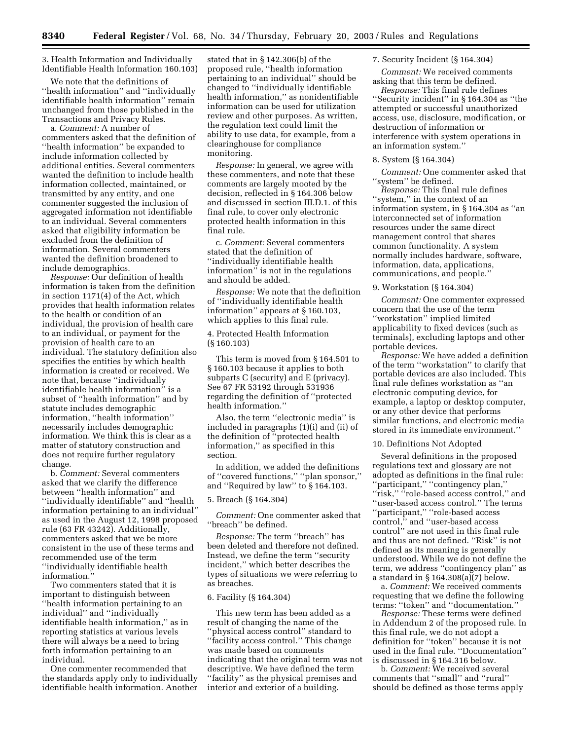3. Health Information and Individually Identifiable Health Information 160.103)

We note that the definitions of ''health information'' and ''individually identifiable health information'' remain unchanged from those published in the Transactions and Privacy Rules.

a. *Comment:* A number of commenters asked that the definition of ''health information'' be expanded to include information collected by additional entities. Several commenters wanted the definition to include health information collected, maintained, or transmitted by any entity, and one commenter suggested the inclusion of aggregated information not identifiable to an individual. Several commenters asked that eligibility information be excluded from the definition of information. Several commenters wanted the definition broadened to include demographics.

*Response:* Our definition of health information is taken from the definition in section 1171(4) of the Act, which provides that health information relates to the health or condition of an individual, the provision of health care to an individual, or payment for the provision of health care to an individual. The statutory definition also specifies the entities by which health information is created or received. We note that, because ''individually identifiable health information'' is a subset of ''health information'' and by statute includes demographic information, ''health information'' necessarily includes demographic information. We think this is clear as a matter of statutory construction and does not require further regulatory change.

b. *Comment:* Several commenters asked that we clarify the difference between ''health information'' and ''individually identifiable'' and ''health information pertaining to an individual'' as used in the August 12, 1998 proposed rule (63 FR 43242). Additionally, commenters asked that we be more consistent in the use of these terms and recommended use of the term ''individually identifiable health information.''

Two commenters stated that it is important to distinguish between ''health information pertaining to an individual'' and ''individually identifiable health information,'' as in reporting statistics at various levels there will always be a need to bring forth information pertaining to an individual.

One commenter recommended that the standards apply only to individually identifiable health information. Another stated that in § 142.306(b) of the proposed rule, ''health information pertaining to an individual'' should be changed to ''individually identifiable health information,'' as nonidentifiable information can be used for utilization review and other purposes. As written, the regulation text could limit the ability to use data, for example, from a clearinghouse for compliance monitoring.

*Response:* In general, we agree with these commenters, and note that these comments are largely mooted by the decision, reflected in § 164.306 below and discussed in section III.D.1. of this final rule, to cover only electronic protected health information in this final rule.

c. *Comment:* Several commenters stated that the definition of ''individually identifiable health information" is not in the regulations and should be added.

*Response:* We note that the definition of ''individually identifiable health information'' appears at § 160.103, which applies to this final rule.

4. Protected Health Information (§ 160.103)

This term is moved from § 164.501 to § 160.103 because it applies to both subparts C (security) and E (privacy). See 67 FR 53192 through 531936 regarding the definition of ''protected health information.''

Also, the term ''electronic media'' is included in paragraphs (1)(i) and (ii) of the definition of ''protected health information,'' as specified in this section.

In addition, we added the definitions of ''covered functions,'' ''plan sponsor,'' and ''Required by law'' to § 164.103.

#### 5. Breach (§ 164.304)

*Comment:* One commenter asked that "breach" be defined.

*Response:* The term ''breach'' has been deleted and therefore not defined. Instead, we define the term ''security incident,'' which better describes the types of situations we were referring to as breaches.

## 6. Facility (§ 164.304)

This new term has been added as a result of changing the name of the ''physical access control'' standard to ''facility access control.'' This change was made based on comments indicating that the original term was not descriptive. We have defined the term ''facility'' as the physical premises and interior and exterior of a building.

## 7. Security Incident (§ 164.304)

*Comment:* We received comments asking that this term be defined.

*Response:* This final rule defines ''Security incident'' in § 164.304 as ''the attempted or successful unauthorized access, use, disclosure, modification, or destruction of information or interference with system operations in an information system.''

## 8. System (§ 164.304)

*Comment:* One commenter asked that ''system'' be defined.

*Response:* This final rule defines "system," in the context of an information system, in § 164.304 as ''an interconnected set of information resources under the same direct management control that shares common functionality. A system normally includes hardware, software, information, data, applications, communications, and people.''

9. Workstation (§ 164.304)

*Comment:* One commenter expressed concern that the use of the term ''workstation'' implied limited applicability to fixed devices (such as terminals), excluding laptops and other portable devices.

*Response:* We have added a definition of the term ''workstation'' to clarify that portable devices are also included. This final rule defines workstation as ''an electronic computing device, for example, a laptop or desktop computer, or any other device that performs similar functions, and electronic media stored in its immediate environment.''

## 10. Definitions Not Adopted

Several definitions in the proposed regulations text and glossary are not adopted as definitions in the final rule: ''participant,'' ''contingency plan,'' "risk," "role-based access control," and ''user-based access control.'' The terms ''participant,'' ''role-based access control,'' and ''user-based access control'' are not used in this final rule and thus are not defined. ''Risk'' is not defined as its meaning is generally understood. While we do not define the term, we address ''contingency plan'' as a standard in § 164.308(a) $(7)$  below.

a. *Comment:* We received comments requesting that we define the following terms: ''token'' and ''documentation.''

*Response:* These terms were defined in Addendum 2 of the proposed rule. In this final rule, we do not adopt a definition for ''token'' because it is not used in the final rule. ''Documentation'' is discussed in § 164.316 below.

b. *Comment:* We received several comments that ''small'' and ''rural'' should be defined as those terms apply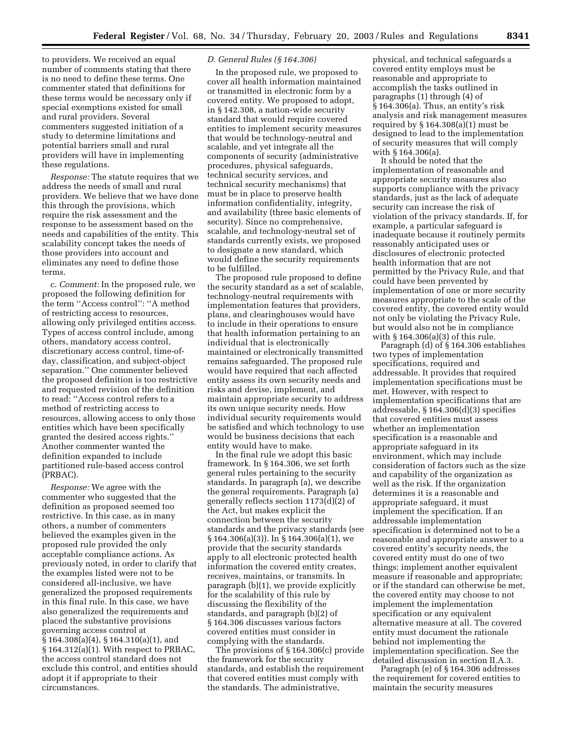to providers. We received an equal number of comments stating that there is no need to define these terms. One commenter stated that definitions for these terms would be necessary only if special exemptions existed for small and rural providers. Several commenters suggested initiation of a study to determine limitations and potential barriers small and rural providers will have in implementing these regulations.

*Response:* The statute requires that we address the needs of small and rural providers. We believe that we have done this through the provisions, which require the risk assessment and the response to be assessment based on the needs and capabilities of the entity. This scalability concept takes the needs of those providers into account and eliminates any need to define those terms.

c. *Comment:* In the proposed rule, we proposed the following definition for the term ''Access control'': ''A method of restricting access to resources, allowing only privileged entities access. Types of access control include, among others, mandatory access control, discretionary access control, time-ofday, classification, and subject-object separation.'' One commenter believed the proposed definition is too restrictive and requested revision of the definition to read: ''Access control refers to a method of restricting access to resources, allowing access to only those entities which have been specifically granted the desired access rights.'' Another commenter wanted the definition expanded to include partitioned rule-based access control (PRBAC).

*Response:* We agree with the commenter who suggested that the definition as proposed seemed too restrictive. In this case, as in many others, a number of commenters believed the examples given in the proposed rule provided the only acceptable compliance actions. As previously noted, in order to clarify that the examples listed were not to be considered all-inclusive, we have generalized the proposed requirements in this final rule. In this case, we have also generalized the requirements and placed the substantive provisions governing access control at § 164.308(a)(4), § 164.310(a)(1), and § 164.312(a)(1). With respect to PRBAC, the access control standard does not exclude this control, and entities should adopt it if appropriate to their circumstances.

## *D. General Rules (§ 164.306)*

In the proposed rule, we proposed to cover all health information maintained or transmitted in electronic form by a covered entity. We proposed to adopt, in § 142.308, a nation-wide security standard that would require covered entities to implement security measures that would be technology-neutral and scalable, and yet integrate all the components of security (administrative procedures, physical safeguards, technical security services, and technical security mechanisms) that must be in place to preserve health information confidentiality, integrity, and availability (three basic elements of security). Since no comprehensive, scalable, and technology-neutral set of standards currently exists, we proposed to designate a new standard, which would define the security requirements to be fulfilled.

The proposed rule proposed to define the security standard as a set of scalable, technology-neutral requirements with implementation features that providers, plans, and clearinghouses would have to include in their operations to ensure that health information pertaining to an individual that is electronically maintained or electronically transmitted remains safeguarded. The proposed rule would have required that each affected entity assess its own security needs and risks and devise, implement, and maintain appropriate security to address its own unique security needs. How individual security requirements would be satisfied and which technology to use would be business decisions that each entity would have to make.

In the final rule we adopt this basic framework. In § 164.306, we set forth general rules pertaining to the security standards. In paragraph (a), we describe the general requirements. Paragraph (a) generally reflects section 1173(d)(2) of the Act, but makes explicit the connection between the security standards and the privacy standards (see § 164.306(a)(3)). In § 164.306(a)(1), we provide that the security standards apply to all electronic protected health information the covered entity creates, receives, maintains, or transmits. In paragraph (b)(1), we provide explicitly for the scalability of this rule by discussing the flexibility of the standards, and paragraph (b)(2) of § 164.306 discusses various factors covered entities must consider in complying with the standards.

The provisions of § 164.306(c) provide the framework for the security standards, and establish the requirement that covered entities must comply with the standards. The administrative,

physical, and technical safeguards a covered entity employs must be reasonable and appropriate to accomplish the tasks outlined in paragraphs (1) through (4) of § 164.306(a). Thus, an entity's risk analysis and risk management measures required by § 164.308(a)(1) must be designed to lead to the implementation of security measures that will comply with § 164.306(a).

It should be noted that the implementation of reasonable and appropriate security measures also supports compliance with the privacy standards, just as the lack of adequate security can increase the risk of violation of the privacy standards. If, for example, a particular safeguard is inadequate because it routinely permits reasonably anticipated uses or disclosures of electronic protected health information that are not permitted by the Privacy Rule, and that could have been prevented by implementation of one or more security measures appropriate to the scale of the covered entity, the covered entity would not only be violating the Privacy Rule, but would also not be in compliance with § 164.306(a)(3) of this rule.

Paragraph (d) of § 164.306 establishes two types of implementation specifications, required and addressable. It provides that required implementation specifications must be met. However, with respect to implementation specifications that are addressable, § 164.306(d)(3) specifies that covered entities must assess whether an implementation specification is a reasonable and appropriate safeguard in its environment, which may include consideration of factors such as the size and capability of the organization as well as the risk. If the organization determines it is a reasonable and appropriate safeguard, it must implement the specification. If an addressable implementation specification is determined not to be a reasonable and appropriate answer to a covered entity's security needs, the covered entity must do one of two things: implement another equivalent measure if reasonable and appropriate; or if the standard can otherwise be met, the covered entity may choose to not implement the implementation specification or any equivalent alternative measure at all. The covered entity must document the rationale behind not implementing the implementation specification. See the detailed discussion in section II.A.3.

Paragraph (e) of § 164.306 addresses the requirement for covered entities to maintain the security measures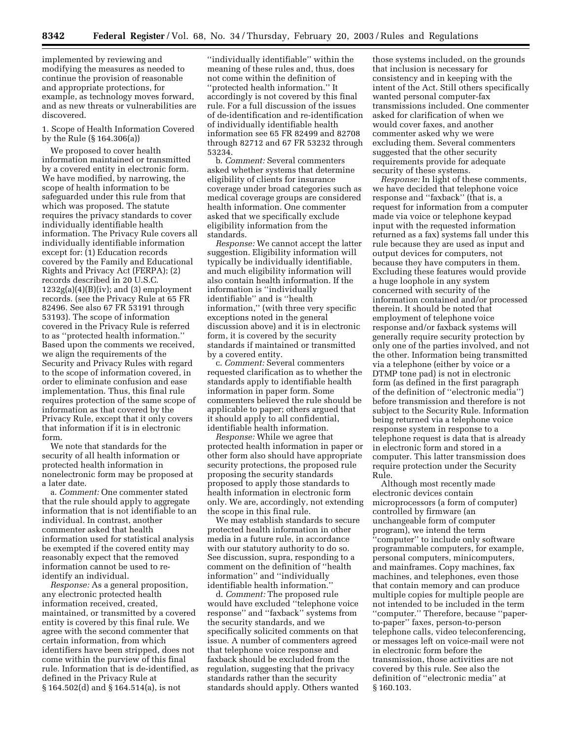implemented by reviewing and modifying the measures as needed to continue the provision of reasonable and appropriate protections, for example, as technology moves forward, and as new threats or vulnerabilities are discovered.

## 1. Scope of Health Information Covered by the Rule (§ 164.306(a))

We proposed to cover health information maintained or transmitted by a covered entity in electronic form. We have modified, by narrowing, the scope of health information to be safeguarded under this rule from that which was proposed. The statute requires the privacy standards to cover individually identifiable health information. The Privacy Rule covers all individually identifiable information except for: (1) Education records covered by the Family and Educational Rights and Privacy Act (FERPA); (2) records described in 20 U.S.C.  $1232g(a)(4)(B)(iv)$ ; and  $(3)$  employment records. (see the Privacy Rule at 65 FR 82496. See also 67 FR 53191 through 53193). The scope of information covered in the Privacy Rule is referred to as ''protected health information.'' Based upon the comments we received, we align the requirements of the Security and Privacy Rules with regard to the scope of information covered, in order to eliminate confusion and ease implementation. Thus, this final rule requires protection of the same scope of information as that covered by the Privacy Rule, except that it only covers that information if it is in electronic form.

We note that standards for the security of all health information or protected health information in nonelectronic form may be proposed at a later date.

a. *Comment:* One commenter stated that the rule should apply to aggregate information that is not identifiable to an individual. In contrast, another commenter asked that health information used for statistical analysis be exempted if the covered entity may reasonably expect that the removed information cannot be used to reidentify an individual.

*Response:* As a general proposition, any electronic protected health information received, created, maintained, or transmitted by a covered entity is covered by this final rule. We agree with the second commenter that certain information, from which identifiers have been stripped, does not come within the purview of this final rule. Information that is de-identified, as defined in the Privacy Rule at § 164.502(d) and § 164.514(a), is not

''individually identifiable'' within the meaning of these rules and, thus, does not come within the definition of ''protected health information.'' It accordingly is not covered by this final rule. For a full discussion of the issues of de-identification and re-identification of individually identifiable health information see 65 FR 82499 and 82708 through 82712 and 67 FR 53232 through 53234.

b. *Comment:* Several commenters asked whether systems that determine eligibility of clients for insurance coverage under broad categories such as medical coverage groups are considered health information. One commenter asked that we specifically exclude eligibility information from the standards.

*Response:* We cannot accept the latter suggestion. Eligibility information will typically be individually identifiable, and much eligibility information will also contain health information. If the information is ''individually identifiable'' and is ''health information,'' (with three very specific exceptions noted in the general discussion above) and it is in electronic form, it is covered by the security standards if maintained or transmitted by a covered entity.

c. *Comment:* Several commenters requested clarification as to whether the standards apply to identifiable health information in paper form. Some commenters believed the rule should be applicable to paper; others argued that it should apply to all confidential, identifiable health information.

*Response:* While we agree that protected health information in paper or other form also should have appropriate security protections, the proposed rule proposing the security standards proposed to apply those standards to health information in electronic form only. We are, accordingly, not extending the scope in this final rule.

We may establish standards to secure protected health information in other media in a future rule, in accordance with our statutory authority to do so. See discussion, supra, responding to a comment on the definition of ''health information'' and ''individually identifiable health information.''

d. *Comment:* The proposed rule would have excluded ''telephone voice response'' and ''faxback'' systems from the security standards, and we specifically solicited comments on that issue. A number of commenters agreed that telephone voice response and faxback should be excluded from the regulation, suggesting that the privacy standards rather than the security standards should apply. Others wanted

those systems included, on the grounds that inclusion is necessary for consistency and in keeping with the intent of the Act. Still others specifically wanted personal computer-fax transmissions included. One commenter asked for clarification of when we would cover faxes, and another commenter asked why we were excluding them. Several commenters suggested that the other security requirements provide for adequate security of these systems.

*Response:* In light of these comments, we have decided that telephone voice response and ''faxback'' (that is, a request for information from a computer made via voice or telephone keypad input with the requested information returned as a fax) systems fall under this rule because they are used as input and output devices for computers, not because they have computers in them. Excluding these features would provide a huge loophole in any system concerned with security of the information contained and/or processed therein. It should be noted that employment of telephone voice response and/or faxback systems will generally require security protection by only one of the parties involved, and not the other. Information being transmitted via a telephone (either by voice or a DTMP tone pad) is not in electronic form (as defined in the first paragraph of the definition of ''electronic media'') before transmission and therefore is not subject to the Security Rule. Information being returned via a telephone voice response system in response to a telephone request is data that is already in electronic form and stored in a computer. This latter transmission does require protection under the Security Rule.

Although most recently made electronic devices contain microprocessors (a form of computer) controlled by firmware (an unchangeable form of computer program), we intend the term ''computer'' to include only software programmable computers, for example, personal computers, minicomputers, and mainframes. Copy machines, fax machines, and telephones, even those that contain memory and can produce multiple copies for multiple people are not intended to be included in the term ''computer.'' Therefore, because ''paperto-paper'' faxes, person-to-person telephone calls, video teleconferencing, or messages left on voice-mail were not in electronic form before the transmission, those activities are not covered by this rule. See also the definition of ''electronic media'' at § 160.103.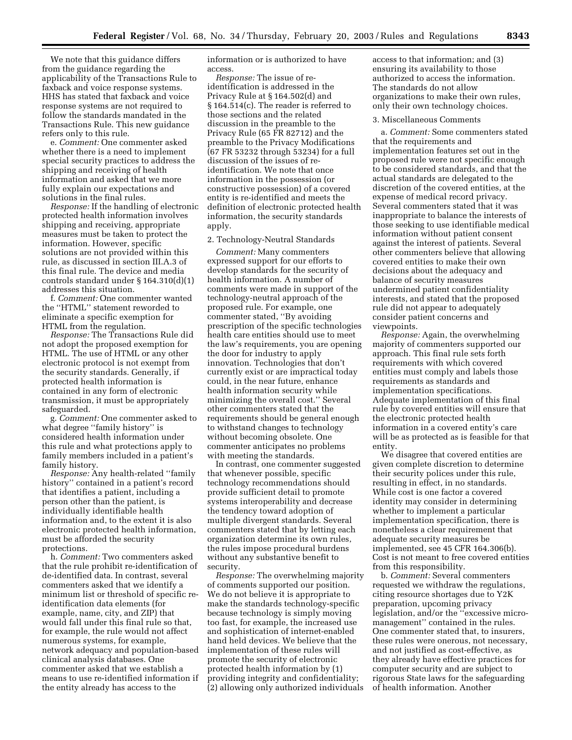We note that this guidance differs from the guidance regarding the applicability of the Transactions Rule to faxback and voice response systems. HHS has stated that faxback and voice response systems are not required to follow the standards mandated in the Transactions Rule. This new guidance refers only to this rule.

e. *Comment:* One commenter asked whether there is a need to implement special security practices to address the shipping and receiving of health information and asked that we more fully explain our expectations and solutions in the final rules.

*Response:* If the handling of electronic protected health information involves shipping and receiving, appropriate measures must be taken to protect the information. However, specific solutions are not provided within this rule, as discussed in section III.A.3 of this final rule. The device and media controls standard under § 164.310(d)(1) addresses this situation.

f. *Comment:* One commenter wanted the ''HTML'' statement reworded to eliminate a specific exemption for HTML from the regulation.

*Response:* The Transactions Rule did not adopt the proposed exemption for HTML. The use of HTML or any other electronic protocol is not exempt from the security standards. Generally, if protected health information is contained in any form of electronic transmission, it must be appropriately safeguarded.

g. *Comment:* One commenter asked to what degree "family history" is considered health information under this rule and what protections apply to family members included in a patient's family history.

*Response:* Any health-related ''family history'' contained in a patient's record that identifies a patient, including a person other than the patient, is individually identifiable health information and, to the extent it is also electronic protected health information, must be afforded the security protections.

h. *Comment:* Two commenters asked that the rule prohibit re-identification of de-identified data. In contrast, several commenters asked that we identify a minimum list or threshold of specific reidentification data elements (for example, name, city, and ZIP) that would fall under this final rule so that, for example, the rule would not affect numerous systems, for example, network adequacy and population-based clinical analysis databases. One commenter asked that we establish a means to use re-identified information if the entity already has access to the

information or is authorized to have access.

*Response:* The issue of reidentification is addressed in the Privacy Rule at § 164.502(d) and § 164.514(c). The reader is referred to those sections and the related discussion in the preamble to the Privacy Rule (65 FR 82712) and the preamble to the Privacy Modifications (67 FR 53232 through 53234) for a full discussion of the issues of reidentification. We note that once information in the possession (or constructive possession) of a covered entity is re-identified and meets the definition of electronic protected health information, the security standards apply.

2. Technology-Neutral Standards

*Comment:* Many commenters expressed support for our efforts to develop standards for the security of health information. A number of comments were made in support of the technology-neutral approach of the proposed rule. For example, one commenter stated, ''By avoiding prescription of the specific technologies health care entities should use to meet the law's requirements, you are opening the door for industry to apply innovation. Technologies that don't currently exist or are impractical today could, in the near future, enhance health information security while minimizing the overall cost.'' Several other commenters stated that the requirements should be general enough to withstand changes to technology without becoming obsolete. One commenter anticipates no problems with meeting the standards.

In contrast, one commenter suggested that whenever possible, specific technology recommendations should provide sufficient detail to promote systems interoperability and decrease the tendency toward adoption of multiple divergent standards. Several commenters stated that by letting each organization determine its own rules, the rules impose procedural burdens without any substantive benefit to security.

*Response:* The overwhelming majority of comments supported our position. We do not believe it is appropriate to make the standards technology-specific because technology is simply moving too fast, for example, the increased use and sophistication of internet-enabled hand held devices. We believe that the implementation of these rules will promote the security of electronic protected health information by (1) providing integrity and confidentiality; (2) allowing only authorized individuals access to that information; and (3) ensuring its availability to those authorized to access the information. The standards do not allow organizations to make their own rules, only their own technology choices.

#### 3. Miscellaneous Comments

a. *Comment:* Some commenters stated that the requirements and implementation features set out in the proposed rule were not specific enough to be considered standards, and that the actual standards are delegated to the discretion of the covered entities, at the expense of medical record privacy. Several commenters stated that it was inappropriate to balance the interests of those seeking to use identifiable medical information without patient consent against the interest of patients. Several other commenters believe that allowing covered entities to make their own decisions about the adequacy and balance of security measures undermined patient confidentiality interests, and stated that the proposed rule did not appear to adequately consider patient concerns and viewpoints.

*Response:* Again, the overwhelming majority of commenters supported our approach. This final rule sets forth requirements with which covered entities must comply and labels those requirements as standards and implementation specifications. Adequate implementation of this final rule by covered entities will ensure that the electronic protected health information in a covered entity's care will be as protected as is feasible for that entity.

We disagree that covered entities are given complete discretion to determine their security polices under this rule, resulting in effect, in no standards. While cost is one factor a covered identity may consider in determining whether to implement a particular implementation specification, there is nonetheless a clear requirement that adequate security measures be implemented, see 45 CFR 164.306(b). Cost is not meant to free covered entities from this responsibility.

b. *Comment:* Several commenters requested we withdraw the regulations, citing resource shortages due to Y2K preparation, upcoming privacy legislation, and/or the ''excessive micromanagement'' contained in the rules. One commenter stated that, to insurers, these rules were onerous, not necessary, and not justified as cost-effective, as they already have effective practices for computer security and are subject to rigorous State laws for the safeguarding of health information. Another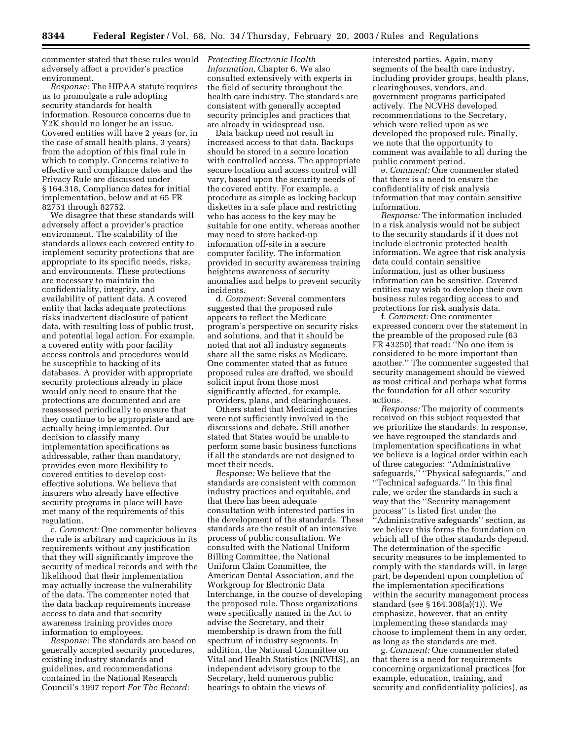commenter stated that these rules would *Protecting Electronic Health*  adversely affect a provider's practice environment.

*Response:* The HIPAA statute requires us to promulgate a rule adopting security standards for health information. Resource concerns due to Y2K should no longer be an issue. Covered entities will have 2 years (or, in the case of small health plans, 3 years) from the adoption of this final rule in which to comply. Concerns relative to effective and compliance dates and the Privacy Rule are discussed under § 164.318, Compliance dates for initial implementation, below and at 65 FR 82751 through 82752.

We disagree that these standards will adversely affect a provider's practice environment. The scalability of the standards allows each covered entity to implement security protections that are appropriate to its specific needs, risks, and environments. These protections are necessary to maintain the confidentiality, integrity, and availability of patient data. A covered entity that lacks adequate protections risks inadvertent disclosure of patient data, with resulting loss of public trust, and potential legal action. For example, a covered entity with poor facility access controls and procedures would be susceptible to hacking of its databases. A provider with appropriate security protections already in place would only need to ensure that the protections are documented and are reassessed periodically to ensure that they continue to be appropriate and are actually being implemented. Our decision to classify many implementation specifications as addressable, rather than mandatory, provides even more flexibility to covered entities to develop costeffective solutions. We believe that insurers who already have effective security programs in place will have met many of the requirements of this regulation.

c. *Comment:* One commenter believes the rule is arbitrary and capricious in its requirements without any justification that they will significantly improve the security of medical records and with the likelihood that their implementation may actually increase the vulnerability of the data. The commenter noted that the data backup requirements increase access to data and that security awareness training provides more information to employees.

*Response:* The standards are based on generally accepted security procedures, existing industry standards and guidelines, and recommendations contained in the National Research Council's 1997 report *For The Record:* 

*Information,* Chapter 6. We also consulted extensively with experts in the field of security throughout the health care industry. The standards are consistent with generally accepted security principles and practices that are already in widespread use.

Data backup need not result in increased access to that data. Backups should be stored in a secure location with controlled access. The appropriate secure location and access control will vary, based upon the security needs of the covered entity. For example, a procedure as simple as locking backup diskettes in a safe place and restricting who has access to the key may be suitable for one entity, whereas another may need to store backed-up information off-site in a secure computer facility. The information provided in security awareness training heightens awareness of security anomalies and helps to prevent security incidents.

d. *Comment:* Several commenters suggested that the proposed rule appears to reflect the Medicare program's perspective on security risks and solutions, and that it should be noted that not all industry segments share all the same risks as Medicare. One commenter stated that as future proposed rules are drafted, we should solicit input from those most significantly affected, for example, providers, plans, and clearinghouses.

Others stated that Medicaid agencies were not sufficiently involved in the discussions and debate. Still another stated that States would be unable to perform some basic business functions if all the standards are not designed to meet their needs.

*Response:* We believe that the standards are consistent with common industry practices and equitable, and that there has been adequate consultation with interested parties in the development of the standards. These standards are the result of an intensive process of public consultation. We consulted with the National Uniform Billing Committee, the National Uniform Claim Committee, the American Dental Association, and the Workgroup for Electronic Data Interchange, in the course of developing the proposed rule. Those organizations were specifically named in the Act to advise the Secretary, and their membership is drawn from the full spectrum of industry segments. In addition, the National Committee on Vital and Health Statistics (NCVHS), an independent advisory group to the Secretary, held numerous public hearings to obtain the views of

interested parties. Again, many segments of the health care industry, including provider groups, health plans, clearinghouses, vendors, and government programs participated actively. The NCVHS developed recommendations to the Secretary, which were relied upon as we developed the proposed rule. Finally, we note that the opportunity to comment was available to all during the public comment period.

e. *Comment:* One commenter stated that there is a need to ensure the confidentiality of risk analysis information that may contain sensitive information.

*Response:* The information included in a risk analysis would not be subject to the security standards if it does not include electronic protected health information. We agree that risk analysis data could contain sensitive information, just as other business information can be sensitive. Covered entities may wish to develop their own business rules regarding access to and protections for risk analysis data.

f. *Comment:* One commenter expressed concern over the statement in the preamble of the proposed rule (63 FR 43250) that read: ''No one item is considered to be more important than another.'' The commenter suggested that security management should be viewed as most critical and perhaps what forms the foundation for all other security actions.

*Response:* The majority of comments received on this subject requested that we prioritize the standards. In response, we have regrouped the standards and implementation specifications in what we believe is a logical order within each of three categories: ''Administrative safeguards," "Physical safeguards," and ''Technical safeguards.'' In this final rule, we order the standards in such a way that the ''Security management process'' is listed first under the ''Administrative safeguards'' section, as we believe this forms the foundation on which all of the other standards depend. The determination of the specific security measures to be implemented to comply with the standards will, in large part, be dependent upon completion of the implementation specifications within the security management process standard (see § 164.308(a)(1)). We emphasize, however, that an entity implementing these standards may choose to implement them in any order, as long as the standards are met.

g. *Comment:* One commenter stated that there is a need for requirements concerning organizational practices (for example, education, training, and security and confidentiality policies), as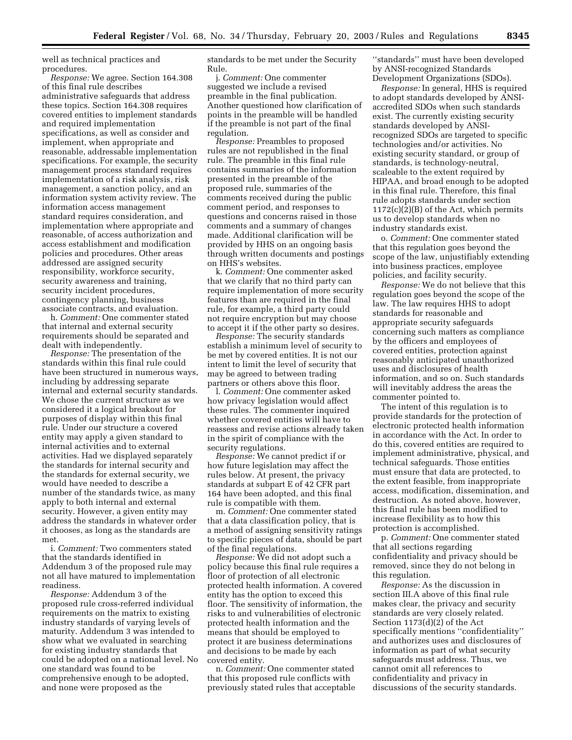well as technical practices and procedures.

*Response:* We agree. Section 164.308 of this final rule describes administrative safeguards that address these topics. Section 164.308 requires covered entities to implement standards and required implementation specifications, as well as consider and implement, when appropriate and reasonable, addressable implementation specifications. For example, the security management process standard requires implementation of a risk analysis, risk management, a sanction policy, and an information system activity review. The information access management standard requires consideration, and implementation where appropriate and reasonable, of access authorization and access establishment and modification policies and procedures. Other areas addressed are assigned security responsibility, workforce security, security awareness and training, security incident procedures, contingency planning, business associate contracts, and evaluation.

h. *Comment:* One commenter stated that internal and external security requirements should be separated and dealt with independently.

*Response:* The presentation of the standards within this final rule could have been structured in numerous ways, including by addressing separate internal and external security standards. We chose the current structure as we considered it a logical breakout for purposes of display within this final rule. Under our structure a covered entity may apply a given standard to internal activities and to external activities. Had we displayed separately the standards for internal security and the standards for external security, we would have needed to describe a number of the standards twice, as many apply to both internal and external security. However, a given entity may address the standards in whatever order it chooses, as long as the standards are met.

i. *Comment:* Two commenters stated that the standards identified in Addendum 3 of the proposed rule may not all have matured to implementation readiness.

*Response:* Addendum 3 of the proposed rule cross-referred individual requirements on the matrix to existing industry standards of varying levels of maturity. Addendum 3 was intended to show what we evaluated in searching for existing industry standards that could be adopted on a national level. No one standard was found to be comprehensive enough to be adopted, and none were proposed as the

standards to be met under the Security Rule.

j. *Comment:* One commenter suggested we include a revised preamble in the final publication. Another questioned how clarification of points in the preamble will be handled if the preamble is not part of the final regulation.

*Response:* Preambles to proposed rules are not republished in the final rule. The preamble in this final rule contains summaries of the information presented in the preamble of the proposed rule, summaries of the comments received during the public comment period, and responses to questions and concerns raised in those comments and a summary of changes made. Additional clarification will be provided by HHS on an ongoing basis through written documents and postings on HHS's websites.

k. *Comment:* One commenter asked that we clarify that no third party can require implementation of more security features than are required in the final rule, for example, a third party could not require encryption but may choose to accept it if the other party so desires.

*Response:* The security standards establish a minimum level of security to be met by covered entities. It is not our intent to limit the level of security that may be agreed to between trading partners or others above this floor.

l. *Comment:* One commenter asked how privacy legislation would affect these rules. The commenter inquired whether covered entities will have to reassess and revise actions already taken in the spirit of compliance with the security regulations.

*Response:* We cannot predict if or how future legislation may affect the rules below. At present, the privacy standards at subpart E of 42 CFR part 164 have been adopted, and this final rule is compatible with them.

m. *Comment:* One commenter stated that a data classification policy, that is a method of assigning sensitivity ratings to specific pieces of data, should be part of the final regulations.

*Response:* We did not adopt such a policy because this final rule requires a floor of protection of all electronic protected health information. A covered entity has the option to exceed this floor. The sensitivity of information, the risks to and vulnerabilities of electronic protected health information and the means that should be employed to protect it are business determinations and decisions to be made by each covered entity.

n. *Comment:* One commenter stated that this proposed rule conflicts with previously stated rules that acceptable ''standards'' must have been developed by ANSI-recognized Standards Development Organizations (SDOs).

*Response:* In general, HHS is required to adopt standards developed by ANSIaccredited SDOs when such standards exist. The currently existing security standards developed by ANSIrecognized SDOs are targeted to specific technologies and/or activities. No existing security standard, or group of standards, is technology-neutral, scaleable to the extent required by HIPAA, and broad enough to be adopted in this final rule. Therefore, this final rule adopts standards under section 1172(c)(2)(B) of the Act, which permits us to develop standards when no industry standards exist.

o. *Comment:* One commenter stated that this regulation goes beyond the scope of the law, unjustifiably extending into business practices, employee policies, and facility security.

*Response:* We do not believe that this regulation goes beyond the scope of the law. The law requires HHS to adopt standards for reasonable and appropriate security safeguards concerning such matters as compliance by the officers and employees of covered entities, protection against reasonably anticipated unauthorized uses and disclosures of health information, and so on. Such standards will inevitably address the areas the commenter pointed to.

The intent of this regulation is to provide standards for the protection of electronic protected health information in accordance with the Act. In order to do this, covered entities are required to implement administrative, physical, and technical safeguards. Those entities must ensure that data are protected, to the extent feasible, from inappropriate access, modification, dissemination, and destruction. As noted above, however, this final rule has been modified to increase flexibility as to how this protection is accomplished.

p. *Comment:* One commenter stated that all sections regarding confidentiality and privacy should be removed, since they do not belong in this regulation.

*Response:* As the discussion in section III.A above of this final rule makes clear, the privacy and security standards are very closely related. Section 1173(d)(2) of the Act specifically mentions ''confidentiality'' and authorizes uses and disclosures of information as part of what security safeguards must address. Thus, we cannot omit all references to confidentiality and privacy in discussions of the security standards.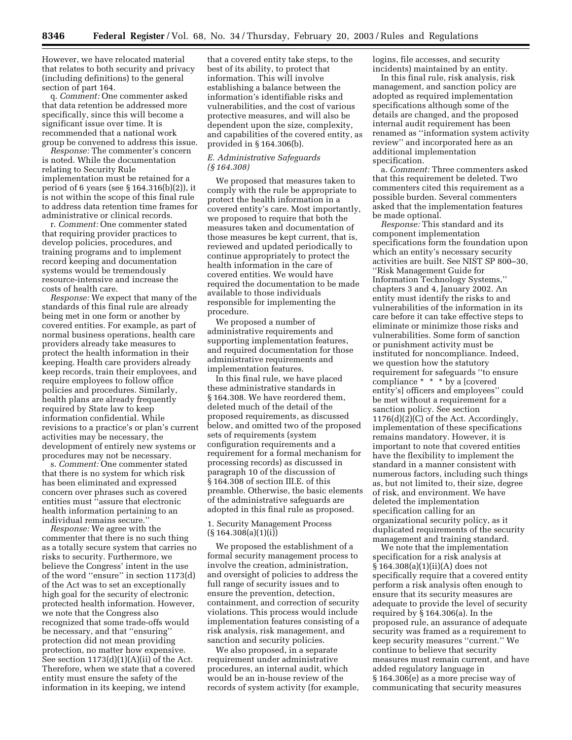However, we have relocated material that relates to both security and privacy (including definitions) to the general section of part 164.

q. *Comment:* One commenter asked that data retention be addressed more specifically, since this will become a significant issue over time. It is recommended that a national work group be convened to address this issue.

*Response:* The commenter's concern is noted. While the documentation relating to Security Rule implementation must be retained for a period of 6 years (see § 164.316(b)(2)), it is not within the scope of this final rule to address data retention time frames for administrative or clinical records.

r. *Comment:* One commenter stated that requiring provider practices to develop policies, procedures, and training programs and to implement record keeping and documentation systems would be tremendously resource-intensive and increase the costs of health care.

*Response:* We expect that many of the standards of this final rule are already being met in one form or another by covered entities. For example, as part of normal business operations, health care providers already take measures to protect the health information in their keeping. Health care providers already keep records, train their employees, and require employees to follow office policies and procedures. Similarly, health plans are already frequently required by State law to keep information confidential. While revisions to a practice's or plan's current activities may be necessary, the development of entirely new systems or procedures may not be necessary.

s. *Comment:* One commenter stated that there is no system for which risk has been eliminated and expressed concern over phrases such as covered entities must "assure that electronic health information pertaining to an individual remains secure.''

*Response:* We agree with the commenter that there is no such thing as a totally secure system that carries no risks to security. Furthermore, we believe the Congress' intent in the use of the word ''ensure'' in section 1173(d) of the Act was to set an exceptionally high goal for the security of electronic protected health information. However, we note that the Congress also recognized that some trade-offs would be necessary, and that ''ensuring'' protection did not mean providing protection, no matter how expensive. See section  $1173(d)(1)(A)(ii)$  of the Act. Therefore, when we state that a covered entity must ensure the safety of the information in its keeping, we intend

that a covered entity take steps, to the best of its ability, to protect that information. This will involve establishing a balance between the information's identifiable risks and vulnerabilities, and the cost of various protective measures, and will also be dependent upon the size, complexity, and capabilities of the covered entity, as provided in § 164.306(b).

## *E. Administrative Safeguards (§ 164.308)*

We proposed that measures taken to comply with the rule be appropriate to protect the health information in a covered entity's care. Most importantly, we proposed to require that both the measures taken and documentation of those measures be kept current, that is, reviewed and updated periodically to continue appropriately to protect the health information in the care of covered entities. We would have required the documentation to be made available to those individuals responsible for implementing the procedure.

We proposed a number of administrative requirements and supporting implementation features, and required documentation for those administrative requirements and implementation features.

In this final rule, we have placed these administrative standards in § 164.308. We have reordered them, deleted much of the detail of the proposed requirements, as discussed below, and omitted two of the proposed sets of requirements (system configuration requirements and a requirement for a formal mechanism for processing records) as discussed in paragraph 10 of the discussion of § 164.308 of section III.E. of this preamble. Otherwise, the basic elements of the administrative safeguards are adopted in this final rule as proposed.

## 1. Security Management Process  $(S 164.308(a)(1)(i))$

We proposed the establishment of a formal security management process to involve the creation, administration, and oversight of policies to address the full range of security issues and to ensure the prevention, detection, containment, and correction of security violations. This process would include implementation features consisting of a risk analysis, risk management, and sanction and security policies.

We also proposed, in a separate requirement under administrative procedures, an internal audit, which would be an in-house review of the records of system activity (for example, logins, file accesses, and security incidents) maintained by an entity.

In this final rule, risk analysis, risk management, and sanction policy are adopted as required implementation specifications although some of the details are changed, and the proposed internal audit requirement has been renamed as ''information system activity review'' and incorporated here as an additional implementation specification.

a. *Comment:* Three commenters asked that this requirement be deleted. Two commenters cited this requirement as a possible burden. Several commenters asked that the implementation features be made optional.

*Response:* This standard and its component implementation specifications form the foundation upon which an entity's necessary security activities are built. See NIST SP 800–30, ''Risk Management Guide for Information Technology Systems,'' chapters 3 and 4, January 2002. An entity must identify the risks to and vulnerabilities of the information in its care before it can take effective steps to eliminate or minimize those risks and vulnerabilities. Some form of sanction or punishment activity must be instituted for noncompliance. Indeed, we question how the statutory requirement for safeguards ''to ensure compliance \* \* \* by a [covered entity's] officers and employees'' could be met without a requirement for a sanction policy. See section 1176(d)(2)(C) of the Act. Accordingly, implementation of these specifications remains mandatory. However, it is important to note that covered entities have the flexibility to implement the standard in a manner consistent with numerous factors, including such things as, but not limited to, their size, degree of risk, and environment. We have deleted the implementation specification calling for an organizational security policy, as it duplicated requirements of the security management and training standard.

We note that the implementation specification for a risk analysis at § 164.308(a)(1)(ii)(A) does not specifically require that a covered entity perform a risk analysis often enough to ensure that its security measures are adequate to provide the level of security required by § 164.306(a). In the proposed rule, an assurance of adequate security was framed as a requirement to keep security measures ''current.'' We continue to believe that security measures must remain current, and have added regulatory language in § 164.306(e) as a more precise way of communicating that security measures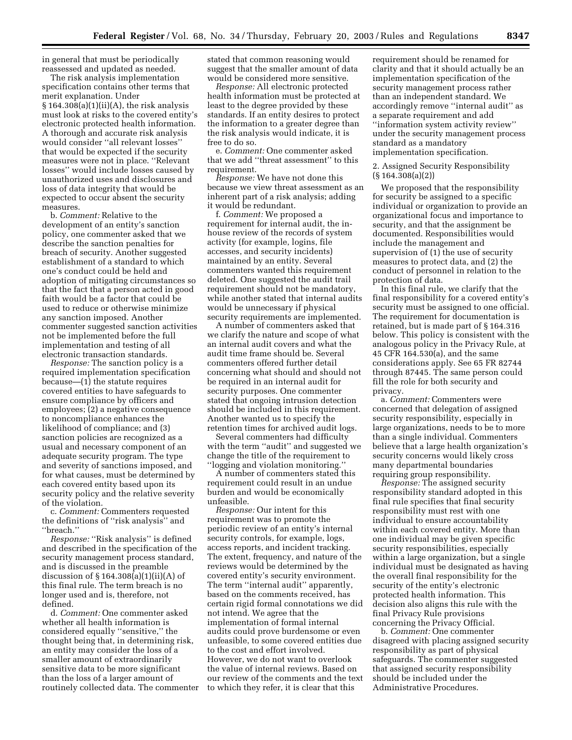in general that must be periodically reassessed and updated as needed.

The risk analysis implementation specification contains other terms that merit explanation. Under § 164.308(a)(1)(ii)(A), the risk analysis must look at risks to the covered entity's electronic protected health information. A thorough and accurate risk analysis would consider ''all relevant losses'' that would be expected if the security measures were not in place. ''Relevant losses'' would include losses caused by unauthorized uses and disclosures and loss of data integrity that would be expected to occur absent the security measures.

b. *Comment:* Relative to the development of an entity's sanction policy, one commenter asked that we describe the sanction penalties for breach of security. Another suggested establishment of a standard to which one's conduct could be held and adoption of mitigating circumstances so that the fact that a person acted in good faith would be a factor that could be used to reduce or otherwise minimize any sanction imposed. Another commenter suggested sanction activities not be implemented before the full implementation and testing of all electronic transaction standards.

*Response:* The sanction policy is a required implementation specification because—(1) the statute requires covered entities to have safeguards to ensure compliance by officers and employees; (2) a negative consequence to noncompliance enhances the likelihood of compliance; and (3) sanction policies are recognized as a usual and necessary component of an adequate security program. The type and severity of sanctions imposed, and for what causes, must be determined by each covered entity based upon its security policy and the relative severity of the violation.

c. *Comment:* Commenters requested the definitions of ''risk analysis'' and ''breach.''

*Response:* ''Risk analysis'' is defined and described in the specification of the security management process standard, and is discussed in the preamble discussion of  $\S 164.308(a)(1)(ii)(A)$  of this final rule. The term breach is no longer used and is, therefore, not defined.

d. *Comment:* One commenter asked whether all health information is considered equally ''sensitive,'' the thought being that, in determining risk, an entity may consider the loss of a smaller amount of extraordinarily sensitive data to be more significant than the loss of a larger amount of routinely collected data. The commenter stated that common reasoning would suggest that the smaller amount of data would be considered more sensitive.

*Response:* All electronic protected health information must be protected at least to the degree provided by these standards. If an entity desires to protect the information to a greater degree than the risk analysis would indicate, it is free to do so.

e. *Comment:* One commenter asked that we add ''threat assessment'' to this requirement.

*Response:* We have not done this because we view threat assessment as an inherent part of a risk analysis; adding it would be redundant.

f. *Comment:* We proposed a requirement for internal audit, the inhouse review of the records of system activity (for example, logins, file accesses, and security incidents) maintained by an entity. Several commenters wanted this requirement deleted. One suggested the audit trail requirement should not be mandatory, while another stated that internal audits would be unnecessary if physical security requirements are implemented.

A number of commenters asked that we clarify the nature and scope of what an internal audit covers and what the audit time frame should be. Several commenters offered further detail concerning what should and should not be required in an internal audit for security purposes. One commenter stated that ongoing intrusion detection should be included in this requirement. Another wanted us to specify the retention times for archived audit logs.

Several commenters had difficulty with the term ''audit'' and suggested we change the title of the requirement to ''logging and violation monitoring.''

A number of commenters stated this requirement could result in an undue burden and would be economically unfeasible.

*Response:* Our intent for this requirement was to promote the periodic review of an entity's internal security controls, for example, logs, access reports, and incident tracking. The extent, frequency, and nature of the reviews would be determined by the covered entity's security environment. The term ''internal audit'' apparently, based on the comments received, has certain rigid formal connotations we did not intend. We agree that the implementation of formal internal audits could prove burdensome or even unfeasible, to some covered entities due to the cost and effort involved. However, we do not want to overlook the value of internal reviews. Based on our review of the comments and the text to which they refer, it is clear that this

requirement should be renamed for clarity and that it should actually be an implementation specification of the security management process rather than an independent standard. We accordingly remove ''internal audit'' as a separate requirement and add ''information system activity review'' under the security management process standard as a mandatory implementation specification.

2. Assigned Security Responsibility (§ 164.308(a)(2))

We proposed that the responsibility for security be assigned to a specific individual or organization to provide an organizational focus and importance to security, and that the assignment be documented. Responsibilities would include the management and supervision of (1) the use of security measures to protect data, and (2) the conduct of personnel in relation to the protection of data.

In this final rule, we clarify that the final responsibility for a covered entity's security must be assigned to one official. The requirement for documentation is retained, but is made part of § 164.316 below. This policy is consistent with the analogous policy in the Privacy Rule, at 45 CFR 164.530(a), and the same considerations apply. See 65 FR 82744 through 87445. The same person could fill the role for both security and privacy.

a. *Comment:* Commenters were concerned that delegation of assigned security responsibility, especially in large organizations, needs to be to more than a single individual. Commenters believe that a large health organization's security concerns would likely cross many departmental boundaries requiring group responsibility.

*Response:* The assigned security responsibility standard adopted in this final rule specifies that final security responsibility must rest with one individual to ensure accountability within each covered entity. More than one individual may be given specific security responsibilities, especially within a large organization, but a single individual must be designated as having the overall final responsibility for the security of the entity's electronic protected health information. This decision also aligns this rule with the final Privacy Rule provisions concerning the Privacy Official.

b. *Comment:* One commenter disagreed with placing assigned security responsibility as part of physical safeguards. The commenter suggested that assigned security responsibility should be included under the Administrative Procedures.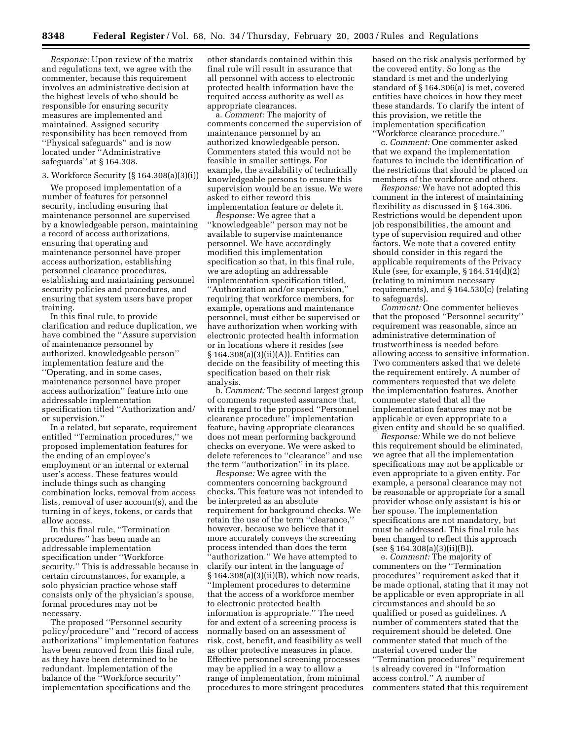*Response:* Upon review of the matrix and regulations text, we agree with the commenter, because this requirement involves an administrative decision at the highest levels of who should be responsible for ensuring security measures are implemented and maintained. Assigned security responsibility has been removed from ''Physical safeguards'' and is now located under ''Administrative safeguards'' at § 164.308.

#### 3. Workforce Security (§ 164.308(a)(3)(i))

We proposed implementation of a number of features for personnel security, including ensuring that maintenance personnel are supervised by a knowledgeable person, maintaining a record of access authorizations, ensuring that operating and maintenance personnel have proper access authorization, establishing personnel clearance procedures, establishing and maintaining personnel security policies and procedures, and ensuring that system users have proper training.

In this final rule, to provide clarification and reduce duplication, we have combined the ''Assure supervision of maintenance personnel by authorized, knowledgeable person'' implementation feature and the ''Operating, and in some cases, maintenance personnel have proper access authorization'' feature into one addressable implementation specification titled ''Authorization and/ or supervision.''

In a related, but separate, requirement entitled ''Termination procedures,'' we proposed implementation features for the ending of an employee's employment or an internal or external user's access. These features would include things such as changing combination locks, removal from access lists, removal of user account(s), and the turning in of keys, tokens, or cards that allow access.

In this final rule, ''Termination procedures'' has been made an addressable implementation specification under ''Workforce security.'' This is addressable because in certain circumstances, for example, a solo physician practice whose staff consists only of the physician's spouse, formal procedures may not be necessary.

The proposed "Personnel security policy/procedure'' and ''record of access authorizations'' implementation features have been removed from this final rule, as they have been determined to be redundant. Implementation of the balance of the "Workforce security" implementation specifications and the

other standards contained within this final rule will result in assurance that all personnel with access to electronic protected health information have the required access authority as well as appropriate clearances.

a. *Comment:* The majority of comments concerned the supervision of maintenance personnel by an authorized knowledgeable person. Commenters stated this would not be feasible in smaller settings. For example, the availability of technically knowledgeable persons to ensure this supervision would be an issue. We were asked to either reword this implementation feature or delete it.

*Response:* We agree that a ''knowledgeable'' person may not be available to supervise maintenance personnel. We have accordingly modified this implementation specification so that, in this final rule, we are adopting an addressable implementation specification titled, ''Authorization and/or supervision,'' requiring that workforce members, for example, operations and maintenance personnel, must either be supervised or have authorization when working with electronic protected health information or in locations where it resides (see § 164.308(a)(3)(ii)(A)). Entities can decide on the feasibility of meeting this specification based on their risk analysis.

b. *Comment:* The second largest group of comments requested assurance that, with regard to the proposed ''Personnel clearance procedure'' implementation feature, having appropriate clearances does not mean performing background checks on everyone. We were asked to delete references to ''clearance'' and use the term ''authorization'' in its place.

*Response:* We agree with the commenters concerning background checks. This feature was not intended to be interpreted as an absolute requirement for background checks. We retain the use of the term ''clearance,'' however, because we believe that it more accurately conveys the screening process intended than does the term ''authorization.'' We have attempted to clarify our intent in the language of § 164.308(a)(3)(ii)(B), which now reads, ''Implement procedures to determine that the access of a workforce member to electronic protected health information is appropriate.'' The need for and extent of a screening process is normally based on an assessment of risk, cost, benefit, and feasibility as well as other protective measures in place. Effective personnel screening processes may be applied in a way to allow a range of implementation, from minimal procedures to more stringent procedures based on the risk analysis performed by the covered entity. So long as the standard is met and the underlying standard of § 164.306(a) is met, covered entities have choices in how they meet these standards. To clarify the intent of this provision, we retitle the implementation specification

''Workforce clearance procedure.'' c. *Comment:* One commenter asked that we expand the implementation features to include the identification of the restrictions that should be placed on members of the workforce and others.

*Response:* We have not adopted this comment in the interest of maintaining flexibility as discussed in § 164.306. Restrictions would be dependent upon job responsibilities, the amount and type of supervision required and other factors. We note that a covered entity should consider in this regard the applicable requirements of the Privacy Rule (*see*, for example, § 164.514(d)(2) (relating to minimum necessary requirements), and § 164.530(c) (relating to safeguards).

*Comment:* One commenter believes that the proposed ''Personnel security'' requirement was reasonable, since an administrative determination of trustworthiness is needed before allowing access to sensitive information. Two commenters asked that we delete the requirement entirely. A number of commenters requested that we delete the implementation features. Another commenter stated that all the implementation features may not be applicable or even appropriate to a given entity and should be so qualified.

*Response:* While we do not believe this requirement should be eliminated, we agree that all the implementation specifications may not be applicable or even appropriate to a given entity. For example, a personal clearance may not be reasonable or appropriate for a small provider whose only assistant is his or her spouse. The implementation specifications are not mandatory, but must be addressed. This final rule has been changed to reflect this approach (see § 164.308(a)(3)(ii)(B)).

e. *Comment:* The majority of commenters on the ''Termination procedures'' requirement asked that it be made optional, stating that it may not be applicable or even appropriate in all circumstances and should be so qualified or posed as guidelines. A number of commenters stated that the requirement should be deleted. One commenter stated that much of the material covered under the ''Termination procedures'' requirement is already covered in ''Information access control.'' A number of commenters stated that this requirement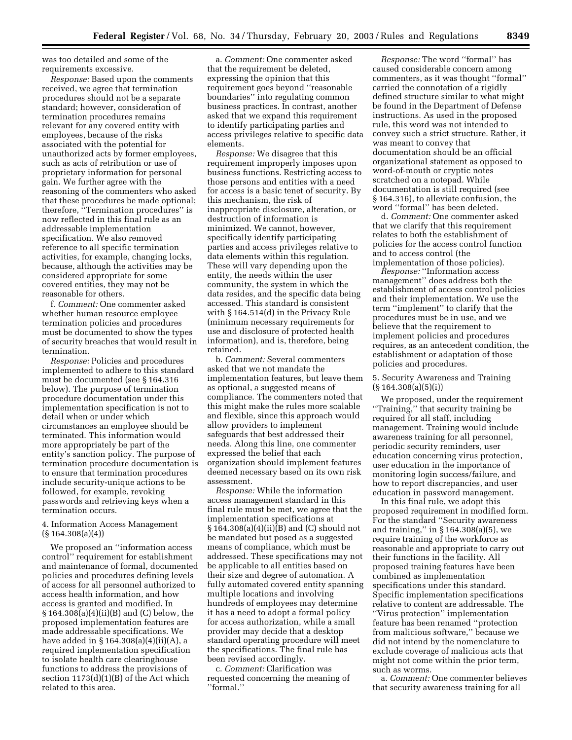was too detailed and some of the requirements excessive.

*Response:* Based upon the comments received, we agree that termination procedures should not be a separate standard; however, consideration of termination procedures remains relevant for any covered entity with employees, because of the risks associated with the potential for unauthorized acts by former employees, such as acts of retribution or use of proprietary information for personal gain. We further agree with the reasoning of the commenters who asked that these procedures be made optional; therefore, ''Termination procedures'' is now reflected in this final rule as an addressable implementation specification. We also removed reference to all specific termination activities, for example, changing locks, because, although the activities may be considered appropriate for some covered entities, they may not be reasonable for others.

f. *Comment:* One commenter asked whether human resource employee termination policies and procedures must be documented to show the types of security breaches that would result in termination.

*Response:* Policies and procedures implemented to adhere to this standard must be documented (see § 164.316 below). The purpose of termination procedure documentation under this implementation specification is not to detail when or under which circumstances an employee should be terminated. This information would more appropriately be part of the entity's sanction policy. The purpose of termination procedure documentation is to ensure that termination procedures include security-unique actions to be followed, for example, revoking passwords and retrieving keys when a termination occurs.

## 4. Information Access Management  $(S 164.308(a)(4))$

We proposed an ''information access control'' requirement for establishment and maintenance of formal, documented policies and procedures defining levels of access for all personnel authorized to access health information, and how access is granted and modified. In § 164.308(a)(4)(ii)(B) and (C) below, the proposed implementation features are made addressable specifications. We have added in § 164.308(a)(4)(ii)(A), a required implementation specification to isolate health care clearinghouse functions to address the provisions of section 1173(d)(1)(B) of the Act which related to this area.

a. *Comment:* One commenter asked that the requirement be deleted, expressing the opinion that this requirement goes beyond ''reasonable boundaries'' into regulating common business practices. In contrast, another asked that we expand this requirement to identify participating parties and access privileges relative to specific data elements.

*Response:* We disagree that this requirement improperly imposes upon business functions. Restricting access to those persons and entities with a need for access is a basic tenet of security. By this mechanism, the risk of inappropriate disclosure, alteration, or destruction of information is minimized. We cannot, however, specifically identify participating parties and access privileges relative to data elements within this regulation. These will vary depending upon the entity, the needs within the user community, the system in which the data resides, and the specific data being accessed. This standard is consistent with § 164.514(d) in the Privacy Rule (minimum necessary requirements for use and disclosure of protected health information), and is, therefore, being retained.

b. *Comment:* Several commenters asked that we not mandate the implementation features, but leave them as optional, a suggested means of compliance. The commenters noted that this might make the rules more scalable and flexible, since this approach would allow providers to implement safeguards that best addressed their needs. Along this line, one commenter expressed the belief that each organization should implement features deemed necessary based on its own risk assessment.

*Response:* While the information access management standard in this final rule must be met, we agree that the implementation specifications at  $§ 164.308(a)(4)(ii)(B)$  and (C) should not be mandated but posed as a suggested means of compliance, which must be addressed. These specifications may not be applicable to all entities based on their size and degree of automation. A fully automated covered entity spanning multiple locations and involving hundreds of employees may determine it has a need to adopt a formal policy for access authorization, while a small provider may decide that a desktop standard operating procedure will meet the specifications. The final rule has been revised accordingly.

c. *Comment:* Clarification was requested concerning the meaning of ''formal.''

*Response:* The word ''formal'' has caused considerable concern among commenters, as it was thought ''formal'' carried the connotation of a rigidly defined structure similar to what might be found in the Department of Defense instructions. As used in the proposed rule, this word was not intended to convey such a strict structure. Rather, it was meant to convey that documentation should be an official organizational statement as opposed to word-of-mouth or cryptic notes scratched on a notepad. While documentation is still required (see § 164.316), to alleviate confusion, the word ''formal'' has been deleted.

d. *Comment:* One commenter asked that we clarify that this requirement relates to both the establishment of policies for the access control function and to access control (the implementation of those policies).

*Response:* ''Information access management'' does address both the establishment of access control policies and their implementation. We use the term ''implement'' to clarify that the procedures must be in use, and we believe that the requirement to implement policies and procedures requires, as an antecedent condition, the establishment or adaptation of those policies and procedures.

5. Security Awareness and Training  $(S 164.308(a)(5)(i))$ 

We proposed, under the requirement ''Training,'' that security training be required for all staff, including management. Training would include awareness training for all personnel, periodic security reminders, user education concerning virus protection, user education in the importance of monitoring login success/failure, and how to report discrepancies, and user education in password management.

In this final rule, we adopt this proposed requirement in modified form. For the standard ''Security awareness and training,'' in § 164.308(a)(5), we require training of the workforce as reasonable and appropriate to carry out their functions in the facility. All proposed training features have been combined as implementation specifications under this standard. Specific implementation specifications relative to content are addressable. The ''Virus protection'' implementation feature has been renamed ''protection from malicious software,'' because we did not intend by the nomenclature to exclude coverage of malicious acts that might not come within the prior term, such as worms.

a. *Comment:* One commenter believes that security awareness training for all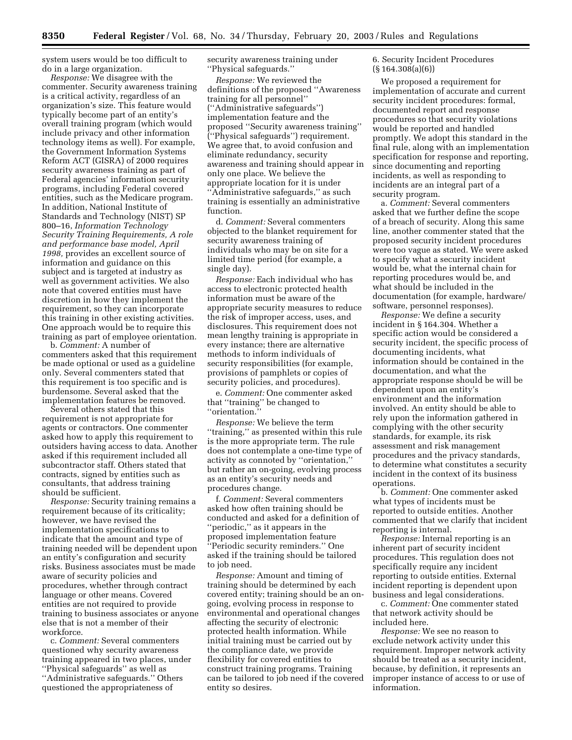system users would be too difficult to do in a large organization.

*Response:* We disagree with the commenter. Security awareness training is a critical activity, regardless of an organization's size. This feature would typically become part of an entity's overall training program (which would include privacy and other information technology items as well). For example, the Government Information Systems Reform ACT (GISRA) of 2000 requires security awareness training as part of Federal agencies' information security programs, including Federal covered entities, such as the Medicare program. In addition, National Institute of Standards and Technology (NIST) SP 800–16, *Information Technology Security Training Requirements, A role and performance base model, April 1998,* provides an excellent source of information and guidance on this subject and is targeted at industry as well as government activities. We also note that covered entities must have discretion in how they implement the requirement, so they can incorporate this training in other existing activities. One approach would be to require this training as part of employee orientation.

b. *Comment:* A number of commenters asked that this requirement be made optional or used as a guideline only. Several commenters stated that this requirement is too specific and is burdensome. Several asked that the implementation features be removed.

Several others stated that this requirement is not appropriate for agents or contractors. One commenter asked how to apply this requirement to outsiders having access to data. Another asked if this requirement included all subcontractor staff. Others stated that contracts, signed by entities such as consultants, that address training should be sufficient.

*Response:* Security training remains a requirement because of its criticality; however, we have revised the implementation specifications to indicate that the amount and type of training needed will be dependent upon an entity's configuration and security risks. Business associates must be made aware of security policies and procedures, whether through contract language or other means. Covered entities are not required to provide training to business associates or anyone else that is not a member of their workforce.

c. *Comment:* Several commenters questioned why security awareness training appeared in two places, under ''Physical safeguards'' as well as ''Administrative safeguards.'' Others questioned the appropriateness of

security awareness training under ''Physical safeguards.''

*Response:* We reviewed the definitions of the proposed ''Awareness training for all personnel'' (''Administrative safeguards'') implementation feature and the proposed ''Security awareness training'' (''Physical safeguards'') requirement. We agree that, to avoid confusion and eliminate redundancy, security awareness and training should appear in only one place. We believe the appropriate location for it is under ''Administrative safeguards,'' as such training is essentially an administrative function.

d. *Comment:* Several commenters objected to the blanket requirement for security awareness training of individuals who may be on site for a limited time period (for example, a single day).

*Response:* Each individual who has access to electronic protected health information must be aware of the appropriate security measures to reduce the risk of improper access, uses, and disclosures. This requirement does not mean lengthy training is appropriate in every instance; there are alternative methods to inform individuals of security responsibilities (for example, provisions of pamphlets or copies of security policies, and procedures).

e. *Comment:* One commenter asked that ''training'' be changed to ''orientation.''

*Response:* We believe the term ''training,'' as presented within this rule is the more appropriate term. The rule does not contemplate a one-time type of activity as connoted by ''orientation,'' but rather an on-going, evolving process as an entity's security needs and procedures change.

f. *Comment:* Several commenters asked how often training should be conducted and asked for a definition of ''periodic,'' as it appears in the proposed implementation feature ''Periodic security reminders.'' One asked if the training should be tailored to job need.

*Response:* Amount and timing of training should be determined by each covered entity; training should be an ongoing, evolving process in response to environmental and operational changes affecting the security of electronic protected health information. While initial training must be carried out by the compliance date, we provide flexibility for covered entities to construct training programs. Training can be tailored to job need if the covered entity so desires.

6. Security Incident Procedures  $(S164.308(a)(6))$ 

We proposed a requirement for implementation of accurate and current security incident procedures: formal, documented report and response procedures so that security violations would be reported and handled promptly. We adopt this standard in the final rule, along with an implementation specification for response and reporting, since documenting and reporting incidents, as well as responding to incidents are an integral part of a security program.

a. *Comment:* Several commenters asked that we further define the scope of a breach of security. Along this same line, another commenter stated that the proposed security incident procedures were too vague as stated. We were asked to specify what a security incident would be, what the internal chain for reporting procedures would be, and what should be included in the documentation (for example, hardware/ software, personnel responses).

*Response:* We define a security incident in § 164.304. Whether a specific action would be considered a security incident, the specific process of documenting incidents, what information should be contained in the documentation, and what the appropriate response should be will be dependent upon an entity's environment and the information involved. An entity should be able to rely upon the information gathered in complying with the other security standards, for example, its risk assessment and risk management procedures and the privacy standards, to determine what constitutes a security incident in the context of its business operations.

b. *Comment:* One commenter asked what types of incidents must be reported to outside entities. Another commented that we clarify that incident reporting is internal.

*Response:* Internal reporting is an inherent part of security incident procedures. This regulation does not specifically require any incident reporting to outside entities. External incident reporting is dependent upon business and legal considerations.

c. *Comment:* One commenter stated that network activity should be included here.

*Response:* We see no reason to exclude network activity under this requirement. Improper network activity should be treated as a security incident, because, by definition, it represents an improper instance of access to or use of information.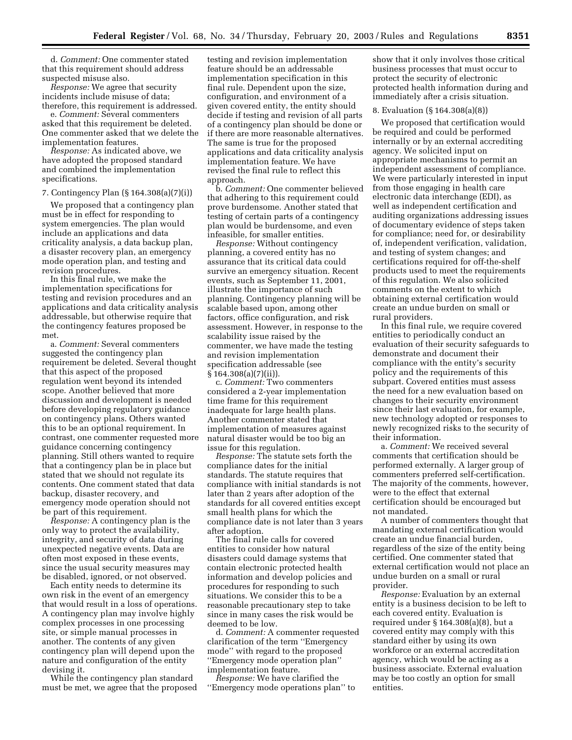d. *Comment:* One commenter stated that this requirement should address suspected misuse also.

*Response:* We agree that security incidents include misuse of data; therefore, this requirement is addressed.

e. *Comment:* Several commenters asked that this requirement be deleted. One commenter asked that we delete the implementation features.

*Response:* As indicated above, we have adopted the proposed standard and combined the implementation specifications.

#### 7. Contingency Plan (§ 164.308(a)(7)(i))

We proposed that a contingency plan must be in effect for responding to system emergencies. The plan would include an applications and data criticality analysis, a data backup plan, a disaster recovery plan, an emergency mode operation plan, and testing and revision procedures.

In this final rule, we make the implementation specifications for testing and revision procedures and an applications and data criticality analysis addressable, but otherwise require that the contingency features proposed be met.

a. *Comment:* Several commenters suggested the contingency plan requirement be deleted. Several thought that this aspect of the proposed regulation went beyond its intended scope. Another believed that more discussion and development is needed before developing regulatory guidance on contingency plans. Others wanted this to be an optional requirement. In contrast, one commenter requested more guidance concerning contingency planning. Still others wanted to require that a contingency plan be in place but stated that we should not regulate its contents. One comment stated that data backup, disaster recovery, and emergency mode operation should not be part of this requirement.

*Response:* A contingency plan is the only way to protect the availability, integrity, and security of data during unexpected negative events. Data are often most exposed in these events, since the usual security measures may be disabled, ignored, or not observed.

Each entity needs to determine its own risk in the event of an emergency that would result in a loss of operations. A contingency plan may involve highly complex processes in one processing site, or simple manual processes in another. The contents of any given contingency plan will depend upon the nature and configuration of the entity devising it.

While the contingency plan standard must be met, we agree that the proposed

testing and revision implementation feature should be an addressable implementation specification in this final rule. Dependent upon the size, configuration, and environment of a given covered entity, the entity should decide if testing and revision of all parts of a contingency plan should be done or if there are more reasonable alternatives. The same is true for the proposed applications and data criticality analysis implementation feature. We have revised the final rule to reflect this approach.

b. *Comment:* One commenter believed that adhering to this requirement could prove burdensome. Another stated that testing of certain parts of a contingency plan would be burdensome, and even infeasible, for smaller entities.

*Response:* Without contingency planning, a covered entity has no assurance that its critical data could survive an emergency situation. Recent events, such as September 11, 2001, illustrate the importance of such planning. Contingency planning will be scalable based upon, among other factors, office configuration, and risk assessment. However, in response to the scalability issue raised by the commenter, we have made the testing and revision implementation specification addressable (see  $§ 164.308(a)(7)(ii)$ .

c. *Comment:* Two commenters considered a 2-year implementation time frame for this requirement inadequate for large health plans. Another commenter stated that implementation of measures against natural disaster would be too big an issue for this regulation.

*Response:* The statute sets forth the compliance dates for the initial standards. The statute requires that compliance with initial standards is not later than 2 years after adoption of the standards for all covered entities except small health plans for which the compliance date is not later than 3 years after adoption.

The final rule calls for covered entities to consider how natural disasters could damage systems that contain electronic protected health information and develop policies and procedures for responding to such situations. We consider this to be a reasonable precautionary step to take since in many cases the risk would be deemed to be low.

d. *Comment:* A commenter requested clarification of the term ''Emergency mode'' with regard to the proposed ''Emergency mode operation plan'' implementation feature.

*Response:* We have clarified the ''Emergency mode operations plan'' to

show that it only involves those critical business processes that must occur to protect the security of electronic protected health information during and immediately after a crisis situation.

#### 8. Evaluation (§ 164.308(a)(8))

We proposed that certification would be required and could be performed internally or by an external accrediting agency. We solicited input on appropriate mechanisms to permit an independent assessment of compliance. We were particularly interested in input from those engaging in health care electronic data interchange (EDI), as well as independent certification and auditing organizations addressing issues of documentary evidence of steps taken for compliance; need for, or desirability of, independent verification, validation, and testing of system changes; and certifications required for off-the-shelf products used to meet the requirements of this regulation. We also solicited comments on the extent to which obtaining external certification would create an undue burden on small or rural providers.

In this final rule, we require covered entities to periodically conduct an evaluation of their security safeguards to demonstrate and document their compliance with the entity's security policy and the requirements of this subpart. Covered entities must assess the need for a new evaluation based on changes to their security environment since their last evaluation, for example, new technology adopted or responses to newly recognized risks to the security of their information.

a. *Comment:* We received several comments that certification should be performed externally. A larger group of commenters preferred self-certification. The majority of the comments, however, were to the effect that external certification should be encouraged but not mandated.

A number of commenters thought that mandating external certification would create an undue financial burden, regardless of the size of the entity being certified. One commenter stated that external certification would not place an undue burden on a small or rural provider.

*Response:* Evaluation by an external entity is a business decision to be left to each covered entity. Evaluation is required under § 164.308(a)(8), but a covered entity may comply with this standard either by using its own workforce or an external accreditation agency, which would be acting as a business associate. External evaluation may be too costly an option for small entities.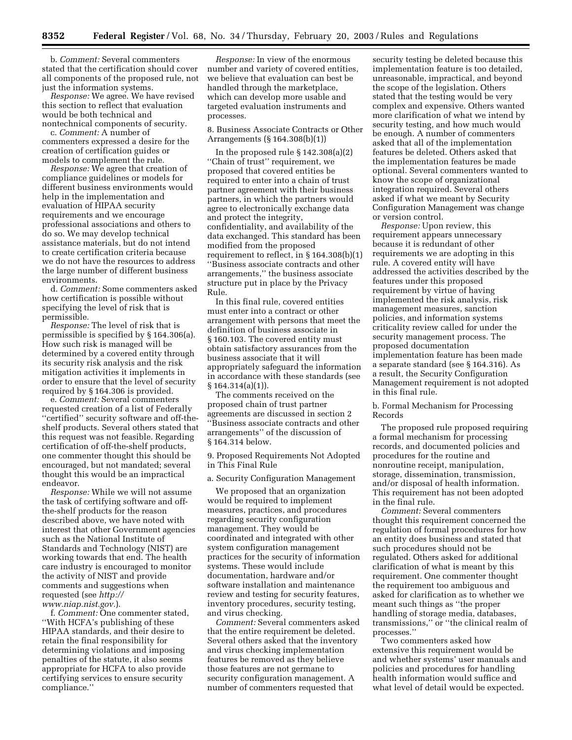b. *Comment:* Several commenters stated that the certification should cover all components of the proposed rule, not just the information systems.

*Response:* We agree. We have revised this section to reflect that evaluation would be both technical and nontechnical components of security.

c. *Comment:* A number of commenters expressed a desire for the creation of certification guides or models to complement the rule.

*Response:* We agree that creation of compliance guidelines or models for different business environments would help in the implementation and evaluation of HIPAA security requirements and we encourage professional associations and others to do so. We may develop technical assistance materials, but do not intend to create certification criteria because we do not have the resources to address the large number of different business environments.

d. *Comment:* Some commenters asked how certification is possible without specifying the level of risk that is permissible.

*Response:* The level of risk that is permissible is specified by § 164.306(a). How such risk is managed will be determined by a covered entity through its security risk analysis and the risk mitigation activities it implements in order to ensure that the level of security required by § 164.306 is provided.

e. *Comment:* Several commenters requested creation of a list of Federally ''certified'' security software and off-theshelf products. Several others stated that this request was not feasible. Regarding certification of off-the-shelf products, one commenter thought this should be encouraged, but not mandated; several thought this would be an impractical endeavor.

*Response:* While we will not assume the task of certifying software and offthe-shelf products for the reason described above, we have noted with interest that other Government agencies such as the National Institute of Standards and Technology (NIST) are working towards that end. The health care industry is encouraged to monitor the activity of NIST and provide comments and suggestions when requested (see *http:// [www.niap.nist.gov.](http://www.niap.nist.gov)*).

f. *Comment:* One commenter stated, ''With HCFA's publishing of these HIPAA standards, and their desire to retain the final responsibility for determining violations and imposing penalties of the statute, it also seems appropriate for HCFA to also provide certifying services to ensure security compliance.''

*Response:* In view of the enormous number and variety of covered entities, we believe that evaluation can best be handled through the marketplace, which can develop more usable and targeted evaluation instruments and processes.

8. Business Associate Contracts or Other Arrangements (§ 164.308(b)(1))

In the proposed rule  $\S 142.308(a)(2)$ ''Chain of trust'' requirement, we proposed that covered entities be required to enter into a chain of trust partner agreement with their business partners, in which the partners would agree to electronically exchange data and protect the integrity, confidentiality, and availability of the data exchanged. This standard has been modified from the proposed requirement to reflect, in § 164.308(b)(1) ''Business associate contracts and other arrangements,'' the business associate structure put in place by the Privacy Rule.

In this final rule, covered entities must enter into a contract or other arrangement with persons that meet the definition of business associate in § 160.103. The covered entity must obtain satisfactory assurances from the business associate that it will appropriately safeguard the information in accordance with these standards (see § 164.314(a)(1)).

The comments received on the proposed chain of trust partner agreements are discussed in section 2 ''Business associate contracts and other arrangements'' of the discussion of § 164.314 below.

9. Proposed Requirements Not Adopted in This Final Rule

a. Security Configuration Management

We proposed that an organization would be required to implement measures, practices, and procedures regarding security configuration management. They would be coordinated and integrated with other system configuration management practices for the security of information systems. These would include documentation, hardware and/or software installation and maintenance review and testing for security features, inventory procedures, security testing, and virus checking.

*Comment:* Several commenters asked that the entire requirement be deleted. Several others asked that the inventory and virus checking implementation features be removed as they believe those features are not germane to security configuration management. A number of commenters requested that

security testing be deleted because this implementation feature is too detailed, unreasonable, impractical, and beyond the scope of the legislation. Others stated that the testing would be very complex and expensive. Others wanted more clarification of what we intend by security testing, and how much would be enough. A number of commenters asked that all of the implementation features be deleted. Others asked that the implementation features be made optional. Several commenters wanted to know the scope of organizational integration required. Several others asked if what we meant by Security Configuration Management was change or version control.

*Response:* Upon review, this requirement appears unnecessary because it is redundant of other requirements we are adopting in this rule. A covered entity will have addressed the activities described by the features under this proposed requirement by virtue of having implemented the risk analysis, risk management measures, sanction policies, and information systems criticality review called for under the security management process. The proposed documentation implementation feature has been made a separate standard (see § 164.316). As a result, the Security Configuration Management requirement is not adopted in this final rule.

b. Formal Mechanism for Processing Records

The proposed rule proposed requiring a formal mechanism for processing records, and documented policies and procedures for the routine and nonroutine receipt, manipulation, storage, dissemination, transmission, and/or disposal of health information. This requirement has not been adopted in the final rule.

*Comment:* Several commenters thought this requirement concerned the regulation of formal procedures for how an entity does business and stated that such procedures should not be regulated. Others asked for additional clarification of what is meant by this requirement. One commenter thought the requirement too ambiguous and asked for clarification as to whether we meant such things as ''the proper handling of storage media, databases, transmissions,'' or ''the clinical realm of processes.''

Two commenters asked how extensive this requirement would be and whether systems' user manuals and policies and procedures for handling health information would suffice and what level of detail would be expected.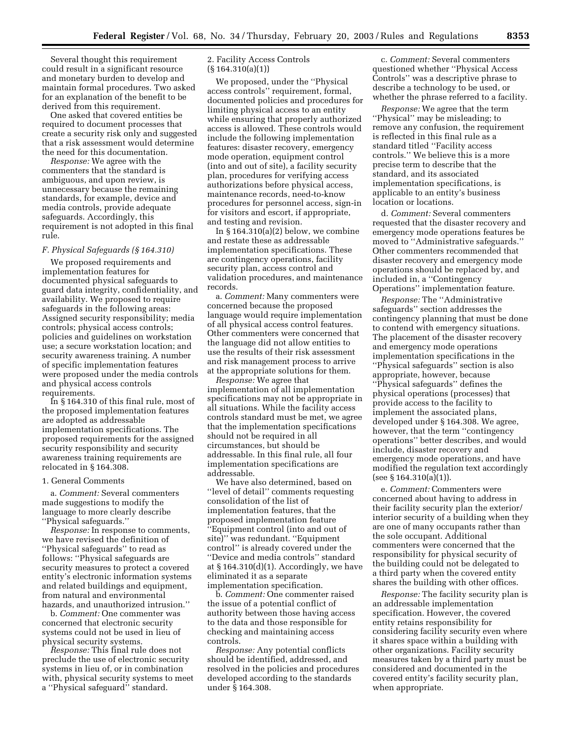Several thought this requirement could result in a significant resource and monetary burden to develop and maintain formal procedures. Two asked for an explanation of the benefit to be derived from this requirement.

One asked that covered entities be required to document processes that create a security risk only and suggested that a risk assessment would determine the need for this documentation.

*Response:* We agree with the commenters that the standard is ambiguous, and upon review, is unnecessary because the remaining standards, for example, device and media controls, provide adequate safeguards. Accordingly, this requirement is not adopted in this final rule.

#### *F. Physical Safeguards (§ 164.310)*

We proposed requirements and implementation features for documented physical safeguards to guard data integrity, confidentiality, and availability. We proposed to require safeguards in the following areas: Assigned security responsibility; media controls; physical access controls; policies and guidelines on workstation use; a secure workstation location; and security awareness training. A number of specific implementation features were proposed under the media controls and physical access controls requirements.

In § 164.310 of this final rule, most of the proposed implementation features are adopted as addressable implementation specifications. The proposed requirements for the assigned security responsibility and security awareness training requirements are relocated in § 164.308.

#### 1. General Comments

a. *Comment:* Several commenters made suggestions to modify the language to more clearly describe ''Physical safeguards.''

*Response:* In response to comments, we have revised the definition of ''Physical safeguards'' to read as follows: ''Physical safeguards are security measures to protect a covered entity's electronic information systems and related buildings and equipment, from natural and environmental hazards, and unauthorized intrusion.''

b. *Comment:* One commenter was concerned that electronic security systems could not be used in lieu of physical security systems.

*Response:* This final rule does not preclude the use of electronic security systems in lieu of, or in combination with, physical security systems to meet a ''Physical safeguard'' standard.

## 2. Facility Access Controls  $(S 164.310(a)(1))$

We proposed, under the ''Physical access controls'' requirement, formal, documented policies and procedures for limiting physical access to an entity while ensuring that properly authorized access is allowed. These controls would include the following implementation features: disaster recovery, emergency mode operation, equipment control (into and out of site), a facility security plan, procedures for verifying access authorizations before physical access, maintenance records, need-to-know procedures for personnel access, sign-in for visitors and escort, if appropriate, and testing and revision.

In  $\S 164.310(a)(2)$  below, we combine and restate these as addressable implementation specifications. These are contingency operations, facility security plan, access control and validation procedures, and maintenance records.

a. *Comment:* Many commenters were concerned because the proposed language would require implementation of all physical access control features. Other commenters were concerned that the language did not allow entities to use the results of their risk assessment and risk management process to arrive at the appropriate solutions for them.

*Response:* We agree that implementation of all implementation specifications may not be appropriate in all situations. While the facility access controls standard must be met, we agree that the implementation specifications should not be required in all circumstances, but should be addressable. In this final rule, all four implementation specifications are addressable.

We have also determined, based on ''level of detail'' comments requesting consolidation of the list of implementation features, that the proposed implementation feature ''Equipment control (into and out of site)'' was redundant. ''Equipment control'' is already covered under the ''Device and media controls'' standard at  $§$  164.310(d)(1). Accordingly, we have eliminated it as a separate implementation specification.

b. *Comment:* One commenter raised the issue of a potential conflict of authority between those having access to the data and those responsible for checking and maintaining access controls.

*Response:* Any potential conflicts should be identified, addressed, and resolved in the policies and procedures developed according to the standards under § 164.308.

c. *Comment:* Several commenters questioned whether ''Physical Access Controls'' was a descriptive phrase to describe a technology to be used, or whether the phrase referred to a facility.

*Response:* We agree that the term ''Physical'' may be misleading; to remove any confusion, the requirement is reflected in this final rule as a standard titled ''Facility access controls.'' We believe this is a more precise term to describe that the standard, and its associated implementation specifications, is applicable to an entity's business location or locations.

d. *Comment:* Several commenters requested that the disaster recovery and emergency mode operations features be moved to ''Administrative safeguards.'' Other commenters recommended that disaster recovery and emergency mode operations should be replaced by, and included in, a ''Contingency Operations'' implementation feature.

*Response:* The ''Administrative safeguards'' section addresses the contingency planning that must be done to contend with emergency situations. The placement of the disaster recovery and emergency mode operations implementation specifications in the ''Physical safeguards'' section is also appropriate, however, because ''Physical safeguards'' defines the physical operations (processes) that provide access to the facility to implement the associated plans, developed under § 164.308. We agree, however, that the term ''contingency operations'' better describes, and would include, disaster recovery and emergency mode operations, and have modified the regulation text accordingly (see § 164.310(a)(1)).

e. *Comment:* Commenters were concerned about having to address in their facility security plan the exterior/ interior security of a building when they are one of many occupants rather than the sole occupant. Additional commenters were concerned that the responsibility for physical security of the building could not be delegated to a third party when the covered entity shares the building with other offices.

*Response:* The facility security plan is an addressable implementation specification. However, the covered entity retains responsibility for considering facility security even where it shares space within a building with other organizations. Facility security measures taken by a third party must be considered and documented in the covered entity's facility security plan, when appropriate.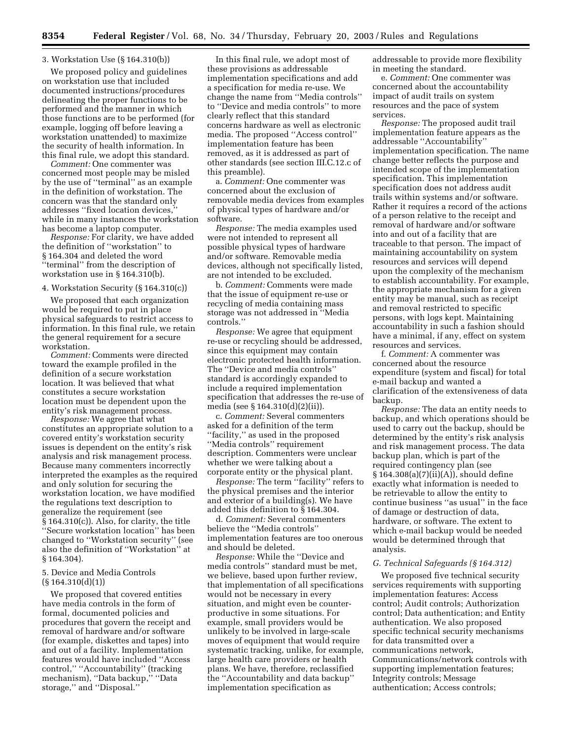## 3. Workstation Use (§ 164.310(b))

We proposed policy and guidelines on workstation use that included documented instructions/procedures delineating the proper functions to be performed and the manner in which those functions are to be performed (for example, logging off before leaving a workstation unattended) to maximize the security of health information. In this final rule, we adopt this standard.

*Comment:* One commenter was concerned most people may be misled by the use of ''terminal'' as an example in the definition of workstation. The concern was that the standard only addresses ''fixed location devices,'' while in many instances the workstation has become a laptop computer.

*Response:* For clarity, we have added the definition of ''workstation'' to § 164.304 and deleted the word ''terminal'' from the description of workstation use in § 164.310(b).

#### 4. Workstation Security (§ 164.310(c))

We proposed that each organization would be required to put in place physical safeguards to restrict access to information. In this final rule, we retain the general requirement for a secure workstation.

*Comment:* Comments were directed toward the example profiled in the definition of a secure workstation location. It was believed that what constitutes a secure workstation location must be dependent upon the entity's risk management process.

*Response:* We agree that what constitutes an appropriate solution to a covered entity's workstation security issues is dependent on the entity's risk analysis and risk management process. Because many commenters incorrectly interpreted the examples as the required and only solution for securing the workstation location, we have modified the regulations text description to generalize the requirement (see § 164.310(c)). Also, for clarity, the title ''Secure workstation location'' has been changed to ''Workstation security'' (see also the definition of ''Workstation'' at § 164.304).

## 5. Device and Media Controls  $(S 164.310(d)(1))$

We proposed that covered entities have media controls in the form of formal, documented policies and procedures that govern the receipt and removal of hardware and/or software (for example, diskettes and tapes) into and out of a facility. Implementation features would have included ''Access control,'' ''Accountability'' (tracking mechanism), ''Data backup,'' ''Data storage,'' and ''Disposal.''

In this final rule, we adopt most of these provisions as addressable implementation specifications and add a specification for media re-use. We change the name from ''Media controls'' to ''Device and media controls'' to more clearly reflect that this standard concerns hardware as well as electronic media. The proposed ''Access control'' implementation feature has been removed, as it is addressed as part of other standards (see section III.C.12.c of this preamble).

a. *Comment:* One commenter was concerned about the exclusion of removable media devices from examples of physical types of hardware and/or software.

*Response:* The media examples used were not intended to represent all possible physical types of hardware and/or software. Removable media devices, although not specifically listed, are not intended to be excluded.

b. *Comment:* Comments were made that the issue of equipment re-use or recycling of media containing mass storage was not addressed in ''Media controls.''

*Response:* We agree that equipment re-use or recycling should be addressed, since this equipment may contain electronic protected health information. The ''Device and media controls'' standard is accordingly expanded to include a required implementation specification that addresses the re-use of media (see § 164.310(d)(2)(ii)).

c. *Comment:* Several commenters asked for a definition of the term ''facility,'' as used in the proposed ''Media controls'' requirement description. Commenters were unclear whether we were talking about a corporate entity or the physical plant.

*Response:* The term ''facility'' refers to the physical premises and the interior and exterior of a building(s). We have added this definition to § 164.304.

d. *Comment:* Several commenters believe the ''Media controls'' implementation features are too onerous and should be deleted.

*Response:* While the ''Device and media controls'' standard must be met, we believe, based upon further review, that implementation of all specifications would not be necessary in every situation, and might even be counterproductive in some situations. For example, small providers would be unlikely to be involved in large-scale moves of equipment that would require systematic tracking, unlike, for example, large health care providers or health plans. We have, therefore, reclassified the ''Accountability and data backup'' implementation specification as

addressable to provide more flexibility in meeting the standard.

e. *Comment:* One commenter was concerned about the accountability impact of audit trails on system resources and the pace of system services.

*Response:* The proposed audit trail implementation feature appears as the addressable ''Accountability'' implementation specification. The name change better reflects the purpose and intended scope of the implementation specification. This implementation specification does not address audit trails within systems and/or software. Rather it requires a record of the actions of a person relative to the receipt and removal of hardware and/or software into and out of a facility that are traceable to that person. The impact of maintaining accountability on system resources and services will depend upon the complexity of the mechanism to establish accountability. For example, the appropriate mechanism for a given entity may be manual, such as receipt and removal restricted to specific persons, with logs kept. Maintaining accountability in such a fashion should have a minimal, if any, effect on system resources and services.

f. *Comment:* A commenter was concerned about the resource expenditure (system and fiscal) for total e-mail backup and wanted a clarification of the extensiveness of data backup.

*Response:* The data an entity needs to backup, and which operations should be used to carry out the backup, should be determined by the entity's risk analysis and risk management process. The data backup plan, which is part of the required contingency plan (see § 164.308(a)(7)(ii)(A)), should define exactly what information is needed to be retrievable to allow the entity to continue business ''as usual'' in the face of damage or destruction of data, hardware, or software. The extent to which e-mail backup would be needed would be determined through that analysis.

## *G. Technical Safeguards (§ 164.312)*

We proposed five technical security services requirements with supporting implementation features: Access control; Audit controls; Authorization control; Data authentication; and Entity authentication. We also proposed specific technical security mechanisms for data transmitted over a communications network, Communications/network controls with supporting implementation features; Integrity controls; Message authentication; Access controls;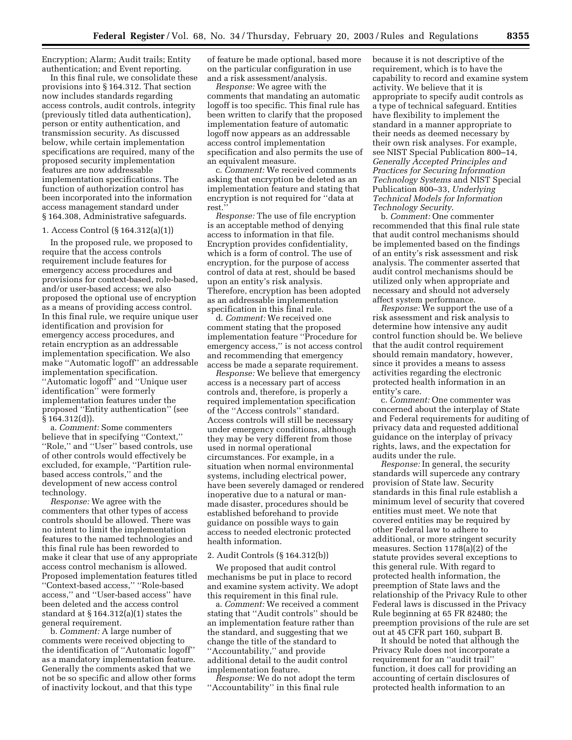Encryption; Alarm; Audit trails; Entity authentication; and Event reporting.

In this final rule, we consolidate these provisions into § 164.312. That section now includes standards regarding access controls, audit controls, integrity (previously titled data authentication), person or entity authentication, and transmission security. As discussed below, while certain implementation specifications are required, many of the proposed security implementation features are now addressable implementation specifications. The function of authorization control has been incorporated into the information access management standard under § 164.308, Administrative safeguards.

#### 1. Access Control (§ 164.312(a)(1))

In the proposed rule, we proposed to require that the access controls requirement include features for emergency access procedures and provisions for context-based, role-based, and/or user-based access; we also proposed the optional use of encryption as a means of providing access control. In this final rule, we require unique user identification and provision for emergency access procedures, and retain encryption as an addressable implementation specification. We also make ''Automatic logoff'' an addressable implementation specification. ''Automatic logoff'' and ''Unique user identification'' were formerly implementation features under the proposed ''Entity authentication'' (see § 164.312(d)).

a. *Comment:* Some commenters believe that in specifying ''Context,'' ''Role,'' and ''User'' based controls, use of other controls would effectively be excluded, for example, ''Partition rulebased access controls,'' and the development of new access control technology.

*Response:* We agree with the commenters that other types of access controls should be allowed. There was no intent to limit the implementation features to the named technologies and this final rule has been reworded to make it clear that use of any appropriate access control mechanism is allowed. Proposed implementation features titled ''Context-based access,'' ''Role-based access,'' and ''User-based access'' have been deleted and the access control standard at § 164.312(a)(1) states the general requirement.

b. *Comment:* A large number of comments were received objecting to the identification of ''Automatic logoff'' as a mandatory implementation feature. Generally the comments asked that we not be so specific and allow other forms of inactivity lockout, and that this type

of feature be made optional, based more on the particular configuration in use and a risk assessment/analysis.

*Response:* We agree with the comments that mandating an automatic logoff is too specific. This final rule has been written to clarify that the proposed implementation feature of automatic logoff now appears as an addressable access control implementation specification and also permits the use of an equivalent measure.

c. *Comment:* We received comments asking that encryption be deleted as an implementation feature and stating that encryption is not required for ''data at rest.''

*Response:* The use of file encryption is an acceptable method of denying access to information in that file. Encryption provides confidentiality, which is a form of control. The use of encryption, for the purpose of access control of data at rest, should be based upon an entity's risk analysis. Therefore, encryption has been adopted as an addressable implementation specification in this final rule.

d. *Comment:* We received one comment stating that the proposed implementation feature ''Procedure for emergency access,'' is not access control and recommending that emergency access be made a separate requirement.

*Response:* We believe that emergency access is a necessary part of access controls and, therefore, is properly a required implementation specification of the ''Access controls'' standard. Access controls will still be necessary under emergency conditions, although they may be very different from those used in normal operational circumstances. For example, in a situation when normal environmental systems, including electrical power, have been severely damaged or rendered inoperative due to a natural or manmade disaster, procedures should be established beforehand to provide guidance on possible ways to gain access to needed electronic protected health information.

#### 2. Audit Controls (§ 164.312(b))

We proposed that audit control mechanisms be put in place to record and examine system activity. We adopt this requirement in this final rule.

a. *Comment:* We received a comment stating that ''Audit controls'' should be an implementation feature rather than the standard, and suggesting that we change the title of the standard to ''Accountability,'' and provide additional detail to the audit control implementation feature.

*Response:* We do not adopt the term ''Accountability'' in this final rule

because it is not descriptive of the requirement, which is to have the capability to record and examine system activity. We believe that it is appropriate to specify audit controls as a type of technical safeguard. Entities have flexibility to implement the standard in a manner appropriate to their needs as deemed necessary by their own risk analyses. For example, see NIST Special Publication 800–14, *Generally Accepted Principles and Practices for Securing Information Technology Systems* and NIST Special Publication 800–33, *Underlying Technical Models for Information Technology Security*.

b. *Comment:* One commenter recommended that this final rule state that audit control mechanisms should be implemented based on the findings of an entity's risk assessment and risk analysis. The commenter asserted that audit control mechanisms should be utilized only when appropriate and necessary and should not adversely affect system performance.

*Response:* We support the use of a risk assessment and risk analysis to determine how intensive any audit control function should be. We believe that the audit control requirement should remain mandatory, however, since it provides a means to assess activities regarding the electronic protected health information in an entity's care.

c. *Comment:* One commenter was concerned about the interplay of State and Federal requirements for auditing of privacy data and requested additional guidance on the interplay of privacy rights, laws, and the expectation for audits under the rule.

*Response:* In general, the security standards will supercede any contrary provision of State law. Security standards in this final rule establish a minimum level of security that covered entities must meet. We note that covered entities may be required by other Federal law to adhere to additional, or more stringent security measures. Section 1178(a)(2) of the statute provides several exceptions to this general rule. With regard to protected health information, the preemption of State laws and the relationship of the Privacy Rule to other Federal laws is discussed in the Privacy Rule beginning at 65 FR 82480; the preemption provisions of the rule are set out at 45 CFR part 160, subpart B.

It should be noted that although the Privacy Rule does not incorporate a requirement for an ''audit trail'' function, it does call for providing an accounting of certain disclosures of protected health information to an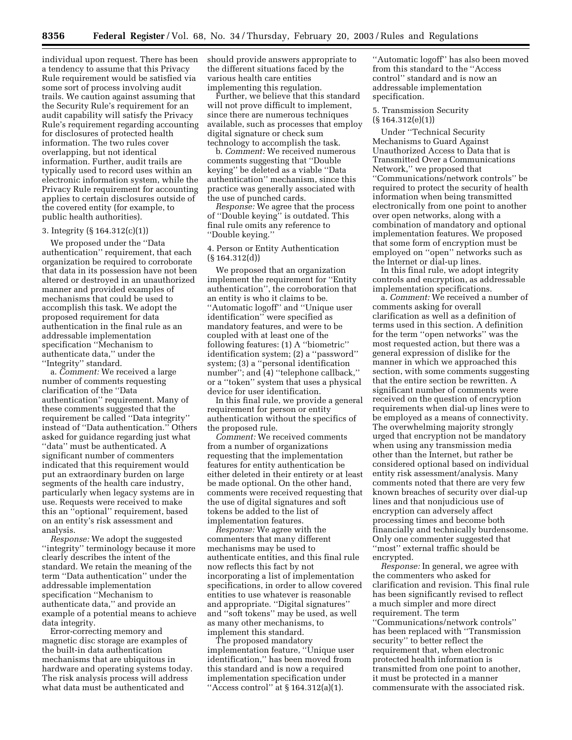individual upon request. There has been a tendency to assume that this Privacy Rule requirement would be satisfied via some sort of process involving audit trails. We caution against assuming that the Security Rule's requirement for an audit capability will satisfy the Privacy Rule's requirement regarding accounting for disclosures of protected health information. The two rules cover overlapping, but not identical information. Further, audit trails are typically used to record uses within an electronic information system, while the Privacy Rule requirement for accounting applies to certain disclosures outside of the covered entity (for example, to public health authorities).

## 3. Integrity (§ 164.312(c)(1))

We proposed under the ''Data authentication'' requirement, that each organization be required to corroborate that data in its possession have not been altered or destroyed in an unauthorized manner and provided examples of mechanisms that could be used to accomplish this task. We adopt the proposed requirement for data authentication in the final rule as an addressable implementation specification ''Mechanism to authenticate data,'' under the "Integrity" standard.

a. *Comment:* We received a large number of comments requesting clarification of the ''Data authentication'' requirement. Many of these comments suggested that the requirement be called ''Data integrity'' instead of ''Data authentication.'' Others asked for guidance regarding just what ''data'' must be authenticated. A significant number of commenters indicated that this requirement would put an extraordinary burden on large segments of the health care industry, particularly when legacy systems are in use. Requests were received to make this an ''optional'' requirement, based on an entity's risk assessment and analysis.

*Response:* We adopt the suggested ''integrity'' terminology because it more clearly describes the intent of the standard. We retain the meaning of the term ''Data authentication'' under the addressable implementation specification ''Mechanism to authenticate data,'' and provide an example of a potential means to achieve data integrity.

Error-correcting memory and magnetic disc storage are examples of the built-in data authentication mechanisms that are ubiquitous in hardware and operating systems today. The risk analysis process will address what data must be authenticated and

should provide answers appropriate to the different situations faced by the various health care entities implementing this regulation.

Further, we believe that this standard will not prove difficult to implement, since there are numerous techniques available, such as processes that employ digital signature or check sum technology to accomplish the task.

b. *Comment:* We received numerous comments suggesting that ''Double keying'' be deleted as a viable ''Data authentication'' mechanism, since this practice was generally associated with the use of punched cards.

*Response:* We agree that the process of ''Double keying'' is outdated. This final rule omits any reference to ''Double keying.''

## 4. Person or Entity Authentication (§ 164.312(d))

We proposed that an organization implement the requirement for ''Entity authentication'', the corroboration that an entity is who it claims to be. ''Automatic logoff'' and ''Unique user identification'' were specified as mandatory features, and were to be coupled with at least one of the following features: (1) A ''biometric'' identification system; (2) a ''password'' system; (3) a ''personal identification number"; and (4) "telephone callback," or a ''token'' system that uses a physical device for user identification.

In this final rule, we provide a general requirement for person or entity authentication without the specifics of the proposed rule.

*Comment:* We received comments from a number of organizations requesting that the implementation features for entity authentication be either deleted in their entirety or at least be made optional. On the other hand, comments were received requesting that the use of digital signatures and soft tokens be added to the list of implementation features.

*Response:* We agree with the commenters that many different mechanisms may be used to authenticate entities, and this final rule now reflects this fact by not incorporating a list of implementation specifications, in order to allow covered entities to use whatever is reasonable and appropriate. ''Digital signatures'' and ''soft tokens'' may be used, as well as many other mechanisms, to implement this standard.

The proposed mandatory implementation feature, ''Unique user identification,'' has been moved from this standard and is now a required implementation specification under ''Access control'' at § 164.312(a)(1).

''Automatic logoff'' has also been moved from this standard to the ''Access control'' standard and is now an addressable implementation specification.

#### 5. Transmission Security  $(S164.312(e)(1))$

Under ''Technical Security Mechanisms to Guard Against Unauthorized Access to Data that is Transmitted Over a Communications Network,'' we proposed that ''Communications/network controls'' be required to protect the security of health information when being transmitted electronically from one point to another over open networks, along with a combination of mandatory and optional implementation features. We proposed that some form of encryption must be employed on ''open'' networks such as the Internet or dial-up lines.

In this final rule, we adopt integrity controls and encryption, as addressable implementation specifications.

a. *Comment:* We received a number of comments asking for overall clarification as well as a definition of terms used in this section. A definition for the term ''open networks'' was the most requested action, but there was a general expression of dislike for the manner in which we approached this section, with some comments suggesting that the entire section be rewritten. A significant number of comments were received on the question of encryption requirements when dial-up lines were to be employed as a means of connectivity. The overwhelming majority strongly urged that encryption not be mandatory when using any transmission media other than the Internet, but rather be considered optional based on individual entity risk assessment/analysis. Many comments noted that there are very few known breaches of security over dial-up lines and that nonjudicious use of encryption can adversely affect processing times and become both financially and technically burdensome. Only one commenter suggested that ''most'' external traffic should be encrypted.

*Response:* In general, we agree with the commenters who asked for clarification and revision. This final rule has been significantly revised to reflect a much simpler and more direct requirement. The term ''Communications/network controls'' has been replaced with ''Transmission security'' to better reflect the requirement that, when electronic protected health information is transmitted from one point to another, it must be protected in a manner commensurate with the associated risk.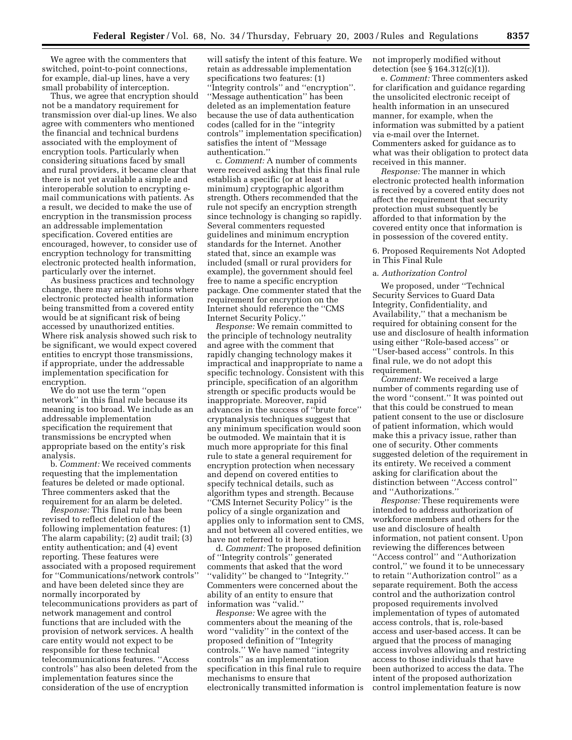We agree with the commenters that switched, point-to-point connections, for example, dial-up lines, have a very small probability of interception.

Thus, we agree that encryption should not be a mandatory requirement for transmission over dial-up lines. We also agree with commenters who mentioned the financial and technical burdens associated with the employment of encryption tools. Particularly when considering situations faced by small and rural providers, it became clear that there is not yet available a simple and interoperable solution to encrypting email communications with patients. As a result, we decided to make the use of encryption in the transmission process an addressable implementation specification. Covered entities are encouraged, however, to consider use of encryption technology for transmitting electronic protected health information, particularly over the internet.

As business practices and technology change, there may arise situations where electronic protected health information being transmitted from a covered entity would be at significant risk of being accessed by unauthorized entities. Where risk analysis showed such risk to be significant, we would expect covered entities to encrypt those transmissions, if appropriate, under the addressable implementation specification for encryption.

We do not use the term ''open network'' in this final rule because its meaning is too broad. We include as an addressable implementation specification the requirement that transmissions be encrypted when appropriate based on the entity's risk analysis.

b. *Comment:* We received comments requesting that the implementation features be deleted or made optional. Three commenters asked that the requirement for an alarm be deleted.

*Response:* This final rule has been revised to reflect deletion of the following implementation features: (1) The alarm capability; (2) audit trail; (3) entity authentication; and (4) event reporting. These features were associated with a proposed requirement for ''Communications/network controls'' and have been deleted since they are normally incorporated by telecommunications providers as part of network management and control functions that are included with the provision of network services. A health care entity would not expect to be responsible for these technical telecommunications features. ''Access controls'' has also been deleted from the implementation features since the consideration of the use of encryption

will satisfy the intent of this feature. We retain as addressable implementation specifications two features: (1) ''Integrity controls'' and ''encryption''. ''Message authentication'' has been deleted as an implementation feature because the use of data authentication codes (called for in the ''integrity controls'' implementation specification) satisfies the intent of ''Message authentication.''

c. *Comment:* A number of comments were received asking that this final rule establish a specific (or at least a minimum) cryptographic algorithm strength. Others recommended that the rule not specify an encryption strength since technology is changing so rapidly. Several commenters requested guidelines and minimum encryption standards for the Internet. Another stated that, since an example was included (small or rural providers for example), the government should feel free to name a specific encryption package. One commenter stated that the requirement for encryption on the Internet should reference the ''CMS Internet Security Policy.''

*Response:* We remain committed to the principle of technology neutrality and agree with the comment that rapidly changing technology makes it impractical and inappropriate to name a specific technology. Consistent with this principle, specification of an algorithm strength or specific products would be inappropriate. Moreover, rapid advances in the success of ''brute force'' cryptanalysis techniques suggest that any minimum specification would soon be outmoded. We maintain that it is much more appropriate for this final rule to state a general requirement for encryption protection when necessary and depend on covered entities to specify technical details, such as algorithm types and strength. Because ''CMS Internet Security Policy'' is the policy of a single organization and applies only to information sent to CMS, and not between all covered entities, we have not referred to it here.

d. *Comment:* The proposed definition of ''Integrity controls'' generated comments that asked that the word ''validity'' be changed to ''Integrity.'' Commenters were concerned about the ability of an entity to ensure that information was ''valid.''

*Response:* We agree with the commenters about the meaning of the word ''validity'' in the context of the proposed definition of ''Integrity controls.'' We have named ''integrity controls'' as an implementation specification in this final rule to require mechanisms to ensure that electronically transmitted information is not improperly modified without detection (see § 164.312(c)(1)).

e. *Comment:* Three commenters asked for clarification and guidance regarding the unsolicited electronic receipt of health information in an unsecured manner, for example, when the information was submitted by a patient via e-mail over the Internet. Commenters asked for guidance as to what was their obligation to protect data received in this manner.

*Response:* The manner in which electronic protected health information is received by a covered entity does not affect the requirement that security protection must subsequently be afforded to that information by the covered entity once that information is in possession of the covered entity.

6. Proposed Requirements Not Adopted in This Final Rule

#### a. *Authorization Control*

We proposed, under ''Technical Security Services to Guard Data Integrity, Confidentiality, and Availability,'' that a mechanism be required for obtaining consent for the use and disclosure of health information using either ''Role-based access'' or ''User-based access'' controls. In this final rule, we do not adopt this requirement.

*Comment:* We received a large number of comments regarding use of the word ''consent.'' It was pointed out that this could be construed to mean patient consent to the use or disclosure of patient information, which would make this a privacy issue, rather than one of security. Other comments suggested deletion of the requirement in its entirety. We received a comment asking for clarification about the distinction between ''Access control'' and ''Authorizations.''

*Response:* These requirements were intended to address authorization of workforce members and others for the use and disclosure of health information, not patient consent. Upon reviewing the differences between ''Access control'' and ''Authorization control,'' we found it to be unnecessary to retain ''Authorization control'' as a separate requirement. Both the access control and the authorization control proposed requirements involved implementation of types of automated access controls, that is, role-based access and user-based access. It can be argued that the process of managing access involves allowing and restricting access to those individuals that have been authorized to access the data. The intent of the proposed authorization control implementation feature is now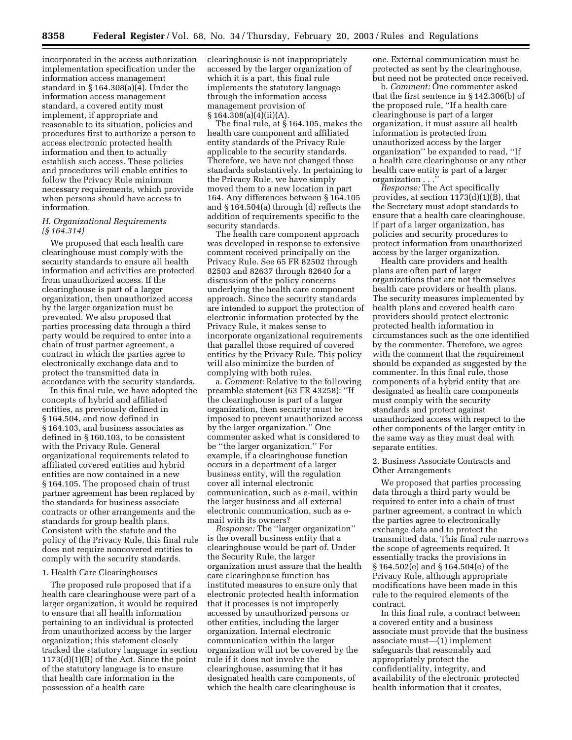incorporated in the access authorization implementation specification under the information access management standard in § 164.308(a)(4). Under the information access management standard, a covered entity must implement, if appropriate and reasonable to its situation, policies and procedures first to authorize a person to access electronic protected health information and then to actually establish such access. These policies and procedures will enable entities to follow the Privacy Rule minimum necessary requirements, which provide when persons should have access to information.

## *H. Organizational Requirements (§ 164.314)*

We proposed that each health care clearinghouse must comply with the security standards to ensure all health information and activities are protected from unauthorized access. If the clearinghouse is part of a larger organization, then unauthorized access by the larger organization must be prevented. We also proposed that parties processing data through a third party would be required to enter into a chain of trust partner agreement, a contract in which the parties agree to electronically exchange data and to protect the transmitted data in accordance with the security standards.

In this final rule, we have adopted the concepts of hybrid and affiliated entities, as previously defined in § 164.504, and now defined in § 164.103, and business associates as defined in § 160.103, to be consistent with the Privacy Rule. General organizational requirements related to affiliated covered entities and hybrid entities are now contained in a new § 164.105. The proposed chain of trust partner agreement has been replaced by the standards for business associate contracts or other arrangements and the standards for group health plans. Consistent with the statute and the policy of the Privacy Rule, this final rule does not require noncovered entities to comply with the security standards.

#### 1. Health Care Clearinghouses

The proposed rule proposed that if a health care clearinghouse were part of a larger organization, it would be required to ensure that all health information pertaining to an individual is protected from unauthorized access by the larger organization; this statement closely tracked the statutory language in section 1173(d)(1)(B) of the Act. Since the point of the statutory language is to ensure that health care information in the possession of a health care

clearinghouse is not inappropriately accessed by the larger organization of which it is a part, this final rule implements the statutory language through the information access management provision of  $§ 164.308(a)(4)(ii)(A).$ 

The final rule, at § 164.105, makes the health care component and affiliated entity standards of the Privacy Rule applicable to the security standards. Therefore, we have not changed those standards substantively. In pertaining to the Privacy Rule, we have simply moved them to a new location in part 164. Any differences between § 164.105 and § 164.504(a) through (d) reflects the addition of requirements specific to the security standards.

The health care component approach was developed in response to extensive comment received principally on the Privacy Rule. See 65 FR 82502 through 82503 and 82637 through 82640 for a discussion of the policy concerns underlying the health care component approach. Since the security standards are intended to support the protection of electronic information protected by the Privacy Rule, it makes sense to incorporate organizational requirements that parallel those required of covered entities by the Privacy Rule. This policy will also minimize the burden of complying with both rules.

a. *Comment:* Relative to the following preamble statement (63 FR 43258): ''If the clearinghouse is part of a larger organization, then security must be imposed to prevent unauthorized access by the larger organization.'' One commenter asked what is considered to be ''the larger organization.'' For example, if a clearinghouse function occurs in a department of a larger business entity, will the regulation cover all internal electronic communication, such as e-mail, within the larger business and all external electronic communication, such as email with its owners?

*Response:* The ''larger organization'' is the overall business entity that a clearinghouse would be part of. Under the Security Rule, the larger organization must assure that the health care clearinghouse function has instituted measures to ensure only that electronic protected health information that it processes is not improperly accessed by unauthorized persons or other entities, including the larger organization. Internal electronic communication within the larger organization will not be covered by the rule if it does not involve the clearinghouse, assuming that it has designated health care components, of which the health care clearinghouse is

one. External communication must be protected as sent by the clearinghouse, but need not be protected once received.

b. *Comment:* One commenter asked that the first sentence in § 142.306(b) of the proposed rule, ''If a health care clearinghouse is part of a larger organization, it must assure all health information is protected from unauthorized access by the larger organization'' be expanded to read, ''If a health care clearinghouse or any other health care entity is part of a larger organization . .

*Response:* The Act specifically provides, at section 1173(d)(1)(B), that the Secretary must adopt standards to ensure that a health care clearinghouse, if part of a larger organization, has policies and security procedures to protect information from unauthorized access by the larger organization.

Health care providers and health plans are often part of larger organizations that are not themselves health care providers or health plans. The security measures implemented by health plans and covered health care providers should protect electronic protected health information in circumstances such as the one identified by the commenter. Therefore, we agree with the comment that the requirement should be expanded as suggested by the commenter. In this final rule, those components of a hybrid entity that are designated as health care components must comply with the security standards and protect against unauthorized access with respect to the other components of the larger entity in the same way as they must deal with separate entities.

2. Business Associate Contracts and Other Arrangements

We proposed that parties processing data through a third party would be required to enter into a chain of trust partner agreement, a contract in which the parties agree to electronically exchange data and to protect the transmitted data. This final rule narrows the scope of agreements required. It essentially tracks the provisions in § 164.502(e) and § 164.504(e) of the Privacy Rule, although appropriate modifications have been made in this rule to the required elements of the contract.

In this final rule, a contract between a covered entity and a business associate must provide that the business associate must—(1) implement safeguards that reasonably and appropriately protect the confidentiality, integrity, and availability of the electronic protected health information that it creates,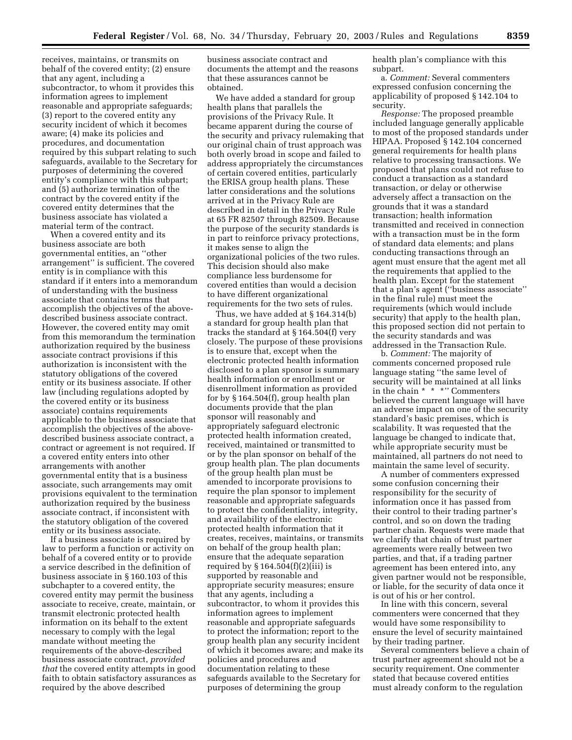receives, maintains, or transmits on behalf of the covered entity; (2) ensure that any agent, including a subcontractor, to whom it provides this information agrees to implement reasonable and appropriate safeguards; (3) report to the covered entity any security incident of which it becomes aware; (4) make its policies and procedures, and documentation required by this subpart relating to such safeguards, available to the Secretary for purposes of determining the covered entity's compliance with this subpart; and (5) authorize termination of the contract by the covered entity if the covered entity determines that the business associate has violated a material term of the contract.

When a covered entity and its business associate are both governmental entities, an ''other arrangement'' is sufficient. The covered entity is in compliance with this standard if it enters into a memorandum of understanding with the business associate that contains terms that accomplish the objectives of the abovedescribed business associate contract. However, the covered entity may omit from this memorandum the termination authorization required by the business associate contract provisions if this authorization is inconsistent with the statutory obligations of the covered entity or its business associate. If other law (including regulations adopted by the covered entity or its business associate) contains requirements applicable to the business associate that accomplish the objectives of the abovedescribed business associate contract, a contract or agreement is not required. If a covered entity enters into other arrangements with another governmental entity that is a business associate, such arrangements may omit provisions equivalent to the termination authorization required by the business associate contract, if inconsistent with the statutory obligation of the covered entity or its business associate.

If a business associate is required by law to perform a function or activity on behalf of a covered entity or to provide a service described in the definition of business associate in § 160.103 of this subchapter to a covered entity, the covered entity may permit the business associate to receive, create, maintain, or transmit electronic protected health information on its behalf to the extent necessary to comply with the legal mandate without meeting the requirements of the above-described business associate contract, *provided that* the covered entity attempts in good faith to obtain satisfactory assurances as required by the above described

business associate contract and documents the attempt and the reasons that these assurances cannot be obtained.

We have added a standard for group health plans that parallels the provisions of the Privacy Rule. It became apparent during the course of the security and privacy rulemaking that our original chain of trust approach was both overly broad in scope and failed to address appropriately the circumstances of certain covered entities, particularly the ERISA group health plans. These latter considerations and the solutions arrived at in the Privacy Rule are described in detail in the Privacy Rule at 65 FR 82507 through 82509. Because the purpose of the security standards is in part to reinforce privacy protections, it makes sense to align the organizational policies of the two rules. This decision should also make compliance less burdensome for covered entities than would a decision to have different organizational requirements for the two sets of rules.

Thus, we have added at § 164.314(b) a standard for group health plan that tracks the standard at § 164.504(f) very closely. The purpose of these provisions is to ensure that, except when the electronic protected health information disclosed to a plan sponsor is summary health information or enrollment or disenrollment information as provided for by § 164.504(f), group health plan documents provide that the plan sponsor will reasonably and appropriately safeguard electronic protected health information created, received, maintained or transmitted to or by the plan sponsor on behalf of the group health plan. The plan documents of the group health plan must be amended to incorporate provisions to require the plan sponsor to implement reasonable and appropriate safeguards to protect the confidentiality, integrity, and availability of the electronic protected health information that it creates, receives, maintains, or transmits on behalf of the group health plan; ensure that the adequate separation required by  $\S 164.504(f)(2)(iii)$  is supported by reasonable and appropriate security measures; ensure that any agents, including a subcontractor, to whom it provides this information agrees to implement reasonable and appropriate safeguards to protect the information; report to the group health plan any security incident of which it becomes aware; and make its policies and procedures and documentation relating to these safeguards available to the Secretary for purposes of determining the group

health plan's compliance with this subpart.

a. *Comment:* Several commenters expressed confusion concerning the applicability of proposed § 142.104 to security.

*Response:* The proposed preamble included language generally applicable to most of the proposed standards under HIPAA. Proposed § 142.104 concerned general requirements for health plans relative to processing transactions. We proposed that plans could not refuse to conduct a transaction as a standard transaction, or delay or otherwise adversely affect a transaction on the grounds that it was a standard transaction; health information transmitted and received in connection with a transaction must be in the form of standard data elements; and plans conducting transactions through an agent must ensure that the agent met all the requirements that applied to the health plan. Except for the statement that a plan's agent (''business associate'' in the final rule) must meet the requirements (which would include security) that apply to the health plan, this proposed section did not pertain to the security standards and was addressed in the Transaction Rule.

b. *Comment:* The majority of comments concerned proposed rule language stating ''the same level of security will be maintained at all links in the chain \* \* \*'' Commenters believed the current language will have an adverse impact on one of the security standard's basic premises, which is scalability. It was requested that the language be changed to indicate that, while appropriate security must be maintained, all partners do not need to maintain the same level of security.

A number of commenters expressed some confusion concerning their responsibility for the security of information once it has passed from their control to their trading partner's control, and so on down the trading partner chain. Requests were made that we clarify that chain of trust partner agreements were really between two parties, and that, if a trading partner agreement has been entered into, any given partner would not be responsible, or liable, for the security of data once it is out of his or her control.

In line with this concern, several commenters were concerned that they would have some responsibility to ensure the level of security maintained by their trading partner.

Several commenters believe a chain of trust partner agreement should not be a security requirement. One commenter stated that because covered entities must already conform to the regulation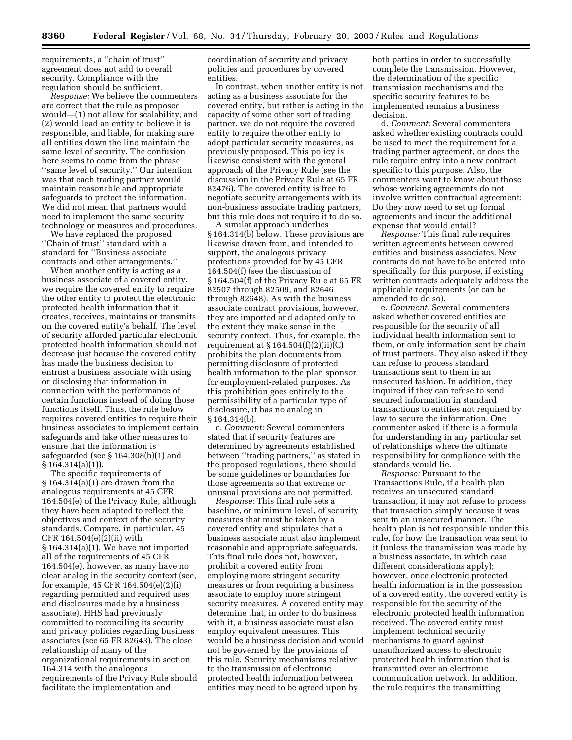requirements, a ''chain of trust'' agreement does not add to overall security. Compliance with the regulation should be sufficient.

*Response:* We believe the commenters are correct that the rule as proposed would—(1) not allow for scalability; and (2) would lead an entity to believe it is responsible, and liable, for making sure all entities down the line maintain the same level of security. The confusion here seems to come from the phrase ''same level of security.'' Our intention was that each trading partner would maintain reasonable and appropriate safeguards to protect the information. We did not mean that partners would need to implement the same security technology or measures and procedures.

We have replaced the proposed ''Chain of trust'' standard with a standard for ''Business associate contracts and other arrangements.''

When another entity is acting as a business associate of a covered entity, we require the covered entity to require the other entity to protect the electronic protected health information that it creates, receives, maintains or transmits on the covered entity's behalf. The level of security afforded particular electronic protected health information should not decrease just because the covered entity has made the business decision to entrust a business associate with using or disclosing that information in connection with the performance of certain functions instead of doing those functions itself. Thus, the rule below requires covered entities to require their business associates to implement certain safeguards and take other measures to ensure that the information is safeguarded (see § 164.308(b)(1) and § 164.314(a)(1)).

The specific requirements of § 164.314(a)(1) are drawn from the analogous requirements at 45 CFR 164.504(e) of the Privacy Rule, although they have been adapted to reflect the objectives and context of the security standards. Compare, in particular, 45 CFR 164.504(e)(2)(ii) with § 164.314(a)(1). We have not imported all of the requirements of 45 CFR 164.504(e), however, as many have no clear analog in the security context (see, for example, 45 CFR 164.504(e)(2)(i) regarding permitted and required uses and disclosures made by a business associate). HHS had previously committed to reconciling its security and privacy policies regarding business associates (see 65 FR 82643). The close relationship of many of the organizational requirements in section 164.314 with the analogous requirements of the Privacy Rule should facilitate the implementation and

coordination of security and privacy policies and procedures by covered entities.

In contrast, when another entity is not acting as a business associate for the covered entity, but rather is acting in the capacity of some other sort of trading partner, we do not require the covered entity to require the other entity to adopt particular security measures, as previously proposed. This policy is likewise consistent with the general approach of the Privacy Rule (see the discussion in the Privacy Rule at 65 FR 82476). The covered entity is free to negotiate security arrangements with its non-business associate trading partners, but this rule does not require it to do so.

A similar approach underlies § 164.314(b) below. These provisions are likewise drawn from, and intended to support, the analogous privacy protections provided for by 45 CFR 164.504(f) (see the discussion of § 164.504(f) of the Privacy Rule at 65 FR 82507 through 82509, and 82646 through 82648). As with the business associate contract provisions, however, they are imported and adapted only to the extent they make sense in the security context. Thus, for example, the requirement at  $\S 164.504(f)(2)(ii)(C)$ prohibits the plan documents from permitting disclosure of protected health information to the plan sponsor for employment-related purposes. As this prohibition goes entirely to the permissibility of a particular type of disclosure, it has no analog in § 164.314(b).

c. *Comment:* Several commenters stated that if security features are determined by agreements established between ''trading partners,'' as stated in the proposed regulations, there should be some guidelines or boundaries for those agreements so that extreme or unusual provisions are not permitted.

*Response:* This final rule sets a baseline, or minimum level, of security measures that must be taken by a covered entity and stipulates that a business associate must also implement reasonable and appropriate safeguards. This final rule does not, however, prohibit a covered entity from employing more stringent security measures or from requiring a business associate to employ more stringent security measures. A covered entity may determine that, in order to do business with it, a business associate must also employ equivalent measures. This would be a business decision and would not be governed by the provisions of this rule. Security mechanisms relative to the transmission of electronic protected health information between entities may need to be agreed upon by

both parties in order to successfully complete the transmission. However, the determination of the specific transmission mechanisms and the specific security features to be implemented remains a business decision.

d. *Comment:* Several commenters asked whether existing contracts could be used to meet the requirement for a trading partner agreement, or does the rule require entry into a new contract specific to this purpose. Also, the commenters want to know about those whose working agreements do not involve written contractual agreement: Do they now need to set up formal agreements and incur the additional expense that would entail?

*Response:* This final rule requires written agreements between covered entities and business associates. New contracts do not have to be entered into specifically for this purpose, if existing written contracts adequately address the applicable requirements (or can be amended to do so).

e. *Comment:* Several commenters asked whether covered entities are responsible for the security of all individual health information sent to them, or only information sent by chain of trust partners. They also asked if they can refuse to process standard transactions sent to them in an unsecured fashion. In addition, they inquired if they can refuse to send secured information in standard transactions to entities not required by law to secure the information. One commenter asked if there is a formula for understanding in any particular set of relationships where the ultimate responsibility for compliance with the standards would lie.

*Response:* Pursuant to the Transactions Rule, if a health plan receives an unsecured standard transaction, it may not refuse to process that transaction simply because it was sent in an unsecured manner. The health plan is not responsible under this rule, for how the transaction was sent to it (unless the transmission was made by a business associate, in which case different considerations apply); however, once electronic protected health information is in the possession of a covered entity, the covered entity is responsible for the security of the electronic protected health information received. The covered entity must implement technical security mechanisms to guard against unauthorized access to electronic protected health information that is transmitted over an electronic communication network. In addition, the rule requires the transmitting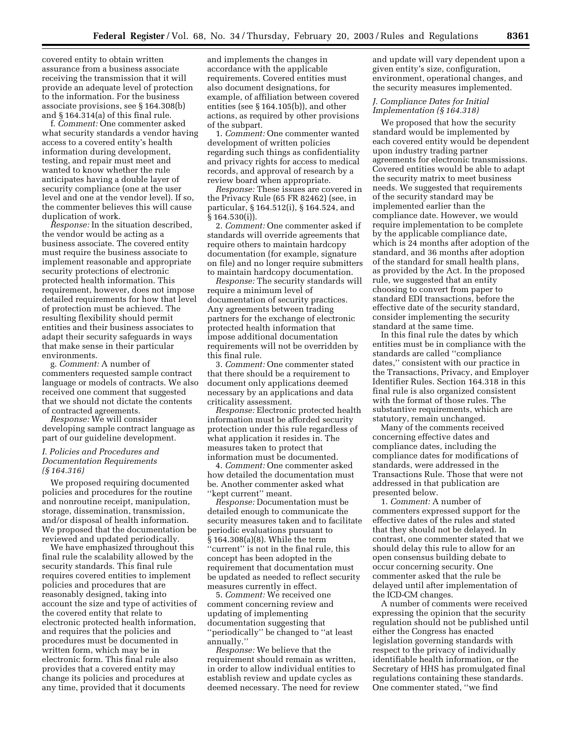covered entity to obtain written assurance from a business associate receiving the transmission that it will provide an adequate level of protection to the information. For the business associate provisions, see § 164.308(b) and § 164.314(a) of this final rule.

f. *Comment:* One commenter asked what security standards a vendor having access to a covered entity's health information during development, testing, and repair must meet and wanted to know whether the rule anticipates having a double layer of security compliance (one at the user level and one at the vendor level). If so, the commenter believes this will cause duplication of work.

*Response:* In the situation described, the vendor would be acting as a business associate. The covered entity must require the business associate to implement reasonable and appropriate security protections of electronic protected health information. This requirement, however, does not impose detailed requirements for how that level of protection must be achieved. The resulting flexibility should permit entities and their business associates to adapt their security safeguards in ways that make sense in their particular environments.

g. *Comment:* A number of commenters requested sample contract language or models of contracts. We also received one comment that suggested that we should not dictate the contents of contracted agreements.

*Response:* We will consider developing sample contract language as part of our guideline development.

## *I. Policies and Procedures and Documentation Requirements (§ 164.316)*

We proposed requiring documented policies and procedures for the routine and nonroutine receipt, manipulation, storage, dissemination, transmission, and/or disposal of health information. We proposed that the documentation be reviewed and updated periodically.

We have emphasized throughout this final rule the scalability allowed by the security standards. This final rule requires covered entities to implement policies and procedures that are reasonably designed, taking into account the size and type of activities of the covered entity that relate to electronic protected health information, and requires that the policies and procedures must be documented in written form, which may be in electronic form. This final rule also provides that a covered entity may change its policies and procedures at any time, provided that it documents

and implements the changes in accordance with the applicable requirements. Covered entities must also document designations, for example, of affiliation between covered entities (see § 164.105(b)), and other actions, as required by other provisions of the subpart.

1. *Comment:* One commenter wanted development of written policies regarding such things as confidentiality and privacy rights for access to medical records, and approval of research by a review board when appropriate.

*Response:* These issues are covered in the Privacy Rule (65 FR 82462) (see, in particular, § 164.512(i), § 164.524, and § 164.530(i)).

2. *Comment:* One commenter asked if standards will override agreements that require others to maintain hardcopy documentation (for example, signature on file) and no longer require submitters to maintain hardcopy documentation.

*Response:* The security standards will require a minimum level of documentation of security practices. Any agreements between trading partners for the exchange of electronic protected health information that impose additional documentation requirements will not be overridden by this final rule.

3. *Comment:* One commenter stated that there should be a requirement to document only applications deemed necessary by an applications and data criticality assessment.

*Response:* Electronic protected health information must be afforded security protection under this rule regardless of what application it resides in. The measures taken to protect that information must be documented.

4. *Comment:* One commenter asked how detailed the documentation must be. Another commenter asked what ''kept current'' meant.

*Response:* Documentation must be detailed enough to communicate the security measures taken and to facilitate periodic evaluations pursuant to § 164.308(a)(8). While the term ''current'' is not in the final rule, this concept has been adopted in the requirement that documentation must be updated as needed to reflect security measures currently in effect.

5. *Comment:* We received one comment concerning review and updating of implementing documentation suggesting that ''periodically'' be changed to ''at least annually.''

*Response:* We believe that the requirement should remain as written, in order to allow individual entities to establish review and update cycles as deemed necessary. The need for review and update will vary dependent upon a given entity's size, configuration, environment, operational changes, and the security measures implemented.

## *J. Compliance Dates for Initial Implementation (§ 164.318)*

We proposed that how the security standard would be implemented by each covered entity would be dependent upon industry trading partner agreements for electronic transmissions. Covered entities would be able to adapt the security matrix to meet business needs. We suggested that requirements of the security standard may be implemented earlier than the compliance date. However, we would require implementation to be complete by the applicable compliance date, which is 24 months after adoption of the standard, and 36 months after adoption of the standard for small health plans, as provided by the Act. In the proposed rule, we suggested that an entity choosing to convert from paper to standard EDI transactions, before the effective date of the security standard, consider implementing the security standard at the same time.

In this final rule the dates by which entities must be in compliance with the standards are called ''compliance dates,'' consistent with our practice in the Transactions, Privacy, and Employer Identifier Rules. Section 164.318 in this final rule is also organized consistent with the format of those rules. The substantive requirements, which are statutory, remain unchanged.

Many of the comments received concerning effective dates and compliance dates, including the compliance dates for modifications of standards, were addressed in the Transactions Rule. Those that were not addressed in that publication are presented below.

1. *Comment:* A number of commenters expressed support for the effective dates of the rules and stated that they should not be delayed. In contrast, one commenter stated that we should delay this rule to allow for an open consensus building debate to occur concerning security. One commenter asked that the rule be delayed until after implementation of the ICD-CM changes.

A number of comments were received expressing the opinion that the security regulation should not be published until either the Congress has enacted legislation governing standards with respect to the privacy of individually identifiable health information, or the Secretary of HHS has promulgated final regulations containing these standards. One commenter stated, ''we find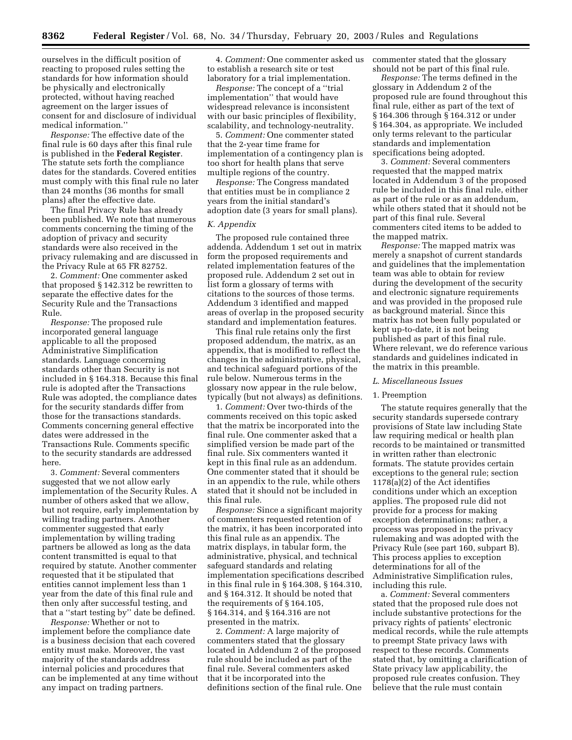ourselves in the difficult position of reacting to proposed rules setting the standards for how information should be physically and electronically protected, without having reached agreement on the larger issues of consent for and disclosure of individual medical information.''

*Response:* The effective date of the final rule is 60 days after this final rule is published in the **Federal Register**. The statute sets forth the compliance dates for the standards. Covered entities must comply with this final rule no later than 24 months (36 months for small plans) after the effective date.

The final Privacy Rule has already been published. We note that numerous comments concerning the timing of the adoption of privacy and security standards were also received in the privacy rulemaking and are discussed in the Privacy Rule at 65 FR 82752.

2. *Comment:* One commenter asked that proposed § 142.312 be rewritten to separate the effective dates for the Security Rule and the Transactions Rule.

*Response:* The proposed rule incorporated general language applicable to all the proposed Administrative Simplification standards. Language concerning standards other than Security is not included in § 164.318. Because this final rule is adopted after the Transactions Rule was adopted, the compliance dates for the security standards differ from those for the transactions standards. Comments concerning general effective dates were addressed in the Transactions Rule. Comments specific to the security standards are addressed here.

3. *Comment:* Several commenters suggested that we not allow early implementation of the Security Rules. A number of others asked that we allow, but not require, early implementation by willing trading partners. Another commenter suggested that early implementation by willing trading partners be allowed as long as the data content transmitted is equal to that required by statute. Another commenter requested that it be stipulated that entities cannot implement less than 1 year from the date of this final rule and then only after successful testing, and that a ''start testing by'' date be defined.

*Response:* Whether or not to implement before the compliance date is a business decision that each covered entity must make. Moreover, the vast majority of the standards address internal policies and procedures that can be implemented at any time without any impact on trading partners.

4. *Comment:* One commenter asked us to establish a research site or test laboratory for a trial implementation.

*Response:* The concept of a ''trial implementation'' that would have widespread relevance is inconsistent with our basic principles of flexibility, scalability, and technology-neutrality.

5. *Comment:* One commenter stated that the 2-year time frame for implementation of a contingency plan is too short for health plans that serve multiple regions of the country.

*Response:* The Congress mandated that entities must be in compliance 2 years from the initial standard's adoption date (3 years for small plans).

## *K. Appendix*

The proposed rule contained three addenda. Addendum 1 set out in matrix form the proposed requirements and related implementation features of the proposed rule. Addendum 2 set out in list form a glossary of terms with citations to the sources of those terms. Addendum 3 identified and mapped areas of overlap in the proposed security standard and implementation features.

This final rule retains only the first proposed addendum, the matrix, as an appendix, that is modified to reflect the changes in the administrative, physical, and technical safeguard portions of the rule below. Numerous terms in the glossary now appear in the rule below, typically (but not always) as definitions.

1. *Comment:* Over two-thirds of the comments received on this topic asked that the matrix be incorporated into the final rule. One commenter asked that a simplified version be made part of the final rule. Six commenters wanted it kept in this final rule as an addendum. One commenter stated that it should be in an appendix to the rule, while others stated that it should not be included in this final rule.

*Response:* Since a significant majority of commenters requested retention of the matrix, it has been incorporated into this final rule as an appendix. The matrix displays, in tabular form, the administrative, physical, and technical safeguard standards and relating implementation specifications described in this final rule in § 164.308, § 164.310, and § 164.312. It should be noted that the requirements of § 164.105, § 164.314, and § 164.316 are not presented in the matrix.

2. *Comment:* A large majority of commenters stated that the glossary located in Addendum 2 of the proposed rule should be included as part of the final rule. Several commenters asked that it be incorporated into the definitions section of the final rule. One

commenter stated that the glossary should not be part of this final rule.

*Response:* The terms defined in the glossary in Addendum 2 of the proposed rule are found throughout this final rule, either as part of the text of § 164.306 through § 164.312 or under § 164.304, as appropriate. We included only terms relevant to the particular standards and implementation specifications being adopted.

3. *Comment:* Several commenters requested that the mapped matrix located in Addendum 3 of the proposed rule be included in this final rule, either as part of the rule or as an addendum, while others stated that it should not be part of this final rule. Several commenters cited items to be added to the mapped matrix.

*Response:* The mapped matrix was merely a snapshot of current standards and guidelines that the implementation team was able to obtain for review during the development of the security and electronic signature requirements and was provided in the proposed rule as background material. Since this matrix has not been fully populated or kept up-to-date, it is not being published as part of this final rule. Where relevant, we do reference various standards and guidelines indicated in the matrix in this preamble.

#### *L. Miscellaneous Issues*

#### 1. Preemption

The statute requires generally that the security standards supersede contrary provisions of State law including State law requiring medical or health plan records to be maintained or transmitted in written rather than electronic formats. The statute provides certain exceptions to the general rule; section 1178(a)(2) of the Act identifies conditions under which an exception applies. The proposed rule did not provide for a process for making exception determinations; rather, a process was proposed in the privacy rulemaking and was adopted with the Privacy Rule (see part 160, subpart B). This process applies to exception determinations for all of the Administrative Simplification rules, including this rule.

a. *Comment:* Several commenters stated that the proposed rule does not include substantive protections for the privacy rights of patients' electronic medical records, while the rule attempts to preempt State privacy laws with respect to these records. Comments stated that, by omitting a clarification of State privacy law applicability, the proposed rule creates confusion. They believe that the rule must contain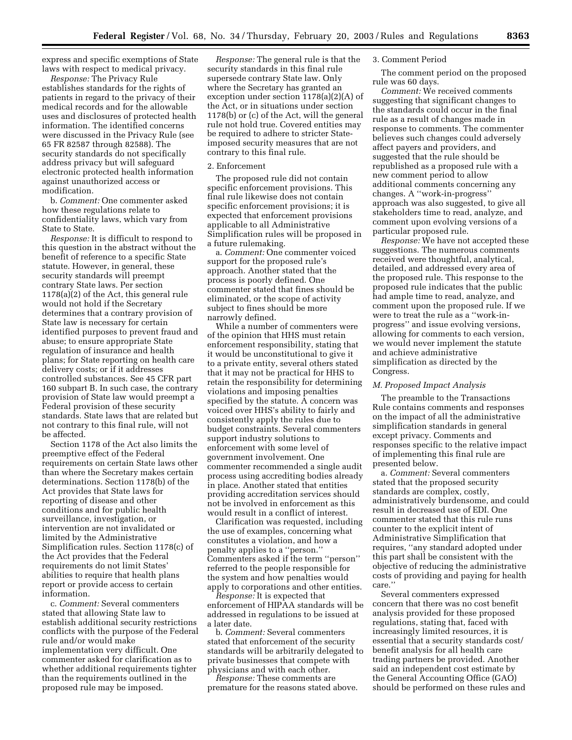express and specific exemptions of State laws with respect to medical privacy.

*Response:* The Privacy Rule establishes standards for the rights of patients in regard to the privacy of their medical records and for the allowable uses and disclosures of protected health information. The identified concerns were discussed in the Privacy Rule (see 65 FR 82587 through 82588). The security standards do not specifically address privacy but will safeguard electronic protected health information against unauthorized access or modification.

b. *Comment:* One commenter asked how these regulations relate to confidentiality laws, which vary from State to State.

*Response:* It is difficult to respond to this question in the abstract without the benefit of reference to a specific State statute. However, in general, these security standards will preempt contrary State laws. Per section 1178(a)(2) of the Act, this general rule would not hold if the Secretary determines that a contrary provision of State law is necessary for certain identified purposes to prevent fraud and abuse; to ensure appropriate State regulation of insurance and health plans; for State reporting on health care delivery costs; or if it addresses controlled substances. See 45 CFR part 160 subpart B. In such case, the contrary provision of State law would preempt a Federal provision of these security standards. State laws that are related but not contrary to this final rule, will not be affected.

Section 1178 of the Act also limits the preemptive effect of the Federal requirements on certain State laws other than where the Secretary makes certain determinations. Section 1178(b) of the Act provides that State laws for reporting of disease and other conditions and for public health surveillance, investigation, or intervention are not invalidated or limited by the Administrative Simplification rules. Section 1178(c) of the Act provides that the Federal requirements do not limit States' abilities to require that health plans report or provide access to certain information.

c. *Comment:* Several commenters stated that allowing State law to establish additional security restrictions conflicts with the purpose of the Federal rule and/or would make implementation very difficult. One commenter asked for clarification as to whether additional requirements tighter than the requirements outlined in the proposed rule may be imposed.

*Response:* The general rule is that the security standards in this final rule supersede contrary State law. Only where the Secretary has granted an exception under section 1178(a)(2)(A) of the Act, or in situations under section 1178(b) or (c) of the Act, will the general rule not hold true. Covered entities may be required to adhere to stricter Stateimposed security measures that are not contrary to this final rule.

#### 2. Enforcement

The proposed rule did not contain specific enforcement provisions. This final rule likewise does not contain specific enforcement provisions; it is expected that enforcement provisions applicable to all Administrative Simplification rules will be proposed in a future rulemaking.

a. *Comment:* One commenter voiced support for the proposed rule's approach. Another stated that the process is poorly defined. One commenter stated that fines should be eliminated, or the scope of activity subject to fines should be more narrowly defined.

While a number of commenters were of the opinion that HHS must retain enforcement responsibility, stating that it would be unconstitutional to give it to a private entity, several others stated that it may not be practical for HHS to retain the responsibility for determining violations and imposing penalties specified by the statute. A concern was voiced over HHS's ability to fairly and consistently apply the rules due to budget constraints. Several commenters support industry solutions to enforcement with some level of government involvement. One commenter recommended a single audit process using accrediting bodies already in place. Another stated that entities providing accreditation services should not be involved in enforcement as this would result in a conflict of interest.

Clarification was requested, including the use of examples, concerning what constitutes a violation, and how a penalty applies to a ''person.'' Commenters asked if the term ''person'' referred to the people responsible for the system and how penalties would apply to corporations and other entities.

*Response:* It is expected that enforcement of HIPAA standards will be addressed in regulations to be issued at a later date.

b. *Comment:* Several commenters stated that enforcement of the security standards will be arbitrarily delegated to private businesses that compete with physicians and with each other.

*Response:* These comments are premature for the reasons stated above.

#### 3. Comment Period

The comment period on the proposed rule was 60 days.

*Comment:* We received comments suggesting that significant changes to the standards could occur in the final rule as a result of changes made in response to comments. The commenter believes such changes could adversely affect payers and providers, and suggested that the rule should be republished as a proposed rule with a new comment period to allow additional comments concerning any changes. A ''work-in-progress'' approach was also suggested, to give all stakeholders time to read, analyze, and comment upon evolving versions of a particular proposed rule.

*Response:* We have not accepted these suggestions. The numerous comments received were thoughtful, analytical, detailed, and addressed every area of the proposed rule. This response to the proposed rule indicates that the public had ample time to read, analyze, and comment upon the proposed rule. If we were to treat the rule as a ''work-inprogress'' and issue evolving versions, allowing for comments to each version, we would never implement the statute and achieve administrative simplification as directed by the Congress.

#### *M. Proposed Impact Analysis*

The preamble to the Transactions Rule contains comments and responses on the impact of all the administrative simplification standards in general except privacy. Comments and responses specific to the relative impact of implementing this final rule are presented below.

a. *Comment:* Several commenters stated that the proposed security standards are complex, costly, administratively burdensome, and could result in decreased use of EDI. One commenter stated that this rule runs counter to the explicit intent of Administrative Simplification that requires, ''any standard adopted under this part shall be consistent with the objective of reducing the administrative costs of providing and paying for health care.''

Several commenters expressed concern that there was no cost benefit analysis provided for these proposed regulations, stating that, faced with increasingly limited resources, it is essential that a security standards cost/ benefit analysis for all health care trading partners be provided. Another said an independent cost estimate by the General Accounting Office (GAO) should be performed on these rules and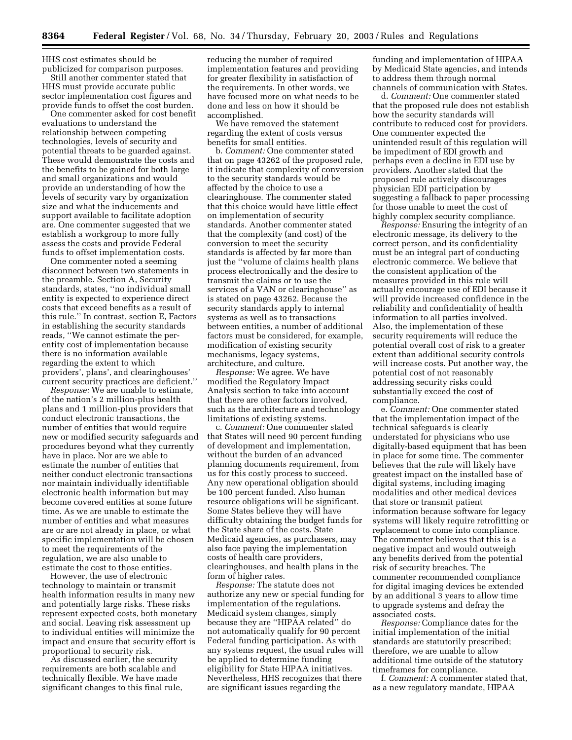HHS cost estimates should be publicized for comparison purposes.

Still another commenter stated that HHS must provide accurate public sector implementation cost figures and provide funds to offset the cost burden.

One commenter asked for cost benefit evaluations to understand the relationship between competing technologies, levels of security and potential threats to be guarded against. These would demonstrate the costs and the benefits to be gained for both large and small organizations and would provide an understanding of how the levels of security vary by organization size and what the inducements and support available to facilitate adoption are. One commenter suggested that we establish a workgroup to more fully assess the costs and provide Federal funds to offset implementation costs.

One commenter noted a seeming disconnect between two statements in the preamble. Section A, Security standards, states, ''no individual small entity is expected to experience direct costs that exceed benefits as a result of this rule.'' In contrast, section E, Factors in establishing the security standards reads, ''We cannot estimate the perentity cost of implementation because there is no information available regarding the extent to which providers', plans', and clearinghouses' current security practices are deficient.''

*Response:* We are unable to estimate, of the nation's 2 million-plus health plans and 1 million-plus providers that conduct electronic transactions, the number of entities that would require new or modified security safeguards and procedures beyond what they currently have in place. Nor are we able to estimate the number of entities that neither conduct electronic transactions nor maintain individually identifiable electronic health information but may become covered entities at some future time. As we are unable to estimate the number of entities and what measures are or are not already in place, or what specific implementation will be chosen to meet the requirements of the regulation, we are also unable to estimate the cost to those entities.

However, the use of electronic technology to maintain or transmit health information results in many new and potentially large risks. These risks represent expected costs, both monetary and social. Leaving risk assessment up to individual entities will minimize the impact and ensure that security effort is proportional to security risk.

As discussed earlier, the security requirements are both scalable and technically flexible. We have made significant changes to this final rule, reducing the number of required implementation features and providing for greater flexibility in satisfaction of the requirements. In other words, we have focused more on what needs to be done and less on how it should be accomplished.

We have removed the statement regarding the extent of costs versus benefits for small entities.

b. *Comment:* One commenter stated that on page 43262 of the proposed rule, it indicate that complexity of conversion to the security standards would be affected by the choice to use a clearinghouse. The commenter stated that this choice would have little effect on implementation of security standards. Another commenter stated that the complexity (and cost) of the conversion to meet the security standards is affected by far more than just the ''volume of claims health plans process electronically and the desire to transmit the claims or to use the services of a VAN or clearinghouse'' as is stated on page 43262. Because the security standards apply to internal systems as well as to transactions between entities, a number of additional factors must be considered, for example, modification of existing security mechanisms, legacy systems, architecture, and culture.

*Response:* We agree. We have modified the Regulatory Impact Analysis section to take into account that there are other factors involved, such as the architecture and technology limitations of existing systems.

c. *Comment:* One commenter stated that States will need 90 percent funding of development and implementation, without the burden of an advanced planning documents requirement, from us for this costly process to succeed. Any new operational obligation should be 100 percent funded. Also human resource obligations will be significant. Some States believe they will have difficulty obtaining the budget funds for the State share of the costs. State Medicaid agencies, as purchasers, may also face paying the implementation costs of health care providers, clearinghouses, and health plans in the form of higher rates.

*Response:* The statute does not authorize any new or special funding for implementation of the regulations. Medicaid system changes, simply because they are ''HIPAA related'' do not automatically qualify for 90 percent Federal funding participation. As with any systems request, the usual rules will be applied to determine funding eligibility for State HIPAA initiatives. Nevertheless, HHS recognizes that there are significant issues regarding the

funding and implementation of HIPAA by Medicaid State agencies, and intends to address them through normal channels of communication with States.

d. *Comment:* One commenter stated that the proposed rule does not establish how the security standards will contribute to reduced cost for providers. One commenter expected the unintended result of this regulation will be impediment of EDI growth and perhaps even a decline in EDI use by providers. Another stated that the proposed rule actively discourages physician EDI participation by suggesting a fallback to paper processing for those unable to meet the cost of highly complex security compliance.

*Response:* Ensuring the integrity of an electronic message, its delivery to the correct person, and its confidentiality must be an integral part of conducting electronic commerce. We believe that the consistent application of the measures provided in this rule will actually encourage use of EDI because it will provide increased confidence in the reliability and confidentiality of health information to all parties involved. Also, the implementation of these security requirements will reduce the potential overall cost of risk to a greater extent than additional security controls will increase costs. Put another way, the potential cost of not reasonably addressing security risks could substantially exceed the cost of compliance.

e. *Comment:* One commenter stated that the implementation impact of the technical safeguards is clearly understated for physicians who use digitally-based equipment that has been in place for some time. The commenter believes that the rule will likely have greatest impact on the installed base of digital systems, including imaging modalities and other medical devices that store or transmit patient information because software for legacy systems will likely require retrofitting or replacement to come into compliance. The commenter believes that this is a negative impact and would outweigh any benefits derived from the potential risk of security breaches. The commenter recommended compliance for digital imaging devices be extended by an additional 3 years to allow time to upgrade systems and defray the associated costs.

*Response:* Compliance dates for the initial implementation of the initial standards are statutorily prescribed; therefore, we are unable to allow additional time outside of the statutory timeframes for compliance.

f. *Comment:* A commenter stated that, as a new regulatory mandate, HIPAA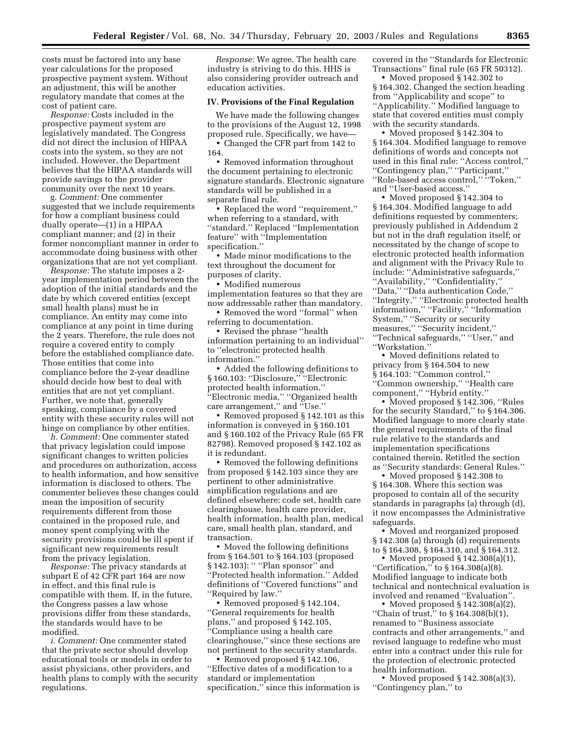costs must be factored into any base year calculations for the proposed prospective payment system. Without an adjustment, this will be another regulatory mandate that comes at the cost of patient care.

*Response:* Costs included in the prospective payment system are legislatively mandated. The Congress did not direct the inclusion of HIPAA costs into the system, so they are not included. However, the Department believes that the HIPAA standards will provide savings to the provider community over the next 10 years.

g. *Comment:* One commenter suggested that we include requirements for how a compliant business could dually operate—(1) in a HIPAA compliant manner; and (2) in their former noncompliant manner in order to accommodate doing business with other organizations that are not yet compliant.

*Response:* The statute imposes a 2 year implementation period between the adoption of the initial standards and the date by which covered entities (except small health plans) must be in compliance. An entity may come into compliance at any point in time during the 2 years. Therefore, the rule does not require a covered entity to comply before the established compliance date. Those entities that come into compliance before the 2-year deadline should decide how best to deal with entities that are not yet compliant. Further, we note that, generally speaking, compliance by a covered entity with these security rules will not hinge on compliance by other entities.

*h. Comment:* One commenter stated that privacy legislation could impose significant changes to written policies and procedures on authorization, access to health information, and how sensitive information is disclosed to others. The commenter believes these changes could mean the imposition of security requirements different from those contained in the proposed rule, and money spent complying with the security provisions could be ill spent if significant new requirements result from the privacy legislation.

*Response:* The privacy standards at subpart E of 42 CFR part 164 are now in effect, and this final rule is compatible with them. If, in the future, the Congress passes a law whose provisions differ from these standards, the standards would have to be modified.

*i. Comment:* One commenter stated that the private sector should develop educational tools or models in order to assist physicians, other providers, and health plans to comply with the security regulations.

*Response:* We agree. The health care industry is striving to do this. HHS is also considering provider outreach and education activities.

## **IV. Provisions of the Final Regulation**

We have made the following changes to the provisions of the August 12, 1998 proposed rule. Specifically, we have—

• Changed the CFR part from 142 to 164.

• Removed information throughout the document pertaining to electronic signature standards. Electronic signature standards will be published in a separate final rule.

• Replaced the word ''requirement,'' when referring to a standard, with ''standard.'' Replaced ''Implementation feature'' with ''Implementation specification.''

• Made minor modifications to the text throughout the document for purposes of clarity.

• Modified numerous implementation features so that they are now addressable rather than mandatory.

• Removed the word ''formal'' when referring to documentation.

• Revised the phrase ''health information pertaining to an individual'' to ''electronic protected health information.''

• Added the following definitions to § 160.103: "Disclosure," "Electronic protected health information,'' ''Electronic media,'' ''Organized health care arrangement,'' and ''Use.''

• Removed proposed § 142.101 as this information is conveyed in § 160.101 and § 160.102 of the Privacy Rule (65 FR 82798). Removed proposed § 142.102 as it is redundant.

• Removed the following definitions from proposed § 142.103 since they are pertinent to other administrative simplification regulations and are defined elsewhere: code set, health care clearinghouse, health care provider, health information, health plan, medical care, small health plan, standard, and transaction.

• Moved the following definitions from § 164.501 to § 164.103 (proposed § 142.103): " "Plan sponsor" and ''Protected health information.'' Added definitions of ''Covered functions'' and ''Required by law.''

• Removed proposed § 142.104, ''General requirements for health plans,'' and proposed § 142.105, 'Compliance using a health care clearinghouse,'' since these sections are not pertinent to the security standards.

• Removed proposed § 142.106, ''Effective dates of a modification to a standard or implementation specification,'' since this information is covered in the ''Standards for Electronic Transactions'' final rule (65 FR 50312).

• Moved proposed § 142.302 to § 164.302. Changed the section heading from ''Applicability and scope'' to ''Applicability.'' Modified language to state that covered entities must comply with the security standards.

• Moved proposed § 142.304 to § 164.304. Modified language to remove definitions of words and concepts not used in this final rule: ''Access control,'' ''Contingency plan,'' ''Participant,'' ''Role-based access control,'' ''Token,'' and ''User-based access.''

• Moved proposed § 142.304 to § 164.304. Modified language to add definitions requested by commenters; previously published in Addendum 2 but not in the draft regulation itself; or necessitated by the change of scope to electronic protected health information and alignment with the Privacy Rule to include: ''Administrative safeguards,'' ''Availability,'' ''Confidentiality,'' ''Data,'' ''Data authentication Code,'' ''Integrity,'' ''Electronic protected health information,'' ''Facility,'' ''Information System,'' ''Security or security measures,'' ''Security incident,'' ''Technical safeguards,'' ''User,'' and ''Workstation.''

• Moved definitions related to privacy from § 164.504 to new § 164.103: "Common control," ''Common ownership,'' ''Health care component,'' ''Hybrid entity.''

• Moved proposed § 142.306, "Rules for the security Standard,'' to § 164.306. Modified language to more clearly state the general requirements of the final rule relative to the standards and implementation specifications contained therein. Retitled the section as ''Security standards: General Rules.''

• Moved proposed § 142.308 to § 164.308. Where this section was proposed to contain all of the security standards in paragraphs (a) through (d), it now encompasses the Administrative safeguards.

• Moved and reorganized proposed § 142.308 (a) through (d) requirements to § 164.308, § 164.310, and § 164.312.

• Moved proposed § 142.308(a)(1), ''Certification,'' to § 164.308(a)(8). Modified language to indicate both technical and nontechnical evaluation is involved and renamed ''Evaluation''.

• Moved proposed § 142.308(a)(2), ''Chain of trust,'' to § 164.308(b)(1), renamed to ''Business associate contracts and other arrangements,'' and revised language to redefine who must enter into a contract under this rule for the protection of electronic protected health information.

• Moved proposed § 142.308(a)(3), ''Contingency plan,'' to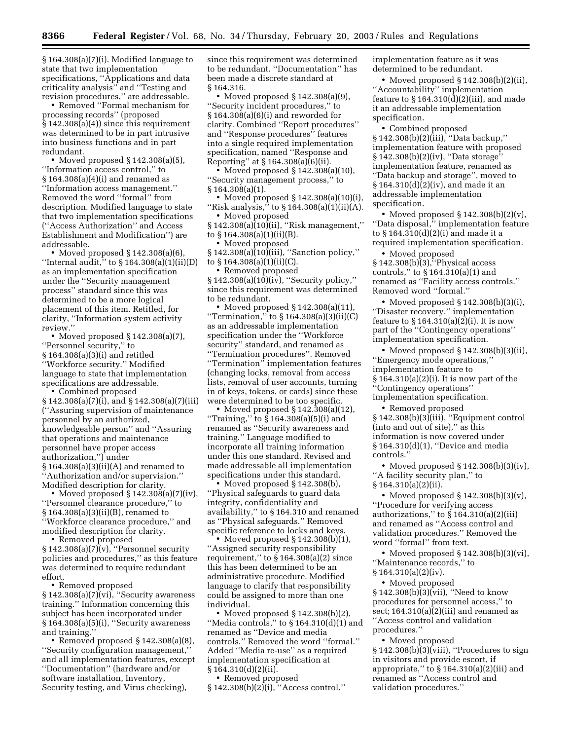§ 164.308(a)(7)(i). Modified language to state that two implementation specifications, ''Applications and data criticality analysis'' and ''Testing and revision procedures,'' are addressable.

• Removed ''Formal mechanism for processing records'' (proposed § 142.308(a)(4)) since this requirement was determined to be in part intrusive into business functions and in part redundant.

• Moved proposed  $\S 142.308(a)(5)$ , ''Information access control,'' to § 164.308(a)(4)(i) and renamed as ''Information access management.'' Removed the word ''formal'' from description. Modified language to state that two implementation specifications (''Access Authorization'' and Access Establishment and Modification'') are addressable.

• Moved proposed § 142.308(a)(6), "Internal audit," to  $§ 164.308(a)(1)(ii)(D)$ as an implementation specification under the ''Security management process'' standard since this was determined to be a more logical placement of this item. Retitled, for clarity, ''Information system activity review.''

• Moved proposed § 142.308(a)(7), ''Personnel security,'' to § 164.308(a)(3)(i) and retitled ''Workforce security.'' Modified language to state that implementation specifications are addressable.

• Combined proposed § 142.308(a)(7)(i), and § 142.308(a)(7)(iii) (''Assuring supervision of maintenance personnel by an authorized, knowledgeable person'' and ''Assuring that operations and maintenance personnel have proper access authorization,'') under § 164.308(a)(3)(ii)(A) and renamed to ''Authorization and/or supervision.'' Modified description for clarity.

• Moved proposed  $\S 142.308(a)(7)(iv)$ , ''Personnel clearance procedure,'' to § 164.308(a)(3)(ii)(B), renamed to ''Workforce clearance procedure,'' and modified description for clarity. • Removed proposed

§ 142.308(a)(7)(v), ''Personnel security policies and procedures,'' as this feature was determined to require redundant effort.

• Removed proposed  $§ 142.308(a)(7)(vi)$ , "Security awareness training.'' Information concerning this subject has been incorporated under § 164.308(a)(5)(i), ''Security awareness and training.

• Removed proposed § 142.308(a)(8), ''Security configuration management,'' and all implementation features, except ''Documentation'' (hardware and/or software installation, Inventory, Security testing, and Virus checking),

since this requirement was determined to be redundant. ''Documentation'' has been made a discrete standard at § 164.316.

• Moved proposed § 142.308(a)(9), ''Security incident procedures,'' to § 164.308(a)(6)(i) and reworded for clarity. Combined ''Report procedures'' and ''Response procedures'' features into a single required implementation specification, named ''Response and Reporting'' at § 164.308(a)(6)(ii).

• Moved proposed  $\S 142.308(a)(10)$ , ''Security management process,'' to § 164.308(a)(1).

• Moved proposed § 142.308(a)(10)(i), "Risk analysis," to § 164.308(a)(1)(ii)(A). • Moved proposed

 $\S 142.308(a)\overline{(10)}$ (ii), "Risk management," to  $§ 164.308(a)(1)(ii)(B)$ .

• Moved proposed

§ 142.308(a)(10)(iii), ''Sanction policy,'' to § 164.308(a)(1)(ii)(C).

• Removed proposed

§ 142.308(a)(10)(iv), ''Security policy,'' since this requirement was determined to be redundant.

• Moved proposed § 142.308(a)(11), ''Termination,'' to § 164.308(a)(3)(ii)(C) as an addressable implementation specification under the ''Workforce security'' standard, and renamed as ''Termination procedures''. Removed ''Termination'' implementation features (changing locks, removal from access lists, removal of user accounts, turning in of keys, tokens, or cards) since these were determined to be too specific.

• Moved proposed § 142.308(a)(12), ''Training,'' to § 164.308(a)(5)(i) and renamed as ''Security awareness and training.'' Language modified to incorporate all training information under this one standard. Revised and made addressable all implementation specifications under this standard.

• Moved proposed § 142.308(b), ''Physical safeguards to guard data integrity, confidentiality and availability,'' to § 164.310 and renamed as ''Physical safeguards.'' Removed specific reference to locks and keys.

• Moved proposed § 142.308(b)(1), ''Assigned security responsibility requirement," to  $\S 164.308(a)(2)$  since this has been determined to be an administrative procedure. Modified language to clarify that responsibility could be assigned to more than one individual.

• Moved proposed  $\S 142.308(b)(2)$ , ''Media controls,'' to § 164.310(d)(1) and renamed as ''Device and media controls.'' Removed the word ''formal.'' Added ''Media re-use'' as a required implementation specification at § 164.310(d)(2)(ii).

• Removed proposed

§ 142.308(b)(2)(i), ''Access control,''

implementation feature as it was determined to be redundant.

• Moved proposed § 142.308(b)(2)(ii), ''Accountability'' implementation feature to  $\S 164.310(d)(2)(iii)$ , and made it an addressable implementation specification.

• Combined proposed § 142.308(b)(2)(iii), "Data backup," implementation feature with proposed § 142.308(b)(2)(iv), ''Data storage'' implementation feature, renamed as ''Data backup and storage'', moved to § 164.310(d)(2)(iv), and made it an addressable implementation specification.

• Moved proposed  $\S 142.308(b)(2)(v)$ , ''Data disposal,'' implementation feature to § 164.310(d)(2)(i) and made it a required implementation specification.

• Moved proposed § 142.308(b)(3),''Physical access controls,'' to § 164.310(a)(1) and renamed as ''Facility access controls.'' Removed word ''formal.''

• Moved proposed § 142.308(b)(3)(i), ''Disaster recovery,'' implementation feature to § 164.310(a)(2)(i). It is now part of the ''Contingency operations'' implementation specification.

• Moved proposed § 142.308(b)(3)(ii), ''Emergency mode operations,'' implementation feature to § 164.310(a)(2)(i). It is now part of the ''Contingency operations'' implementation specification.

• Removed proposed § 142.308(b)(3)(iii), ''Equipment control (into and out of site),'' as this information is now covered under § 164.310(d)(1), ''Device and media controls.''

• Moved proposed  $\S 142.308(b)(3)(iv)$ , ''A facility security plan,'' to  $§ 164.310(a)(2)(ii).$ 

• Moved proposed  $§ 142.308(b)(3)(v)$ , ''Procedure for verifying access authorizations," to  $\S 164.310(a)(2)(iii)$ and renamed as ''Access control and validation procedures.'' Removed the word ''formal'' from text.

• Moved proposed § 142.308(b)(3)(vi), ''Maintenance records,'' to § 164.310(a)(2)(iv).

• Moved proposed § 142.308(b)(3)(vii), ''Need to know procedures for personnel access,'' to sect;  $164.310(a)(2)(iii)$  and renamed as ''Access control and validation

procedures.'' • Moved proposed  $§ 142.308(b)(3)(viii), "Proceedures to sign"$ in visitors and provide escort, if appropriate,'' to § 164.310(a)(2)(iii) and renamed as ''Access control and validation procedures.''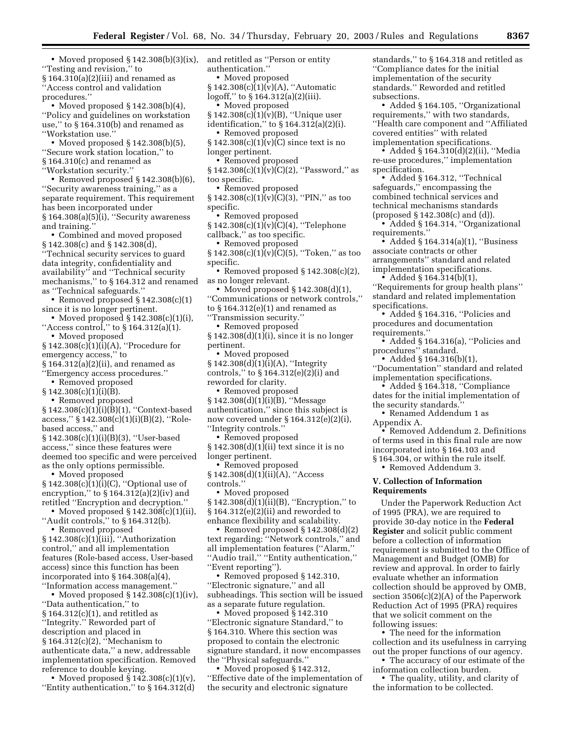• Moved proposed § 142.308(b)(3)(ix), and retitled as ''Person or entity ''Testing and revision,'' to  $§ 164.310(a)(2)(iii)$  and renamed as

Access control and validation<sup>.</sup> procedures.''

• Moved proposed  $\S 142.308(b)(4)$ , ''Policy and guidelines on workstation use,'' to § 164.310(b) and renamed as ''Workstation use.''

• Moved proposed § 142.308(b)(5), ''Secure work station location,'' to § 164.310(c) and renamed as ''Workstation security.''

• Removed proposed § 142.308(b)(6), ''Security awareness training,'' as a separate requirement. This requirement has been incorporated under  $§ 164.308(a)(5)(i)$ , "Security awareness and training.

• Combined and moved proposed § 142.308(c) and § 142.308(d), ''Technical security services to guard data integrity, confidentiality and availability'' and ''Technical security mechanisms,'' to § 164.312 and renamed as ''Technical safeguards.''

• Removed proposed § 142.308(c)(1) since it is no longer pertinent.

- Moved proposed  $\S 142.308(c)(1)(i)$ , "Access control," to § 164.312(a)(1).
- Moved proposed

§ 142.308(c)(1)(i)(A), ''Procedure for emergency access,'' to

§ 164.312(a)(2)(ii), and renamed as

''Emergency access procedures.'' • Removed proposed

 $§ 142.308(c)(1)(i)(B).$ 

• Removed proposed

§ 142.308(c)(1)(i)(B)(1), ''Context-based access,'' § 142.308(c)(1)(i)(B)(2), ''Rolebased access,'' and

§ 142.308(c)(1)(i)(B)(3), ''User-based access,'' since these features were deemed too specific and were perceived as the only options permissible.

• Moved proposed

§ 142.308(c)(1)(i)(C), ''Optional use of encryption,'' to § 164.312(a)(2)(iv) and retitled ''Encryption and decryption.''

• Moved proposed  $\S 142.308(c)(1)(ii)$ , ''Audit controls,'' to § 164.312(b).

• Removed proposed § 142.308(c)(1)(iii), ''Authorization control,'' and all implementation features (Role-based access, User-based access) since this function has been

incorporated into § 164.308(a)(4), ''Information access management.'' • Moved proposed  $\S 142.308(c)(1)(iv)$ ,

''Data authentication,'' to § 164.312(c)(1), and retitled as ''Integrity.'' Reworded part of description and placed in § 164.312(c)(2), "Mechanism to authenticate data,'' a new, addressable implementation specification. Removed reference to double keying.

• Moved proposed  $\S 142.308(c)(1)(v)$ , ''Entity authentication,'' to § 164.312(d)

authentication.''

• Moved proposed

 $§ 142.308(c)(1)(v)(A), "Automatic"$ logoff,'' to § 164.312(a)(2)(iii).

• Moved proposed

§ 142.308(c)(1)(v)(B), ''Unique user identification,'' to § 164.312(a)(2)(i). • Removed proposed

 $§ 142.308(c)(1)(v)(C)$  since text is no longer pertinent.

• Removed proposed

 $§ 142.308(c)(1)(v)(C)(2), "Password," as$ too specific.

• Removed proposed

 $§ 142.308(c)(1)(v)(C)(3), "PIN," as too$ specific.

• Removed proposed

 $§ 142.308(c)(1)(v)(C)(4), "Telephone$ callback,'' as too specific.

• Removed proposed

 $$142.308(c)(1)(v)(C)(5), "Token," as too$ specific.

• Removed proposed § 142.308(c)(2), as no longer relevant.

• Moved proposed  $§ 142.308(d)(1),$ 

''Communications or network controls,'' to § 164.312(e)(1) and renamed as ''Transmission security.''

• Removed proposed

§ 142.308(d)(1)(i), since it is no longer pertinent.

• Moved proposed

 $§ 142.308(d)(1)(i)(A), 'Integrity$ controls,'' to § 164.312(e)(2)(i) and reworded for clarity.

• Removed proposed § 142.308(d)(1)(i)(B), ''Message authentication,'' since this subject is now covered under § 164.312(e)(2)(i), ''Integrity controls.''

• Removed proposed § 142.308(d)(1)(ii) text since it is no longer pertinent.

• Removed proposed § 142.308(d)(1)(ii)(A), ''Access controls.''

• Moved proposed  $§ 142.308(d)(1)(ii)(B)$ , "Encryption," to § 164.312(e)(2)(ii) and reworded to enhance flexibility and scalability.

• Removed proposed § 142.308(d)(2) text regarding: ''Network controls,'' and all implementation features (''Alarm,'' ''Audio trail,'' ''Entity authentication,'' ''Event reporting'').

• Removed proposed § 142.310, ''Electronic signature,'' and all subheadings. This section will be issued as a separate future regulation.

• Moved proposed § 142.310 ''Electronic signature Standard,'' to § 164.310. Where this section was proposed to contain the electronic signature standard, it now encompasses the ''Physical safeguards.''

• Moved proposed § 142.312, ''Effective date of the implementation of the security and electronic signature

standards,'' to § 164.318 and retitled as ''Compliance dates for the initial implementation of the security standards.'' Reworded and retitled subsections.

• Added § 164.105, ''Organizational requirements,'' with two standards, ''Health care component and ''Affiliated covered entities'' with related implementation specifications.

• Added § 164.310(d)(2)(ii), ''Media re-use procedures,'' implementation specification.

• Added § 164.312, ''Technical safeguards,'' encompassing the combined technical services and technical mechanisms standards (proposed § 142.308(c) and (d)).

• Added § 164.314, "Organizational requirements.''

• Added  $§ 164.314(a)(1)$ , "Business" associate contracts or other arrangements'' standard and related implementation specifications.

• Added § 164.314(b)(1), ''Requirements for group health plans'' standard and related implementation specifications.

• Added § 164.316, ''Policies and procedures and documentation requirements.''

• Added § 164.316(a), ''Policies and procedures'' standard.

• Added § 164.316(b)(1), ''Documentation'' standard and related implementation specifications.

• Added § 164.318, ''Compliance dates for the initial implementation of the security standards.''

• Renamed Addendum 1 as Appendix A.

• Removed Addendum 2. Definitions of terms used in this final rule are now incorporated into § 164.103 and § 164.304, or within the rule itself.

• Removed Addendum 3.

## **V. Collection of Information Requirements**

Under the Paperwork Reduction Act of 1995 (PRA), we are required to provide 30-day notice in the **Federal Register** and solicit public comment before a collection of information requirement is submitted to the Office of Management and Budget (OMB) for review and approval. In order to fairly evaluate whether an information collection should be approved by OMB, section 3506(c)(2)(A) of the Paperwork Reduction Act of 1995 (PRA) requires that we solicit comment on the following issues:

• The need for the information collection and its usefulness in carrying out the proper functions of our agency.

• The accuracy of our estimate of the information collection burden.

• The quality, utility, and clarity of the information to be collected.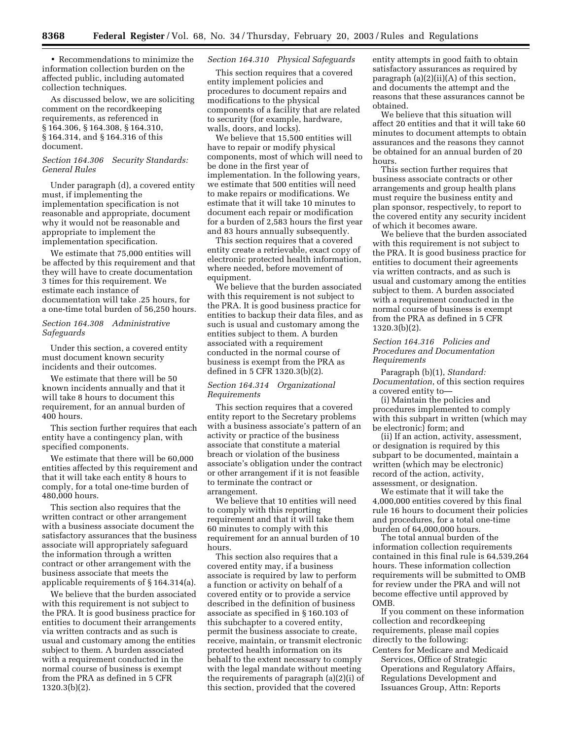• Recommendations to minimize the information collection burden on the affected public, including automated collection techniques.

As discussed below, we are soliciting comment on the recordkeeping requirements, as referenced in § 164.306, § 164.308, § 164.310, § 164.314, and § 164.316 of this document.

## *Section 164.306 Security Standards: General Rules*

Under paragraph (d), a covered entity must, if implementing the implementation specification is not reasonable and appropriate, document why it would not be reasonable and appropriate to implement the implementation specification.

We estimate that 75,000 entities will be affected by this requirement and that they will have to create documentation 3 times for this requirement. We estimate each instance of documentation will take .25 hours, for a one-time total burden of 56,250 hours.

## *Section 164.308 Administrative Safeguards*

Under this section, a covered entity must document known security incidents and their outcomes.

We estimate that there will be 50 known incidents annually and that it will take 8 hours to document this requirement, for an annual burden of 400 hours.

This section further requires that each entity have a contingency plan, with specified components.

We estimate that there will be 60,000 entities affected by this requirement and that it will take each entity 8 hours to comply, for a total one-time burden of 480,000 hours.

This section also requires that the written contract or other arrangement with a business associate document the satisfactory assurances that the business associate will appropriately safeguard the information through a written contract or other arrangement with the business associate that meets the applicable requirements of § 164.314(a).

We believe that the burden associated with this requirement is not subject to the PRA. It is good business practice for entities to document their arrangements via written contracts and as such is usual and customary among the entities subject to them. A burden associated with a requirement conducted in the normal course of business is exempt from the PRA as defined in 5 CFR 1320.3(b)(2).

## *Section 164.310 Physical Safeguards*

This section requires that a covered entity implement policies and procedures to document repairs and modifications to the physical components of a facility that are related to security (for example, hardware, walls, doors, and locks).

We believe that 15,500 entities will have to repair or modify physical components, most of which will need to be done in the first year of implementation. In the following years, we estimate that 500 entities will need to make repairs or modifications. We estimate that it will take 10 minutes to document each repair or modification for a burden of 2,583 hours the first year and 83 hours annually subsequently.

This section requires that a covered entity create a retrievable, exact copy of electronic protected health information, where needed, before movement of equipment.

We believe that the burden associated with this requirement is not subject to the PRA. It is good business practice for entities to backup their data files, and as such is usual and customary among the entities subject to them. A burden associated with a requirement conducted in the normal course of business is exempt from the PRA as defined in 5 CFR 1320.3(b)(2).

## *Section 164.314 Organizational Requirements*

This section requires that a covered entity report to the Secretary problems with a business associate's pattern of an activity or practice of the business associate that constitute a material breach or violation of the business associate's obligation under the contract or other arrangement if it is not feasible to terminate the contract or arrangement.

We believe that 10 entities will need to comply with this reporting requirement and that it will take them 60 minutes to comply with this requirement for an annual burden of 10 hours.

This section also requires that a covered entity may, if a business associate is required by law to perform a function or activity on behalf of a covered entity or to provide a service described in the definition of business associate as specified in § 160.103 of this subchapter to a covered entity, permit the business associate to create, receive, maintain, or transmit electronic protected health information on its behalf to the extent necessary to comply with the legal mandate without meeting the requirements of paragraph (a)(2)(i) of this section, provided that the covered

entity attempts in good faith to obtain satisfactory assurances as required by paragraph (a)(2)(ii)(A) of this section, and documents the attempt and the reasons that these assurances cannot be obtained.

We believe that this situation will affect 20 entities and that it will take 60 minutes to document attempts to obtain assurances and the reasons they cannot be obtained for an annual burden of 20 hours.

This section further requires that business associate contracts or other arrangements and group health plans must require the business entity and plan sponsor, respectively, to report to the covered entity any security incident of which it becomes aware.

We believe that the burden associated with this requirement is not subject to the PRA. It is good business practice for entities to document their agreements via written contracts, and as such is usual and customary among the entities subject to them. A burden associated with a requirement conducted in the normal course of business is exempt from the PRA as defined in 5 CFR 1320.3(b)(2).

## *Section 164.316 Policies and Procedures and Documentation Requirements*

Paragraph (b)(1), *Standard: Documentation*, of this section requires a covered entity to—

(i) Maintain the policies and procedures implemented to comply with this subpart in written (which may be electronic) form; and

(ii) If an action, activity, assessment, or designation is required by this subpart to be documented, maintain a written (which may be electronic) record of the action, activity, assessment, or designation.

We estimate that it will take the 4,000,000 entities covered by this final rule 16 hours to document their policies and procedures, for a total one-time burden of 64,000,000 hours.

The total annual burden of the information collection requirements contained in this final rule is 64,539,264 hours. These information collection requirements will be submitted to OMB for review under the PRA and will not become effective until approved by OMB.

If you comment on these information collection and recordkeeping requirements, please mail copies directly to the following:

Centers for Medicare and Medicaid Services, Office of Strategic Operations and Regulatory Affairs, Regulations Development and Issuances Group, Attn: Reports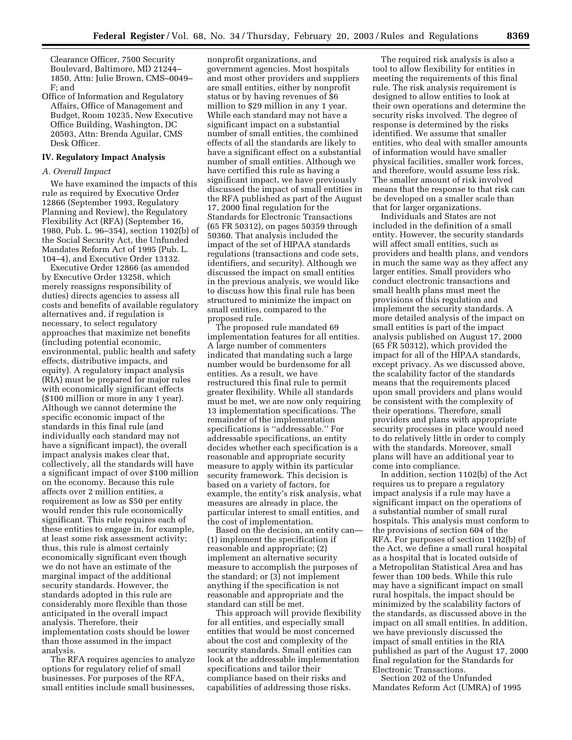Clearance Officer, 7500 Security Boulevard, Baltimore, MD 21244– 1850, Attn: Julie Brown, CMS–0049– F; and

Office of Information and Regulatory Affairs, Office of Management and Budget, Room 10235, New Executive Office Building, Washington, DC 20503, Attn: Brenda Aguilar, CMS Desk Officer.

## **IV. Regulatory Impact Analysis**

#### *A. Overall Impact*

We have examined the impacts of this rule as required by Executive Order 12866 (September 1993, Regulatory Planning and Review), the Regulatory Flexibility Act (RFA) (September 16, 1980, Pub. L. 96–354), section 1102(b) of the Social Security Act, the Unfunded Mandates Reform Act of 1995 (Pub. L. 104–4), and Executive Order 13132.

Executive Order 12866 (as amended by Executive Order 13258, which merely reassigns responsibility of duties) directs agencies to assess all costs and benefits of available regulatory alternatives and, if regulation is necessary, to select regulatory approaches that maximize net benefits (including potential economic, environmental, public health and safety effects, distributive impacts, and equity). A regulatory impact analysis (RIA) must be prepared for major rules with economically significant effects (\$100 million or more in any 1 year). Although we cannot determine the specific economic impact of the standards in this final rule (and individually each standard may not have a significant impact), the overall impact analysis makes clear that, collectively, all the standards will have a significant impact of over \$100 million on the economy. Because this rule affects over 2 million entities, a requirement as low as \$50 per entity would render this rule economically significant. This rule requires each of these entities to engage in, for example, at least some risk assessment activity; thus, this rule is almost certainly economically significant even though we do not have an estimate of the marginal impact of the additional security standards. However, the standards adopted in this rule are considerably more flexible than those anticipated in the overall impact analysis. Therefore, their implementation costs should be lower than those assumed in the impact analysis.

The RFA requires agencies to analyze options for regulatory relief of small businesses. For purposes of the RFA, small entities include small businesses,

nonprofit organizations, and government agencies. Most hospitals and most other providers and suppliers are small entities, either by nonprofit status or by having revenues of \$6 million to \$29 million in any 1 year. While each standard may not have a significant impact on a substantial number of small entities, the combined effects of all the standards are likely to have a significant effect on a substantial number of small entities. Although we have certified this rule as having a significant impact, we have previously discussed the impact of small entities in the RFA published as part of the August 17, 2000 final regulation for the Standards for Electronic Transactions (65 FR 50312), on pages 50359 through 50360. That analysis included the impact of the set of HIPAA standards regulations (transactions and code sets, identifiers, and security). Although we discussed the impact on small entities in the previous analysis, we would like to discuss how this final rule has been structured to minimize the impact on small entities, compared to the proposed rule.

The proposed rule mandated 69 implementation features for all entities. A large number of commenters indicated that mandating such a large number would be burdensome for all entities. As a result, we have restructured this final rule to permit greater flexibility. While all standards must be met, we are now only requiring 13 implementation specifications. The remainder of the implementation specifications is ''addressable.'' For addressable specifications, an entity decides whether each specification is a reasonable and appropriate security measure to apply within its particular security framework. This decision is based on a variety of factors, for example, the entity's risk analysis, what measures are already in place, the particular interest to small entities, and the cost of implementation.

Based on the decision, an entity can— (1) implement the specification if reasonable and appropriate; (2) implement an alternative security measure to accomplish the purposes of the standard; or (3) not implement anything if the specification is not reasonable and appropriate and the standard can still be met.

This approach will provide flexibility for all entities, and especially small entities that would be most concerned about the cost and complexity of the security standards. Small entities can look at the addressable implementation specifications and tailor their compliance based on their risks and capabilities of addressing those risks.

The required risk analysis is also a tool to allow flexibility for entities in meeting the requirements of this final rule. The risk analysis requirement is designed to allow entities to look at their own operations and determine the security risks involved. The degree of response is determined by the risks identified. We assume that smaller entities, who deal with smaller amounts of information would have smaller physical facilities, smaller work forces, and therefore, would assume less risk. The smaller amount of risk involved means that the response to that risk can be developed on a smaller scale than that for larger organizations.

Individuals and States are not included in the definition of a small entity. However, the security standards will affect small entities, such as providers and health plans, and vendors in much the same way as they affect any larger entities. Small providers who conduct electronic transactions and small health plans must meet the provisions of this regulation and implement the security standards. A more detailed analysis of the impact on small entities is part of the impact analysis published on August 17, 2000 (65 FR 50312), which provided the impact for all of the HIPAA standards, except privacy. As we discussed above, the scalability factor of the standards means that the requirements placed upon small providers and plans would be consistent with the complexity of their operations. Therefore, small providers and plans with appropriate security processes in place would need to do relatively little in order to comply with the standards. Moreover, small plans will have an additional year to come into compliance.

In addition, section 1102(b) of the Act requires us to prepare a regulatory impact analysis if a rule may have a significant impact on the operations of a substantial number of small rural hospitals. This analysis must conform to the provisions of section 604 of the RFA. For purposes of section 1102(b) of the Act, we define a small rural hospital as a hospital that is located outside of a Metropolitan Statistical Area and has fewer than 100 beds. While this rule may have a significant impact on small rural hospitals, the impact should be minimized by the scalability factors of the standards, as discussed above in the impact on all small entities. In addition, we have previously discussed the impact of small entities in the RIA published as part of the August 17, 2000 final regulation for the Standards for Electronic Transactions.

Section 202 of the Unfunded Mandates Reform Act (UMRA) of 1995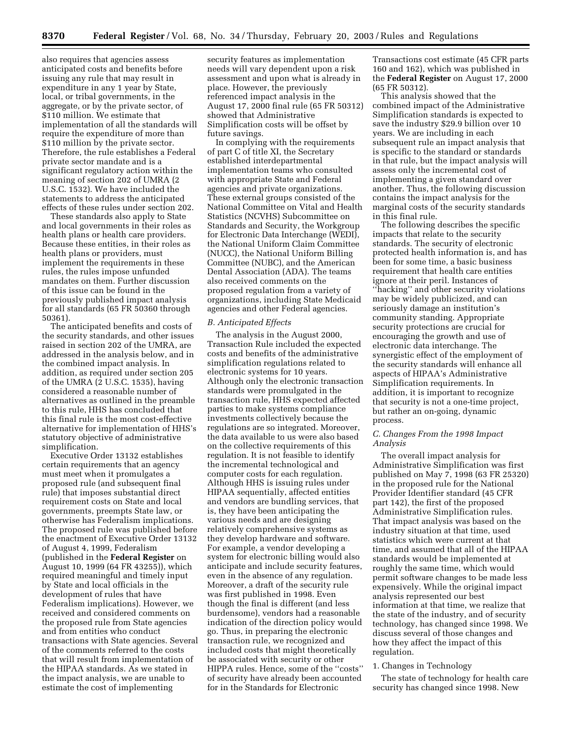also requires that agencies assess anticipated costs and benefits before issuing any rule that may result in expenditure in any 1 year by State, local, or tribal governments, in the aggregate, or by the private sector, of \$110 million. We estimate that implementation of all the standards will require the expenditure of more than \$110 million by the private sector. Therefore, the rule establishes a Federal private sector mandate and is a significant regulatory action within the meaning of section 202 of UMRA (2 U.S.C. 1532). We have included the statements to address the anticipated effects of these rules under section 202.

These standards also apply to State and local governments in their roles as health plans or health care providers. Because these entities, in their roles as health plans or providers, must implement the requirements in these rules, the rules impose unfunded mandates on them. Further discussion of this issue can be found in the previously published impact analysis for all standards (65 FR 50360 through 50361).

The anticipated benefits and costs of the security standards, and other issues raised in section 202 of the UMRA, are addressed in the analysis below, and in the combined impact analysis. In addition, as required under section 205 of the UMRA  $(2 \text{ U.S.C. } 1535)$ , having considered a reasonable number of alternatives as outlined in the preamble to this rule, HHS has concluded that this final rule is the most cost-effective alternative for implementation of HHS's statutory objective of administrative simplification.

Executive Order 13132 establishes certain requirements that an agency must meet when it promulgates a proposed rule (and subsequent final rule) that imposes substantial direct requirement costs on State and local governments, preempts State law, or otherwise has Federalism implications. The proposed rule was published before the enactment of Executive Order 13132 of August 4, 1999, Federalism (published in the **Federal Register** on August 10, 1999 (64 FR 43255)), which required meaningful and timely input by State and local officials in the development of rules that have Federalism implications). However, we received and considered comments on the proposed rule from State agencies and from entities who conduct transactions with State agencies. Several of the comments referred to the costs that will result from implementation of the HIPAA standards. As we stated in the impact analysis, we are unable to estimate the cost of implementing

security features as implementation needs will vary dependent upon a risk assessment and upon what is already in place. However, the previously referenced impact analysis in the August 17, 2000 final rule (65 FR 50312) showed that Administrative Simplification costs will be offset by future savings.

In complying with the requirements of part C of title XI, the Secretary established interdepartmental implementation teams who consulted with appropriate State and Federal agencies and private organizations. These external groups consisted of the National Committee on Vital and Health Statistics (NCVHS) Subcommittee on Standards and Security, the Workgroup for Electronic Data Interchange (WEDI), the National Uniform Claim Committee (NUCC), the National Uniform Billing Committee (NUBC), and the American Dental Association (ADA). The teams also received comments on the proposed regulation from a variety of organizations, including State Medicaid agencies and other Federal agencies.

#### *B. Anticipated Effects*

The analysis in the August 2000, Transaction Rule included the expected costs and benefits of the administrative simplification regulations related to electronic systems for 10 years. Although only the electronic transaction standards were promulgated in the transaction rule, HHS expected affected parties to make systems compliance investments collectively because the regulations are so integrated. Moreover, the data available to us were also based on the collective requirements of this regulation. It is not feasible to identify the incremental technological and computer costs for each regulation. Although HHS is issuing rules under HIPAA sequentially, affected entities and vendors are bundling services, that is, they have been anticipating the various needs and are designing relatively comprehensive systems as they develop hardware and software. For example, a vendor developing a system for electronic billing would also anticipate and include security features, even in the absence of any regulation. Moreover, a draft of the security rule was first published in 1998. Even though the final is different (and less burdensome), vendors had a reasonable indication of the direction policy would go. Thus, in preparing the electronic transaction rule, we recognized and included costs that might theoretically be associated with security or other HIPPA rules. Hence, some of the ''costs'' of security have already been accounted for in the Standards for Electronic

Transactions cost estimate (45 CFR parts 160 and 162), which was published in the **Federal Register** on August 17, 2000 (65 FR 50312).

This analysis showed that the combined impact of the Administrative Simplification standards is expected to save the industry \$29.9 billion over 10 years. We are including in each subsequent rule an impact analysis that is specific to the standard or standards in that rule, but the impact analysis will assess only the incremental cost of implementing a given standard over another. Thus, the following discussion contains the impact analysis for the marginal costs of the security standards in this final rule.

The following describes the specific impacts that relate to the security standards. The security of electronic protected health information is, and has been for some time, a basic business requirement that health care entities ignore at their peril. Instances of ''hacking'' and other security violations may be widely publicized, and can seriously damage an institution's community standing. Appropriate security protections are crucial for encouraging the growth and use of electronic data interchange. The synergistic effect of the employment of the security standards will enhance all aspects of HIPAA's Administrative Simplification requirements. In addition, it is important to recognize that security is not a one-time project, but rather an on-going, dynamic process.

## *C. Changes From the 1998 Impact Analysis*

The overall impact analysis for Administrative Simplification was first published on May 7, 1998 (63 FR 25320) in the proposed rule for the National Provider Identifier standard (45 CFR part 142), the first of the proposed Administrative Simplification rules. That impact analysis was based on the industry situation at that time, used statistics which were current at that time, and assumed that all of the HIPAA standards would be implemented at roughly the same time, which would permit software changes to be made less expensively. While the original impact analysis represented our best information at that time, we realize that the state of the industry, and of security technology, has changed since 1998. We discuss several of those changes and how they affect the impact of this regulation.

#### 1. Changes in Technology

The state of technology for health care security has changed since 1998. New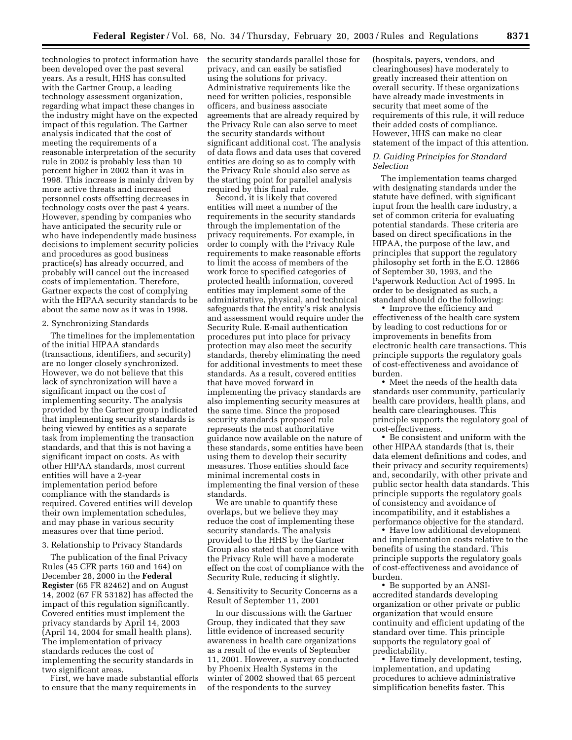technologies to protect information have been developed over the past several years. As a result, HHS has consulted with the Gartner Group, a leading technology assessment organization, regarding what impact these changes in the industry might have on the expected impact of this regulation. The Gartner analysis indicated that the cost of meeting the requirements of a reasonable interpretation of the security rule in 2002 is probably less than 10 percent higher in 2002 than it was in 1998. This increase is mainly driven by more active threats and increased personnel costs offsetting decreases in technology costs over the past 4 years. However, spending by companies who have anticipated the security rule or who have independently made business decisions to implement security policies and procedures as good business practice(s) has already occurred, and probably will cancel out the increased costs of implementation. Therefore, Gartner expects the cost of complying with the HIPAA security standards to be about the same now as it was in 1998.

## 2. Synchronizing Standards

The timelines for the implementation of the initial HIPAA standards (transactions, identifiers, and security) are no longer closely synchronized. However, we do not believe that this lack of synchronization will have a significant impact on the cost of implementing security. The analysis provided by the Gartner group indicated that implementing security standards is being viewed by entities as a separate task from implementing the transaction standards, and that this is not having a significant impact on costs. As with other HIPAA standards, most current entities will have a 2-year implementation period before compliance with the standards is required. Covered entities will develop their own implementation schedules, and may phase in various security measures over that time period.

#### 3. Relationship to Privacy Standards

The publication of the final Privacy Rules (45 CFR parts 160 and 164) on December 28, 2000 in the **Federal Register** (65 FR 82462) and on August 14, 2002 (67 FR 53182) has affected the impact of this regulation significantly. Covered entities must implement the privacy standards by April 14, 2003 (April 14, 2004 for small health plans). The implementation of privacy standards reduces the cost of implementing the security standards in two significant areas.

First, we have made substantial efforts to ensure that the many requirements in

the security standards parallel those for privacy, and can easily be satisfied using the solutions for privacy. Administrative requirements like the need for written policies, responsible officers, and business associate agreements that are already required by the Privacy Rule can also serve to meet the security standards without significant additional cost. The analysis of data flows and data uses that covered entities are doing so as to comply with the Privacy Rule should also serve as the starting point for parallel analysis required by this final rule.

Second, it is likely that covered entities will meet a number of the requirements in the security standards through the implementation of the privacy requirements. For example, in order to comply with the Privacy Rule requirements to make reasonable efforts to limit the access of members of the work force to specified categories of protected health information, covered entities may implement some of the administrative, physical, and technical safeguards that the entity's risk analysis and assessment would require under the Security Rule. E-mail authentication procedures put into place for privacy protection may also meet the security standards, thereby eliminating the need for additional investments to meet these standards. As a result, covered entities that have moved forward in implementing the privacy standards are also implementing security measures at the same time. Since the proposed security standards proposed rule represents the most authoritative guidance now available on the nature of these standards, some entities have been using them to develop their security measures. Those entities should face minimal incremental costs in implementing the final version of these standards.

We are unable to quantify these overlaps, but we believe they may reduce the cost of implementing these security standards. The analysis provided to the HHS by the Gartner Group also stated that compliance with the Privacy Rule will have a moderate effect on the cost of compliance with the Security Rule, reducing it slightly.

## 4. Sensitivity to Security Concerns as a Result of September 11, 2001

In our discussions with the Gartner Group, they indicated that they saw little evidence of increased security awareness in health care organizations as a result of the events of September 11, 2001. However, a survey conducted by Phoenix Health Systems in the winter of 2002 showed that 65 percent of the respondents to the survey

(hospitals, payers, vendors, and clearinghouses) have moderately to greatly increased their attention on overall security. If these organizations have already made investments in security that meet some of the requirements of this rule, it will reduce their added costs of compliance. However, HHS can make no clear statement of the impact of this attention.

#### *D. Guiding Principles for Standard Selection*

The implementation teams charged with designating standards under the statute have defined, with significant input from the health care industry, a set of common criteria for evaluating potential standards. These criteria are based on direct specifications in the HIPAA, the purpose of the law, and principles that support the regulatory philosophy set forth in the E.O. 12866 of September 30, 1993, and the Paperwork Reduction Act of 1995. In order to be designated as such, a standard should do the following:

• Improve the efficiency and effectiveness of the health care system by leading to cost reductions for or improvements in benefits from electronic health care transactions. This principle supports the regulatory goals of cost-effectiveness and avoidance of burden.

• Meet the needs of the health data standards user community, particularly health care providers, health plans, and health care clearinghouses. This principle supports the regulatory goal of cost-effectiveness.

• Be consistent and uniform with the other HIPAA standards (that is, their data element definitions and codes, and their privacy and security requirements) and, secondarily, with other private and public sector health data standards. This principle supports the regulatory goals of consistency and avoidance of incompatibility, and it establishes a performance objective for the standard.

• Have low additional development and implementation costs relative to the benefits of using the standard. This principle supports the regulatory goals of cost-effectiveness and avoidance of burden.

• Be supported by an ANSIaccredited standards developing organization or other private or public organization that would ensure continuity and efficient updating of the standard over time. This principle supports the regulatory goal of predictability.

• Have timely development, testing, implementation, and updating procedures to achieve administrative simplification benefits faster. This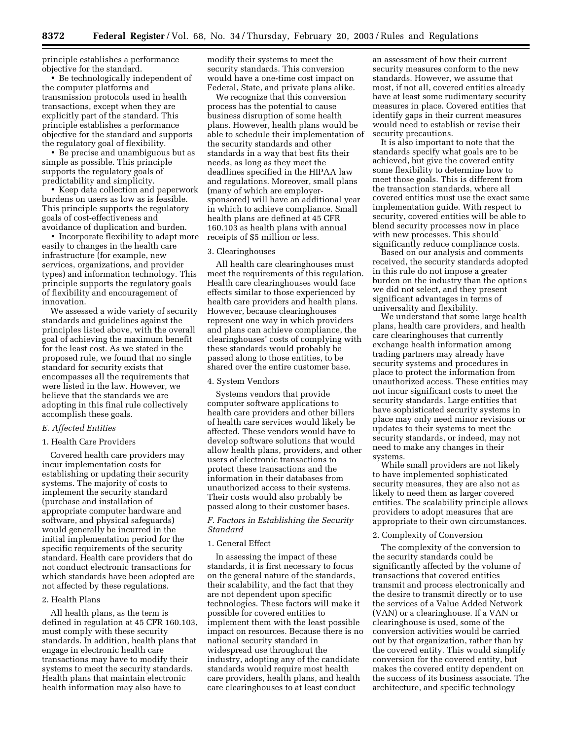principle establishes a performance objective for the standard.

• Be technologically independent of the computer platforms and transmission protocols used in health transactions, except when they are explicitly part of the standard. This principle establishes a performance objective for the standard and supports the regulatory goal of flexibility.

• Be precise and unambiguous but as simple as possible. This principle supports the regulatory goals of predictability and simplicity.

• Keep data collection and paperwork burdens on users as low as is feasible. This principle supports the regulatory goals of cost-effectiveness and avoidance of duplication and burden.

• Incorporate flexibility to adapt more easily to changes in the health care infrastructure (for example, new services, organizations, and provider types) and information technology. This principle supports the regulatory goals of flexibility and encouragement of innovation.

We assessed a wide variety of security standards and guidelines against the principles listed above, with the overall goal of achieving the maximum benefit for the least cost. As we stated in the proposed rule, we found that no single standard for security exists that encompasses all the requirements that were listed in the law. However, we believe that the standards we are adopting in this final rule collectively accomplish these goals.

## *E. Affected Entities*

## 1. Health Care Providers

Covered health care providers may incur implementation costs for establishing or updating their security systems. The majority of costs to implement the security standard (purchase and installation of appropriate computer hardware and software, and physical safeguards) would generally be incurred in the initial implementation period for the specific requirements of the security standard. Health care providers that do not conduct electronic transactions for which standards have been adopted are not affected by these regulations.

## 2. Health Plans

All health plans, as the term is defined in regulation at 45 CFR 160.103, must comply with these security standards. In addition, health plans that engage in electronic health care transactions may have to modify their systems to meet the security standards. Health plans that maintain electronic health information may also have to

modify their systems to meet the security standards. This conversion would have a one-time cost impact on Federal, State, and private plans alike.

We recognize that this conversion process has the potential to cause business disruption of some health plans. However, health plans would be able to schedule their implementation of the security standards and other standards in a way that best fits their needs, as long as they meet the deadlines specified in the HIPAA law and regulations. Moreover, small plans (many of which are employersponsored) will have an additional year in which to achieve compliance. Small health plans are defined at 45 CFR 160.103 as health plans with annual receipts of \$5 million or less.

## 3. Clearinghouses

All health care clearinghouses must meet the requirements of this regulation. Health care clearinghouses would face effects similar to those experienced by health care providers and health plans. However, because clearinghouses represent one way in which providers and plans can achieve compliance, the clearinghouses' costs of complying with these standards would probably be passed along to those entities, to be shared over the entire customer base.

#### 4. System Vendors

Systems vendors that provide computer software applications to health care providers and other billers of health care services would likely be affected. These vendors would have to develop software solutions that would allow health plans, providers, and other users of electronic transactions to protect these transactions and the information in their databases from unauthorized access to their systems. Their costs would also probably be passed along to their customer bases.

## *F. Factors in Establishing the Security Standard*

#### 1. General Effect

In assessing the impact of these standards, it is first necessary to focus on the general nature of the standards, their scalability, and the fact that they are not dependent upon specific technologies. These factors will make it possible for covered entities to implement them with the least possible impact on resources. Because there is no national security standard in widespread use throughout the industry, adopting any of the candidate standards would require most health care providers, health plans, and health care clearinghouses to at least conduct

an assessment of how their current security measures conform to the new standards. However, we assume that most, if not all, covered entities already have at least some rudimentary security measures in place. Covered entities that identify gaps in their current measures would need to establish or revise their security precautions.

It is also important to note that the standards specify what goals are to be achieved, but give the covered entity some flexibility to determine how to meet those goals. This is different from the transaction standards, where all covered entities must use the exact same implementation guide. With respect to security, covered entities will be able to blend security processes now in place with new processes. This should significantly reduce compliance costs.

Based on our analysis and comments received, the security standards adopted in this rule do not impose a greater burden on the industry than the options we did not select, and they present significant advantages in terms of universality and flexibility.

We understand that some large health plans, health care providers, and health care clearinghouses that currently exchange health information among trading partners may already have security systems and procedures in place to protect the information from unauthorized access. These entities may not incur significant costs to meet the security standards. Large entities that have sophisticated security systems in place may only need minor revisions or updates to their systems to meet the security standards, or indeed, may not need to make any changes in their systems.

While small providers are not likely to have implemented sophisticated security measures, they are also not as likely to need them as larger covered entities. The scalability principle allows providers to adopt measures that are appropriate to their own circumstances.

## 2. Complexity of Conversion

The complexity of the conversion to the security standards could be significantly affected by the volume of transactions that covered entities transmit and process electronically and the desire to transmit directly or to use the services of a Value Added Network (VAN) or a clearinghouse. If a VAN or clearinghouse is used, some of the conversion activities would be carried out by that organization, rather than by the covered entity. This would simplify conversion for the covered entity, but makes the covered entity dependent on the success of its business associate. The architecture, and specific technology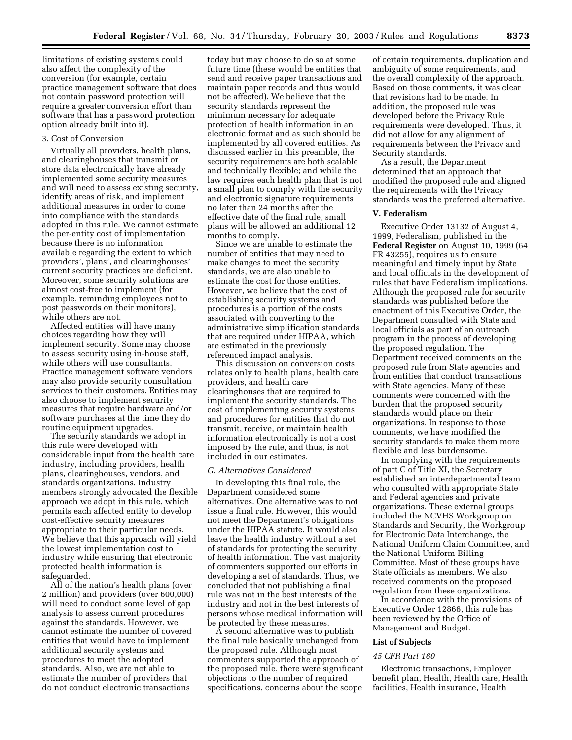limitations of existing systems could also affect the complexity of the conversion (for example, certain practice management software that does not contain password protection will require a greater conversion effort than software that has a password protection option already built into it).

### 3. Cost of Conversion

Virtually all providers, health plans, and clearinghouses that transmit or store data electronically have already implemented some security measures and will need to assess existing security, identify areas of risk, and implement additional measures in order to come into compliance with the standards adopted in this rule. We cannot estimate the per-entity cost of implementation because there is no information available regarding the extent to which providers', plans', and clearinghouses' current security practices are deficient. Moreover, some security solutions are almost cost-free to implement (for example, reminding employees not to post passwords on their monitors), while others are not.

Affected entities will have many choices regarding how they will implement security. Some may choose to assess security using in-house staff, while others will use consultants. Practice management software vendors may also provide security consultation services to their customers. Entities may also choose to implement security measures that require hardware and/or software purchases at the time they do routine equipment upgrades.

The security standards we adopt in this rule were developed with considerable input from the health care industry, including providers, health plans, clearinghouses, vendors, and standards organizations. Industry members strongly advocated the flexible approach we adopt in this rule, which permits each affected entity to develop cost-effective security measures appropriate to their particular needs. We believe that this approach will yield the lowest implementation cost to industry while ensuring that electronic protected health information is safeguarded.

All of the nation's health plans (over 2 million) and providers (over 600,000) will need to conduct some level of gap analysis to assess current procedures against the standards. However, we cannot estimate the number of covered entities that would have to implement additional security systems and procedures to meet the adopted standards. Also, we are not able to estimate the number of providers that do not conduct electronic transactions

today but may choose to do so at some future time (these would be entities that send and receive paper transactions and maintain paper records and thus would not be affected). We believe that the security standards represent the minimum necessary for adequate protection of health information in an electronic format and as such should be implemented by all covered entities. As discussed earlier in this preamble, the security requirements are both scalable and technically flexible; and while the law requires each health plan that is not a small plan to comply with the security and electronic signature requirements no later than 24 months after the effective date of the final rule, small plans will be allowed an additional 12 months to comply.

Since we are unable to estimate the number of entities that may need to make changes to meet the security standards, we are also unable to estimate the cost for those entities. However, we believe that the cost of establishing security systems and procedures is a portion of the costs associated with converting to the administrative simplification standards that are required under HIPAA, which are estimated in the previously referenced impact analysis.

This discussion on conversion costs relates only to health plans, health care providers, and health care clearinghouses that are required to implement the security standards. The cost of implementing security systems and procedures for entities that do not transmit, receive, or maintain health information electronically is not a cost imposed by the rule, and thus, is not included in our estimates.

#### *G. Alternatives Considered*

In developing this final rule, the Department considered some alternatives. One alternative was to not issue a final rule. However, this would not meet the Department's obligations under the HIPAA statute. It would also leave the health industry without a set of standards for protecting the security of health information. The vast majority of commenters supported our efforts in developing a set of standards. Thus, we concluded that not publishing a final rule was not in the best interests of the industry and not in the best interests of persons whose medical information will be protected by these measures.

A second alternative was to publish the final rule basically unchanged from the proposed rule. Although most commenters supported the approach of the proposed rule, there were significant objections to the number of required specifications, concerns about the scope

of certain requirements, duplication and ambiguity of some requirements, and the overall complexity of the approach. Based on those comments, it was clear that revisions had to be made. In addition, the proposed rule was developed before the Privacy Rule requirements were developed. Thus, it did not allow for any alignment of requirements between the Privacy and Security standards.

As a result, the Department determined that an approach that modified the proposed rule and aligned the requirements with the Privacy standards was the preferred alternative.

## **V. Federalism**

Executive Order 13132 of August 4, 1999, Federalism, published in the **Federal Register** on August 10, 1999 (64 FR 43255), requires us to ensure meaningful and timely input by State and local officials in the development of rules that have Federalism implications. Although the proposed rule for security standards was published before the enactment of this Executive Order, the Department consulted with State and local officials as part of an outreach program in the process of developing the proposed regulation. The Department received comments on the proposed rule from State agencies and from entities that conduct transactions with State agencies. Many of these comments were concerned with the burden that the proposed security standards would place on their organizations. In response to those comments, we have modified the security standards to make them more flexible and less burdensome.

In complying with the requirements of part C of Title XI, the Secretary established an interdepartmental team who consulted with appropriate State and Federal agencies and private organizations. These external groups included the NCVHS Workgroup on Standards and Security, the Workgroup for Electronic Data Interchange, the National Uniform Claim Committee, and the National Uniform Billing Committee. Most of these groups have State officials as members. We also received comments on the proposed regulation from these organizations.

In accordance with the provisions of Executive Order 12866, this rule has been reviewed by the Office of Management and Budget.

## **List of Subjects**

#### *45 CFR Part 160*

Electronic transactions, Employer benefit plan, Health, Health care, Health facilities, Health insurance, Health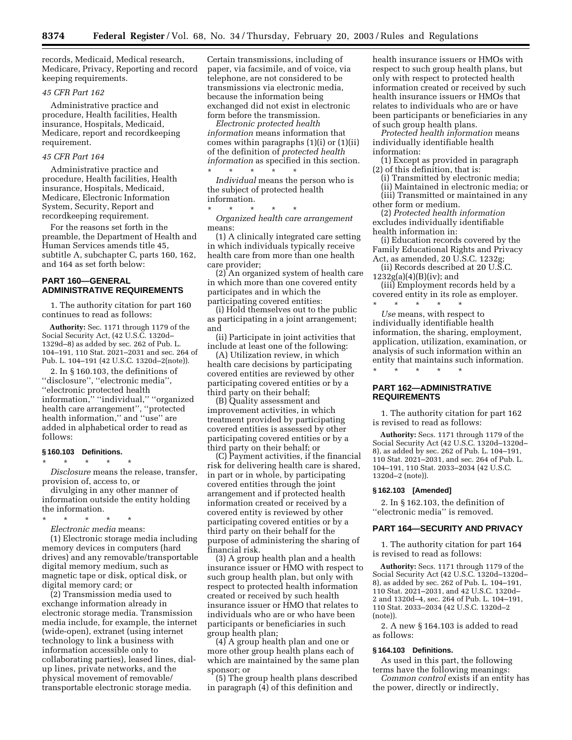records, Medicaid, Medical research, Medicare, Privacy, Reporting and record keeping requirements.

## *45 CFR Part 162*

Administrative practice and procedure, Health facilities, Health insurance, Hospitals, Medicaid, Medicare, report and recordkeeping requirement.

#### *45 CFR Part 164*

Administrative practice and procedure, Health facilities, Health insurance, Hospitals, Medicaid, Medicare, Electronic Information System, Security, Report and recordkeeping requirement.

For the reasons set forth in the preamble, the Department of Health and Human Services amends title 45, subtitle A, subchapter C, parts 160, 162, and 164 as set forth below:

## **PART 160—GENERAL ADMINISTRATIVE REQUIREMENTS**

1. The authority citation for part 160 continues to read as follows:

**Authority:** Sec. 1171 through 1179 of the Social Security Act, (42 U.S.C. 1320d– 1329d–8) as added by sec. 262 of Pub. L. 104–191, 110 Stat. 2021–2031 and sec. 264 of Pub. L. 104–191 (42 U.S.C. 1320d–2(note)).

2. In § 160.103, the definitions of ''disclosure'', ''electronic media'', ''electronic protected health information,'' ''individual,'' ''organized health care arrangement'', ''protected health information,'' and ''use'' are added in alphabetical order to read as follows:

## **§ 160.103 Definitions.**

\* \* \* \* \*

*Disclosure* means the release, transfer, provision of, access to, or

divulging in any other manner of information outside the entity holding the information.

\* \* \* \* \* *Electronic media* means:

(1) Electronic storage media including memory devices in computers (hard drives) and any removable/transportable digital memory medium, such as magnetic tape or disk, optical disk, or digital memory card; or

(2) Transmission media used to exchange information already in electronic storage media. Transmission media include, for example, the internet (wide-open), extranet (using internet technology to link a business with information accessible only to collaborating parties), leased lines, dialup lines, private networks, and the physical movement of removable/ transportable electronic storage media.

Certain transmissions, including of paper, via facsimile, and of voice, via telephone, are not considered to be transmissions via electronic media, because the information being exchanged did not exist in electronic form before the transmission.

*Electronic protected health information* means information that comes within paragraphs  $(1)(i)$  or  $(1)(ii)$ of the definition of *protected health information* as specified in this section.

\* \* \* \* \* *Individual* means the person who is the subject of protected health information.

\* \* \* \* \* *Organized health care arrangement* means:

(1) A clinically integrated care setting in which individuals typically receive health care from more than one health care provider;

(2) An organized system of health care in which more than one covered entity participates and in which the participating covered entities:

(i) Hold themselves out to the public as participating in a joint arrangement; and

(ii) Participate in joint activities that include at least one of the following:

(A) Utilization review, in which health care decisions by participating covered entities are reviewed by other participating covered entities or by a third party on their behalf;

(B) Quality assessment and improvement activities, in which treatment provided by participating covered entities is assessed by other participating covered entities or by a third party on their behalf; or

(C) Payment activities, if the financial risk for delivering health care is shared, in part or in whole, by participating covered entities through the joint arrangement and if protected health information created or received by a covered entity is reviewed by other participating covered entities or by a third party on their behalf for the purpose of administering the sharing of financial risk.

(3) A group health plan and a health insurance issuer or HMO with respect to such group health plan, but only with respect to protected health information created or received by such health insurance issuer or HMO that relates to individuals who are or who have been participants or beneficiaries in such group health plan;

(4) A group health plan and one or more other group health plans each of which are maintained by the same plan sponsor; or

(5) The group health plans described in paragraph (4) of this definition and

health insurance issuers or HMOs with respect to such group health plans, but only with respect to protected health information created or received by such health insurance issuers or HMOs that relates to individuals who are or have been participants or beneficiaries in any of such group health plans.

*Protected health information* means individually identifiable health information:

(1) Except as provided in paragraph (2) of this definition, that is:

(i) Transmitted by electronic media;

(ii) Maintained in electronic media; or (iii) Transmitted or maintained in any

other form or medium. (2) *Protected health information*

excludes individually identifiable health information in:

(i) Education records covered by the Family Educational Rights and Privacy Act, as amended, 20 U.S.C. 1232g;

(ii) Records described at 20 U.S.C.  $1232g(a)(4)(B)(iv)$ ; and

(iii) Employment records held by a covered entity in its role as employer.<br>\* \* \* \* \* \*

\* \* \* \* \* *Use* means, with respect to individually identifiable health information, the sharing, employment, application, utilization, examination, or analysis of such information within an entity that maintains such information. \* \* \* \* \*

## **PART 162—ADMINISTRATIVE REQUIREMENTS**

1. The authority citation for part 162 is revised to read as follows:

**Authority:** Secs. 1171 through 1179 of the Social Security Act (42 U.S.C. 1320d–1320d– 8), as added by sec. 262 of Pub. L. 104–191, 110 Stat. 2021–2031, and sec. 264 of Pub. L. 104–191, 110 Stat. 2033–2034 (42 U.S.C. 1320d–2 (note)).

#### **§ 162.103 [Amended]**

2. In § 162.103, the definition of ''electronic media'' is removed.

## **PART 164—SECURITY AND PRIVACY**

1. The authority citation for part 164 is revised to read as follows:

**Authority:** Secs. 1171 through 1179 of the Social Security Act (42 U.S.C. 1320d–1320d– 8), as added by sec. 262 of Pub. L. 104–191, 110 Stat. 2021–2031, and 42 U.S.C. 1320d– 2 and 1320d–4, sec. 264 of Pub. L. 104–191, 110 Stat. 2033–2034 (42 U.S.C. 1320d–2 (note)).

2. A new § 164.103 is added to read as follows:

#### **§ 164.103 Definitions.**

As used in this part, the following terms have the following meanings:

*Common control* exists if an entity has the power, directly or indirectly,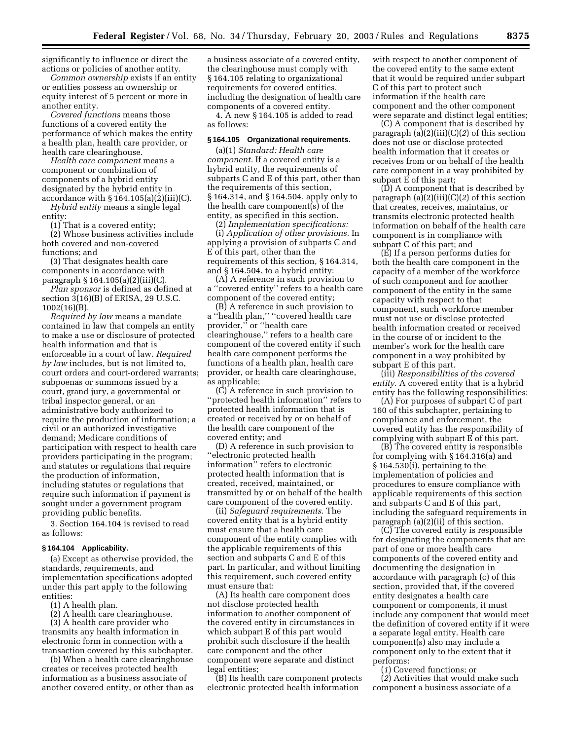significantly to influence or direct the actions or policies of another entity.

*Common ownership* exists if an entity or entities possess an ownership or equity interest of 5 percent or more in another entity.

*Covered functions* means those functions of a covered entity the performance of which makes the entity a health plan, health care provider, or health care clearinghouse.

*Health care component* means a component or combination of components of a hybrid entity designated by the hybrid entity in accordance with  $\S 164.105(a)(2)(iii)(C)$ .

*Hybrid entity* means a single legal entity:

(1) That is a covered entity;

(2) Whose business activities include both covered and non-covered functions; and

(3) That designates health care components in accordance with paragraph § 164.105(a)(2)(iii)(C).

*Plan sponsor* is defined as defined at section 3(16)(B) of ERISA, 29 U.S.C. 1002(16)(B).

*Required by law* means a mandate contained in law that compels an entity to make a use or disclosure of protected health information and that is enforceable in a court of law. *Required by law* includes, but is not limited to, court orders and court-ordered warrants; subpoenas or summons issued by a court, grand jury, a governmental or tribal inspector general, or an administrative body authorized to require the production of information; a civil or an authorized investigative demand; Medicare conditions of participation with respect to health care providers participating in the program; and statutes or regulations that require the production of information, including statutes or regulations that require such information if payment is sought under a government program providing public benefits.

3. Section 164.104 is revised to read as follows:

#### **§ 164.104 Applicability.**

(a) Except as otherwise provided, the standards, requirements, and implementation specifications adopted under this part apply to the following entities:

(1) A health plan.

(2) A health care clearinghouse. (3) A health care provider who transmits any health information in electronic form in connection with a

transaction covered by this subchapter. (b) When a health care clearinghouse creates or receives protected health

information as a business associate of another covered entity, or other than as a business associate of a covered entity, the clearinghouse must comply with § 164.105 relating to organizational requirements for covered entities, including the designation of health care components of a covered entity.

4. A new § 164.105 is added to read as follows:

#### **§ 164.105 Organizational requirements.**

(a)(1) *Standard: Health care component.* If a covered entity is a hybrid entity, the requirements of subparts C and E of this part, other than the requirements of this section, § 164.314, and § 164.504, apply only to the health care component(s) of the entity, as specified in this section.

(2) *Implementation specifications:* (i) *Application of other provisions.* In applying a provision of subparts C and E of this part, other than the requirements of this section, § 164.314, and § 164.504, to a hybrid entity:

(A) A reference in such provision to a ''covered entity'' refers to a health care component of the covered entity;

(B) A reference in such provision to a ''health plan,'' ''covered health care provider,'' or ''health care clearinghouse,'' refers to a health care component of the covered entity if such health care component performs the functions of a health plan, health care provider, or health care clearinghouse, as applicable;

(C) A reference in such provision to ''protected health information'' refers to protected health information that is created or received by or on behalf of the health care component of the covered entity; and

(D) A reference in such provision to ''electronic protected health information'' refers to electronic protected health information that is created, received, maintained, or transmitted by or on behalf of the health care component of the covered entity.

(ii) *Safeguard requirements.* The covered entity that is a hybrid entity must ensure that a health care component of the entity complies with the applicable requirements of this section and subparts C and E of this part. In particular, and without limiting this requirement, such covered entity must ensure that:

(A) Its health care component does not disclose protected health information to another component of the covered entity in circumstances in which subpart E of this part would prohibit such disclosure if the health care component and the other component were separate and distinct legal entities;

(B) Its health care component protects electronic protected health information

with respect to another component of the covered entity to the same extent that it would be required under subpart C of this part to protect such information if the health care component and the other component were separate and distinct legal entities;

(C) A component that is described by paragraph (a)(2)(iii)(C)(*2*) of this section does not use or disclose protected health information that it creates or receives from or on behalf of the health care component in a way prohibited by subpart E of this part;

(D) A component that is described by paragraph (a)(2)(iii)(C)(*2*) of this section that creates, receives, maintains, or transmits electronic protected health information on behalf of the health care component is in compliance with subpart C of this part; and

(E) If a person performs duties for both the health care component in the capacity of a member of the workforce of such component and for another component of the entity in the same capacity with respect to that component, such workforce member must not use or disclose protected health information created or received in the course of or incident to the member's work for the health care component in a way prohibited by subpart E of this part.

(iii) *Responsibilities of the covered entity*. A covered entity that is a hybrid entity has the following responsibilities:

(A) For purposes of subpart C of part 160 of this subchapter, pertaining to compliance and enforcement, the covered entity has the responsibility of complying with subpart E of this part.

(B) The covered entity is responsible for complying with § 164.316(a) and § 164.530(i), pertaining to the implementation of policies and procedures to ensure compliance with applicable requirements of this section and subparts C and E of this part, including the safeguard requirements in paragraph (a)(2)(ii) of this section.

(C) The covered entity is responsible for designating the components that are part of one or more health care components of the covered entity and documenting the designation in accordance with paragraph (c) of this section, provided that, if the covered entity designates a health care component or components, it must include any component that would meet the definition of covered entity if it were a separate legal entity. Health care component(s) also may include a component only to the extent that it performs:

(*1*) Covered functions; or

(*2*) Activities that would make such component a business associate of a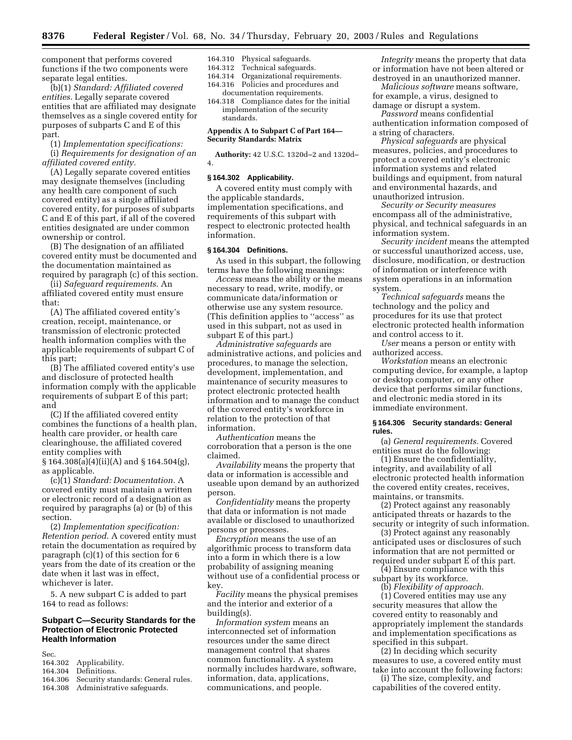component that performs covered functions if the two components were separate legal entities.

(b)(1) *Standard: Affiliated covered entities.* Legally separate covered entities that are affiliated may designate themselves as a single covered entity for purposes of subparts C and E of this part.

(1) *Implementation specifications:* (i) *Requirements for designation of an affiliated covered entity.*

(A) Legally separate covered entities may designate themselves (including any health care component of such covered entity) as a single affiliated covered entity, for purposes of subparts C and E of this part, if all of the covered entities designated are under common ownership or control.

(B) The designation of an affiliated covered entity must be documented and the documentation maintained as required by paragraph (c) of this section.

(ii) *Safeguard requirements*. An affiliated covered entity must ensure that:

(A) The affiliated covered entity's creation, receipt, maintenance, or transmission of electronic protected health information complies with the applicable requirements of subpart C of this part;

(B) The affiliated covered entity's use and disclosure of protected health information comply with the applicable requirements of subpart E of this part; and

(C) If the affiliated covered entity combines the functions of a health plan, health care provider, or health care clearinghouse, the affiliated covered entity complies with

§ 164.308(a)(4)(ii)(A) and § 164.504(g), as applicable.

(c)(1) *Standard: Documentation.* A covered entity must maintain a written or electronic record of a designation as required by paragraphs (a) or (b) of this section.

(2) *Implementation specification: Retention period*. A covered entity must retain the documentation as required by paragraph (c)(1) of this section for 6 years from the date of its creation or the date when it last was in effect, whichever is later.

5. A new subpart C is added to part 164 to read as follows:

## **Subpart C—Security Standards for the Protection of Electronic Protected Health Information**

- 
- Sec.<br>164.302 164.302 Applicability.<br>164.304 Definitions
- Definitions.
- 164.306 Security standards: General rules.<br>164.308 Administrative safeguards. Administrative safeguards.

## 164.310 Physical safeguards.

- 164.312 Technical safeguards.
- 164.314 Organizational requirements. 164.316 Policies and procedures and
- documentation requirements. 164.318 Compliance dates for the initial implementation of the security standards.

#### **Appendix A to Subpart C of Part 164— Security Standards: Matrix**

**Authority:** 42 U.S.C. 1320d–2 and 1320d– 4.

#### **§ 164.302 Applicability.**

A covered entity must comply with the applicable standards, implementation specifications, and requirements of this subpart with respect to electronic protected health information.

## **§ 164.304 Definitions.**

As used in this subpart, the following terms have the following meanings:

*Access* means the ability or the means necessary to read, write, modify, or communicate data/information or otherwise use any system resource. (This definition applies to ''access'' as used in this subpart, not as used in subpart E of this part.)

*Administrative safeguards* are administrative actions, and policies and procedures, to manage the selection, development, implementation, and maintenance of security measures to protect electronic protected health information and to manage the conduct of the covered entity's workforce in relation to the protection of that information.

*Authentication* means the corroboration that a person is the one claimed.

*Availability* means the property that data or information is accessible and useable upon demand by an authorized person.

*Confidentiality* means the property that data or information is not made available or disclosed to unauthorized persons or processes.

*Encryption* means the use of an algorithmic process to transform data into a form in which there is a low probability of assigning meaning without use of a confidential process or key.

*Facility* means the physical premises and the interior and exterior of a building(s).

*Information system* means an interconnected set of information resources under the same direct management control that shares common functionality. A system normally includes hardware, software, information, data, applications, communications, and people.

*Integrity* means the property that data or information have not been altered or destroyed in an unauthorized manner.

*Malicious software* means software, for example, a virus, designed to damage or disrupt a system.

*Password* means confidential authentication information composed of a string of characters.

*Physical safeguards* are physical measures, policies, and procedures to protect a covered entity's electronic information systems and related buildings and equipment, from natural and environmental hazards, and unauthorized intrusion.

*Security or Security measures* encompass all of the administrative, physical, and technical safeguards in an information system.

*Security incident* means the attempted or successful unauthorized access, use, disclosure, modification, or destruction of information or interference with system operations in an information system.

*Technical safeguards* means the technology and the policy and procedures for its use that protect electronic protected health information and control access to it.

*User* means a person or entity with authorized access.

*Workstation* means an electronic computing device, for example, a laptop or desktop computer, or any other device that performs similar functions, and electronic media stored in its immediate environment.

## **§ 164.306 Security standards: General rules.**

(a) *General requirements.* Covered entities must do the following:

(1) Ensure the confidentiality, integrity, and availability of all electronic protected health information the covered entity creates, receives, maintains, or transmits.

(2) Protect against any reasonably anticipated threats or hazards to the security or integrity of such information.

(3) Protect against any reasonably anticipated uses or disclosures of such information that are not permitted or required under subpart E of this part.

(4) Ensure compliance with this subpart by its workforce.

(b) *Flexibility of approach.*

(1) Covered entities may use any security measures that allow the covered entity to reasonably and appropriately implement the standards and implementation specifications as specified in this subpart.

(2) In deciding which security measures to use, a covered entity must take into account the following factors:

(i) The size, complexity, and capabilities of the covered entity.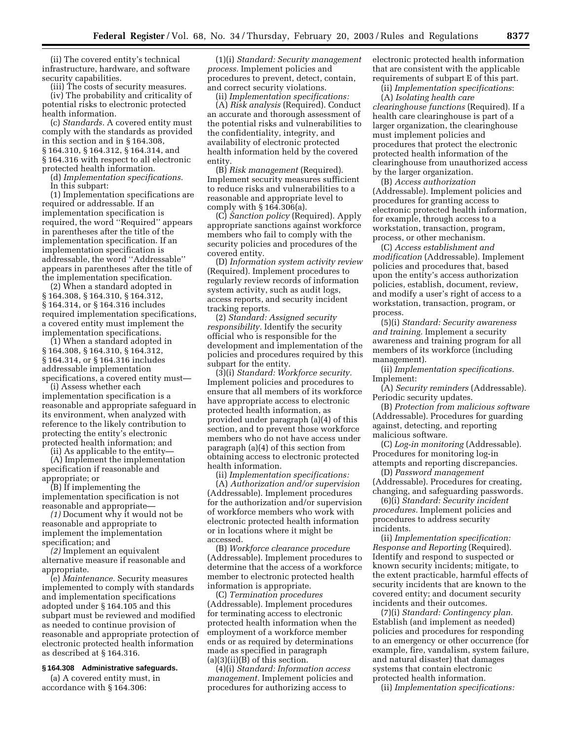(ii) The covered entity's technical infrastructure, hardware, and software security capabilities.

(iii) The costs of security measures. (iv) The probability and criticality of potential risks to electronic protected health information.

(c) *Standards.* A covered entity must comply with the standards as provided in this section and in § 164.308, § 164.310, § 164.312, § 164.314, and

§ 164.316 with respect to all electronic

protected health information. (d) *Implementation specifications.*

In this subpart:

(1) Implementation specifications are required or addressable. If an implementation specification is required, the word ''Required'' appears in parentheses after the title of the implementation specification. If an implementation specification is addressable, the word ''Addressable'' appears in parentheses after the title of the implementation specification.

(2) When a standard adopted in § 164.308, § 164.310, § 164.312, § 164.314, or § 164.316 includes required implementation specifications, a covered entity must implement the implementation specifications.

(1) When a standard adopted in § 164.308, § 164.310, § 164.312, § 164.314, or § 164.316 includes addressable implementation specifications, a covered entity must—

(i) Assess whether each implementation specification is a reasonable and appropriate safeguard in its environment, when analyzed with reference to the likely contribution to protecting the entity's electronic protected health information; and

(ii) As applicable to the entity—

(A) Implement the implementation specification if reasonable and appropriate; or

(B) If implementing the implementation specification is not reasonable and appropriate—

*(1)* Document why it would not be reasonable and appropriate to implement the implementation specification; and

*(2)* Implement an equivalent alternative measure if reasonable and appropriate.

(e) *Maintenance.* Security measures implemented to comply with standards and implementation specifications adopted under § 164.105 and this subpart must be reviewed and modified as needed to continue provision of reasonable and appropriate protection of electronic protected health information as described at § 164.316.

#### **§ 164.308 Administrative safeguards.**

(a) A covered entity must, in accordance with § 164.306:

(1)(i) *Standard: Security management process.* Implement policies and procedures to prevent, detect, contain, and correct security violations.

(ii) *Implementation specifications:*

(A) *Risk analysis* (Required). Conduct an accurate and thorough assessment of the potential risks and vulnerabilities to the confidentiality, integrity, and availability of electronic protected health information held by the covered entity.

(B) *Risk management* (Required). Implement security measures sufficient to reduce risks and vulnerabilities to a reasonable and appropriate level to comply with § 164.306(a).

(C) *Sanction policy* (Required). Apply appropriate sanctions against workforce members who fail to comply with the security policies and procedures of the covered entity.

(D) *Information system activity review* (Required). Implement procedures to regularly review records of information system activity, such as audit logs, access reports, and security incident tracking reports.

(2) *Standard: Assigned security responsibility.* Identify the security official who is responsible for the development and implementation of the policies and procedures required by this subpart for the entity.

(3)(i) *Standard: Workforce security.* Implement policies and procedures to ensure that all members of its workforce have appropriate access to electronic protected health information, as provided under paragraph (a)(4) of this section, and to prevent those workforce members who do not have access under paragraph (a)(4) of this section from obtaining access to electronic protected health information.

(ii) *Implementation specifications:* (A) *Authorization and/or supervision* (Addressable). Implement procedures for the authorization and/or supervision of workforce members who work with electronic protected health information or in locations where it might be accessed.

(B) *Workforce clearance procedure* (Addressable). Implement procedures to determine that the access of a workforce member to electronic protected health information is appropriate.

(C) *Termination procedures* (Addressable). Implement procedures for terminating access to electronic protected health information when the employment of a workforce member ends or as required by determinations made as specified in paragraph (a)(3)(ii)(B) of this section.

(4)(i) *Standard: Information access management.* Implement policies and procedures for authorizing access to

electronic protected health information that are consistent with the applicable requirements of subpart E of this part.

(ii) *Implementation specifications*: (A) *Isolating health care clearinghouse functions* (Required). If a health care clearinghouse is part of a larger organization, the clearinghouse must implement policies and procedures that protect the electronic protected health information of the clearinghouse from unauthorized access by the larger organization.

(B) *Access authorization* (Addressable). Implement policies and procedures for granting access to electronic protected health information, for example, through access to a workstation, transaction, program, process, or other mechanism.

(C) *Access establishment and modification* (Addressable). Implement policies and procedures that, based upon the entity's access authorization policies, establish, document, review, and modify a user's right of access to a workstation, transaction, program, or process.

(5)(i) *Standard: Security awareness and training.* Implement a security awareness and training program for all members of its workforce (including management).

(ii) *Implementation specifications.* Implement:

(A) *Security reminders* (Addressable). Periodic security updates.

(B) *Protection from malicious software* (Addressable). Procedures for guarding against, detecting, and reporting malicious software.

(C) *Log-in monitoring* (Addressable). Procedures for monitoring log-in attempts and reporting discrepancies.

(D) *Password management* (Addressable). Procedures for creating,

changing, and safeguarding passwords. (6)(i) *Standard: Security incident procedures.* Implement policies and

procedures to address security incidents.

(ii) *Implementation specification: Response and Reporting* (Required). Identify and respond to suspected or known security incidents; mitigate, to the extent practicable, harmful effects of security incidents that are known to the covered entity; and document security incidents and their outcomes.

(7)(i) *Standard: Contingency plan.* Establish (and implement as needed) policies and procedures for responding to an emergency or other occurrence (for example, fire, vandalism, system failure, and natural disaster) that damages systems that contain electronic protected health information.

(ii) *Implementation specifications:*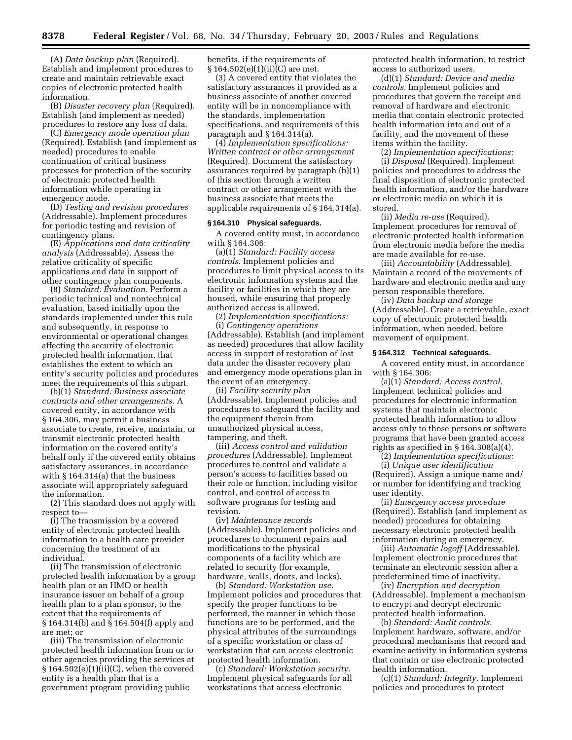(A) *Data backup plan* (Required). Establish and implement procedures to create and maintain retrievable exact copies of electronic protected health information.

(B) *Disaster recovery plan* (Required). Establish (and implement as needed) procedures to restore any loss of data.

(C) *Emergency mode operation plan* (Required). Establish (and implement as needed) procedures to enable continuation of critical business processes for protection of the security of electronic protected health information while operating in emergency mode.

(D) *Testing and revision procedures* (Addressable). Implement procedures for periodic testing and revision of contingency plans.

(E) *Applications and data criticality analysis* (Addressable). Assess the relative criticality of specific applications and data in support of other contingency plan components.

(8) *Standard: Evaluation.* Perform a periodic technical and nontechnical evaluation, based initially upon the standards implemented under this rule and subsequently, in response to environmental or operational changes affecting the security of electronic protected health information, that establishes the extent to which an entity's security policies and procedures meet the requirements of this subpart.

(b)(1) *Standard: Business associate contracts and other arrangements.* A covered entity, in accordance with § 164.306, may permit a business associate to create, receive, maintain, or transmit electronic protected health information on the covered entity's behalf only if the covered entity obtains satisfactory assurances, in accordance with § 164.314(a) that the business associate will appropriately safeguard the information.

(2) This standard does not apply with respect to—

(i) The transmission by a covered entity of electronic protected health information to a health care provider concerning the treatment of an individual.

(ii) The transmission of electronic protected health information by a group health plan or an HMO or health insurance issuer on behalf of a group health plan to a plan sponsor, to the extent that the requirements of § 164.314(b) and § 164.504(f) apply and are met; or

(iii) The transmission of electronic protected health information from or to other agencies providing the services at  $§ 164.502(e)(1)(ii)(C)$ , when the covered entity is a health plan that is a government program providing public

benefits, if the requirements of § 164.502(e)(1)(ii)(C) are met.

(3) A covered entity that violates the satisfactory assurances it provided as a business associate of another covered entity will be in noncompliance with the standards, implementation specifications, and requirements of this paragraph and § 164.314(a).

(4) *Implementation specifications: Written contract or other arrangement* (Required). Document the satisfactory assurances required by paragraph (b)(1) of this section through a written contract or other arrangement with the business associate that meets the applicable requirements of § 164.314(a).

#### **§ 164.310 Physical safeguards.**

A covered entity must, in accordance with § 164.306:

(a)(1) *Standard: Facility access controls.* Implement policies and procedures to limit physical access to its electronic information systems and the facility or facilities in which they are housed, while ensuring that properly authorized access is allowed.

(2) *Implementation specifications:* (i) *Contingency operations* (Addressable). Establish (and implement as needed) procedures that allow facility access in support of restoration of lost data under the disaster recovery plan and emergency mode operations plan in the event of an emergency.

(ii) *Facility security plan* (Addressable). Implement policies and procedures to safeguard the facility and the equipment therein from unauthorized physical access, tampering, and theft.

(iii) *Access control and validation procedures* (Addressable). Implement procedures to control and validate a person's access to facilities based on their role or function, including visitor control, and control of access to software programs for testing and revision.

(iv) *Maintenance records* (Addressable). Implement policies and procedures to document repairs and modifications to the physical components of a facility which are related to security (for example, hardware, walls, doors, and locks).

(b) *Standard: Workstation use.* Implement policies and procedures that specify the proper functions to be performed, the manner in which those functions are to be performed, and the physical attributes of the surroundings of a specific workstation or class of workstation that can access electronic protected health information.

(c) *Standard: Workstation security.* Implement physical safeguards for all workstations that access electronic

protected health information, to restrict access to authorized users.

(d)(1) *Standard: Device and media controls.* Implement policies and procedures that govern the receipt and removal of hardware and electronic media that contain electronic protected health information into and out of a facility, and the movement of these items within the facility.

(2) *Implementation specifications:*

(i) *Disposal* (Required). Implement policies and procedures to address the final disposition of electronic protected health information, and/or the hardware or electronic media on which it is stored.

(ii) *Media re-use* (Required). Implement procedures for removal of electronic protected health information from electronic media before the media are made available for re-use.

(iii) *Accountability* (Addressable). Maintain a record of the movements of hardware and electronic media and any person responsible therefore.

(iv) *Data backup and storage* (Addressable). Create a retrievable, exact copy of electronic protected health information, when needed, before movement of equipment.

## **§ 164.312 Technical safeguards.**

A covered entity must, in accordance with § 164.306:

(a)(1) *Standard: Access control.* Implement technical policies and procedures for electronic information systems that maintain electronic protected health information to allow access only to those persons or software programs that have been granted access rights as specified in § 164.308(a)(4).

(2) *Implementation specifications:*

(i) *Unique user identification* (Required). Assign a unique name and/ or number for identifying and tracking user identity.

(ii) *Emergency access procedure* (Required). Establish (and implement as needed) procedures for obtaining necessary electronic protected health information during an emergency.

(iii) *Automatic logoff* (Addressable). Implement electronic procedures that terminate an electronic session after a predetermined time of inactivity.

(iv) *Encryption and decryption* (Addressable). Implement a mechanism to encrypt and decrypt electronic protected health information.

(b) *Standard: Audit controls.* Implement hardware, software, and/or procedural mechanisms that record and examine activity in information systems that contain or use electronic protected health information.

(c)(1) *Standard: Integrity.* Implement policies and procedures to protect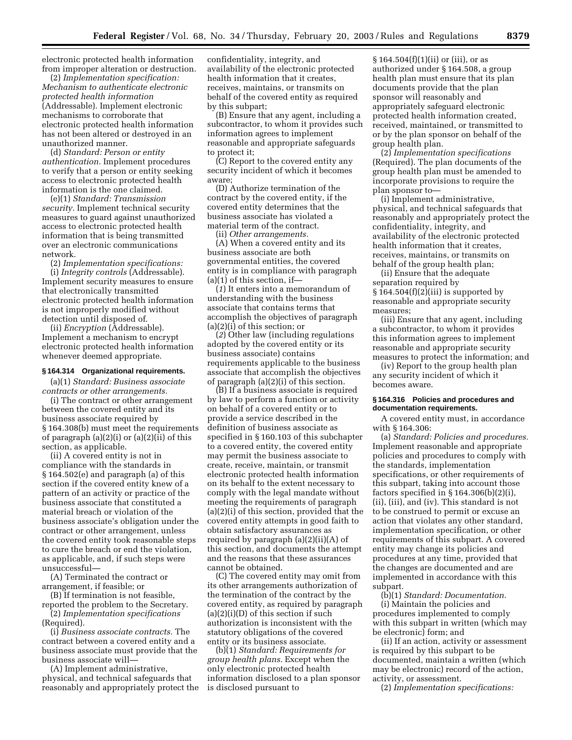electronic protected health information from improper alteration or destruction.

(2) *Implementation specification: Mechanism to authenticate electronic protected health information* (Addressable). Implement electronic mechanisms to corroborate that electronic protected health information has not been altered or destroyed in an unauthorized manner.

(d) *Standard: Person or entity authentication.* Implement procedures to verify that a person or entity seeking access to electronic protected health information is the one claimed.

(e)(1) *Standard: Transmission security.* Implement technical security measures to guard against unauthorized access to electronic protected health information that is being transmitted over an electronic communications network.

(2) *Implementation specifications:* (i) *Integrity controls* (Addressable). Implement security measures to ensure that electronically transmitted electronic protected health information is not improperly modified without detection until disposed of.

(ii) *Encryption* (Addressable). Implement a mechanism to encrypt electronic protected health information whenever deemed appropriate.

#### **§ 164.314 Organizational requirements.**

(a)(1) *Standard: Business associate contracts or other arrangements.*

(i) The contract or other arrangement between the covered entity and its business associate required by § 164.308(b) must meet the requirements of paragraph (a)(2)(i) or (a)(2)(ii) of this section, as applicable.

(ii) A covered entity is not in compliance with the standards in § 164.502(e) and paragraph (a) of this section if the covered entity knew of a pattern of an activity or practice of the business associate that constituted a material breach or violation of the business associate's obligation under the contract or other arrangement, unless the covered entity took reasonable steps to cure the breach or end the violation, as applicable, and, if such steps were unsuccessful—

(A) Terminated the contract or arrangement, if feasible; or

(B) If termination is not feasible, reported the problem to the Secretary.

(2) *Implementation specifications* (Required).

(i) *Business associate contracts.* The contract between a covered entity and a business associate must provide that the business associate will—

(A) Implement administrative, physical, and technical safeguards that reasonably and appropriately protect the

confidentiality, integrity, and availability of the electronic protected health information that it creates, receives, maintains, or transmits on behalf of the covered entity as required by this subpart;

(B) Ensure that any agent, including a subcontractor, to whom it provides such information agrees to implement reasonable and appropriate safeguards to protect it;

(C) Report to the covered entity any security incident of which it becomes aware;

(D) Authorize termination of the contract by the covered entity, if the covered entity determines that the business associate has violated a material term of the contract.

(ii) *Other arrangements.*

(A) When a covered entity and its business associate are both governmental entities, the covered entity is in compliance with paragraph  $(a)(1)$  of this section, if  $-$ 

(*1*) It enters into a memorandum of understanding with the business associate that contains terms that accomplish the objectives of paragraph (a)(2)(i) of this section; or

(*2*) Other law (including regulations adopted by the covered entity or its business associate) contains requirements applicable to the business associate that accomplish the objectives of paragraph (a)(2)(i) of this section.

(B) If a business associate is required by law to perform a function or activity on behalf of a covered entity or to provide a service described in the definition of business associate as specified in § 160.103 of this subchapter to a covered entity, the covered entity may permit the business associate to create, receive, maintain, or transmit electronic protected health information on its behalf to the extent necessary to comply with the legal mandate without meeting the requirements of paragraph (a)(2)(i) of this section, provided that the covered entity attempts in good faith to obtain satisfactory assurances as required by paragraph  $(a)(2)(ii)(A)$  of this section, and documents the attempt and the reasons that these assurances cannot be obtained.

(C) The covered entity may omit from its other arrangements authorization of the termination of the contract by the covered entity, as required by paragraph  $(a)(2)(i)(D)$  of this section if such authorization is inconsistent with the statutory obligations of the covered entity or its business associate.

(b)(1) *Standard: Requirements for group health plans.* Except when the only electronic protected health information disclosed to a plan sponsor is disclosed pursuant to

 $§ 164.504(f)(1)(ii)$  or (iii), or as authorized under § 164.508, a group health plan must ensure that its plan documents provide that the plan sponsor will reasonably and appropriately safeguard electronic protected health information created, received, maintained, or transmitted to or by the plan sponsor on behalf of the group health plan.

(2) *Implementation specifications* (Required). The plan documents of the group health plan must be amended to incorporate provisions to require the plan sponsor to—

(i) Implement administrative, physical, and technical safeguards that reasonably and appropriately protect the confidentiality, integrity, and availability of the electronic protected health information that it creates, receives, maintains, or transmits on behalf of the group health plan;

(ii) Ensure that the adequate separation required by  $§ 164.504(f)(2)(iii)$  is supported by reasonable and appropriate security measures;

(iii) Ensure that any agent, including a subcontractor, to whom it provides this information agrees to implement reasonable and appropriate security measures to protect the information; and

(iv) Report to the group health plan any security incident of which it becomes aware.

## **§ 164.316 Policies and procedures and documentation requirements.**

A covered entity must, in accordance with § 164.306:

(a) *Standard: Policies and procedures.* Implement reasonable and appropriate policies and procedures to comply with the standards, implementation specifications, or other requirements of this subpart, taking into account those factors specified in  $\S 164.306(b)(2)(i)$ , (ii), (iii), and (iv). This standard is not to be construed to permit or excuse an action that violates any other standard, implementation specification, or other requirements of this subpart. A covered entity may change its policies and procedures at any time, provided that the changes are documented and are implemented in accordance with this subpart.

(b)(1) *Standard: Documentation.*

(i) Maintain the policies and procedures implemented to comply with this subpart in written (which may be electronic) form; and

(ii) If an action, activity or assessment is required by this subpart to be documented, maintain a written (which may be electronic) record of the action, activity, or assessment.

(2) *Implementation specifications:*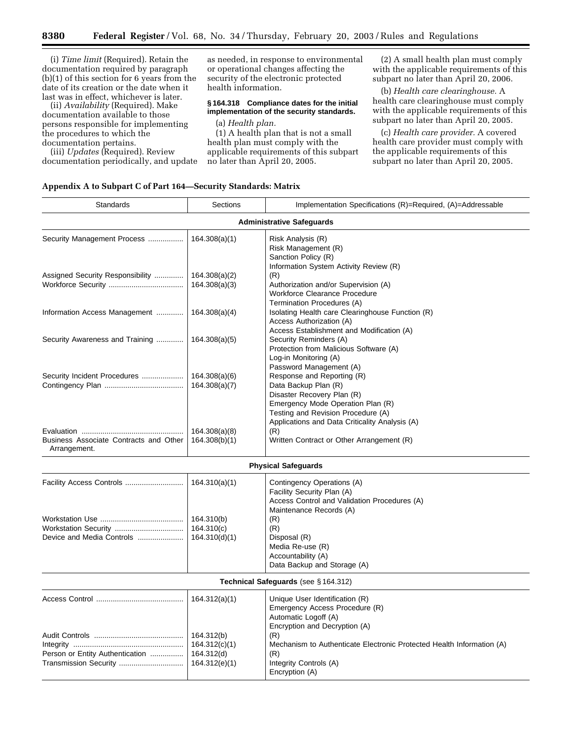(i) *Time limit* (Required). Retain the documentation required by paragraph (b)(1) of this section for 6 years from the date of its creation or the date when it last was in effect, whichever is later.

(ii) *Availability* (Required). Make documentation available to those persons responsible for implementing the procedures to which the documentation pertains.

(iii) *Updates* (Required). Review documentation periodically, and update

as needed, in response to environmental or operational changes affecting the security of the electronic protected health information.

#### **§ 164.318 Compliance dates for the initial implementation of the security standards.**

(a) *Health plan.*

(1) A health plan that is not a small health plan must comply with the applicable requirements of this subpart no later than April 20, 2005.

(2) A small health plan must comply with the applicable requirements of this subpart no later than April 20, 2006.

(b) *Health care clearinghouse.* A health care clearinghouse must comply with the applicable requirements of this subpart no later than April 20, 2005.

(c) *Health care provider.* A covered health care provider must comply with the applicable requirements of this subpart no later than April 20, 2005.

## **Appendix A to Subpart C of Part 164—Security Standards: Matrix**

| Standards                                                | Sections                                                   | Implementation Specifications (R)=Required, (A)=Addressable                                                                                                                                                                                |
|----------------------------------------------------------|------------------------------------------------------------|--------------------------------------------------------------------------------------------------------------------------------------------------------------------------------------------------------------------------------------------|
| <b>Administrative Safeguards</b>                         |                                                            |                                                                                                                                                                                                                                            |
| Security Management Process                              | 164.308(a)(1)                                              | Risk Analysis (R)<br>Risk Management (R)<br>Sanction Policy (R)<br>Information System Activity Review (R)                                                                                                                                  |
| Assigned Security Responsibility                         | 164.308(a)(2)<br>164.308(a)(3)                             | (R)<br>Authorization and/or Supervision (A)                                                                                                                                                                                                |
|                                                          |                                                            | Workforce Clearance Procedure<br>Termination Procedures (A)                                                                                                                                                                                |
| Information Access Management                            | 164.308(a)(4)                                              | Isolating Health care Clearinghouse Function (R)<br>Access Authorization (A)<br>Access Establishment and Modification (A)                                                                                                                  |
| Security Awareness and Training                          | 164.308(a)(5)                                              | Security Reminders (A)<br>Protection from Malicious Software (A)<br>Log-in Monitoring (A)<br>Password Management (A)                                                                                                                       |
| Security Incident Procedures                             | 164.308(a)(6)<br>164.308(a)(7)                             | Response and Reporting (R)<br>Data Backup Plan (R)<br>Disaster Recovery Plan (R)<br>Emergency Mode Operation Plan (R)<br>Testing and Revision Procedure (A)<br>Applications and Data Criticality Analysis (A)                              |
| Business Associate Contracts and Other<br>Arrangement.   | 164.308(a)(8)<br>164.308(b)(1)                             | (R)<br>Written Contract or Other Arrangement (R)                                                                                                                                                                                           |
| <b>Physical Safeguards</b>                               |                                                            |                                                                                                                                                                                                                                            |
| Device and Media Controls                                | 164.310(a)(1)<br>164.310(b)<br>164.310(c)<br>164.310(d)(1) | Contingency Operations (A)<br>Facility Security Plan (A)<br>Access Control and Validation Procedures (A)<br>Maintenance Records (A)<br>(R)<br>(R)<br>Disposal (R)<br>Media Re-use (R)<br>Accountability (A)<br>Data Backup and Storage (A) |
| Technical Safeguards (see § 164.312)                     |                                                            |                                                                                                                                                                                                                                            |
|                                                          | 164.312(a)(1)                                              | Unique User Identification (R)                                                                                                                                                                                                             |
| Person or Entity Authentication<br>Transmission Security | 164.312(b)<br>164.312(c)(1)<br>164.312(d)<br>164.312(e)(1) | Emergency Access Procedure (R)<br>Automatic Logoff (A)<br>Encryption and Decryption (A)<br>(R)<br>Mechanism to Authenticate Electronic Protected Health Information (A)<br>(R)<br>Integrity Controls (A)<br>Encryption (A)                 |